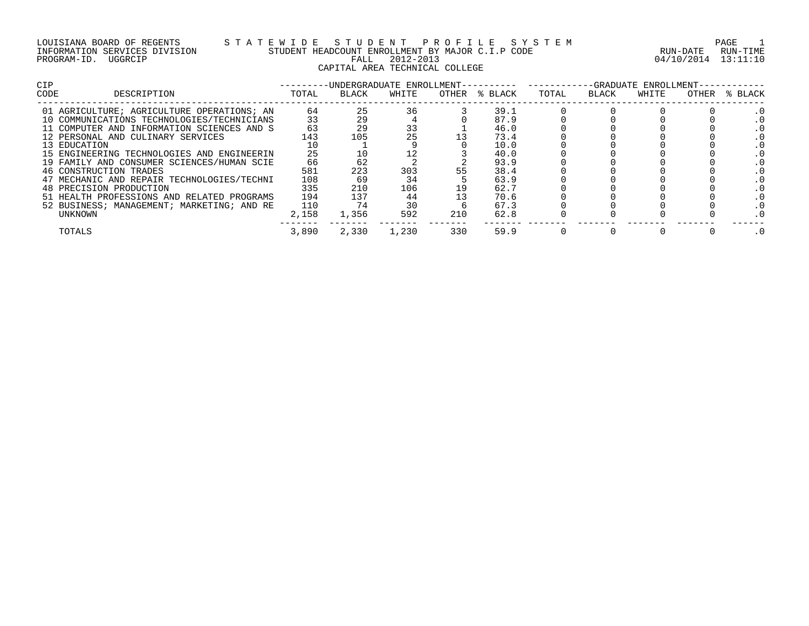## LOUISIANA BOARD OF REGENTS S T A T E W I D E S T U D E N T P R O F I L E S Y S T E M PAGE 1 INFORMATION SERVICES DIVISION STUDENT HEADCOUNT ENROLLMENT BY MAJOR C.I.P CODE RUN-DATE RUN-TIME PROGRAM-ID. UGGRCIP FALL 2012-2013 04/10/2014 13:11:10 CAPITAL AREA TECHNICAL COLLEGE

| CIP                                        |       |       | -UNDERGRADUATE ENROLLMENT-- |       |         |       | -GRADUATE | ENROLLMENT- |       |         |
|--------------------------------------------|-------|-------|-----------------------------|-------|---------|-------|-----------|-------------|-------|---------|
| CODE<br>DESCRIPTION                        | TOTAL | BLACK | WHITE                       | OTHER | % BLACK | TOTAL | BLACK     | WHITE       | OTHER | % BLACK |
| 01 AGRICULTURE; AGRICULTURE OPERATIONS; AN | 64    | 25    | 36                          |       | 39.1    |       |           |             |       |         |
| 10 COMMUNICATIONS TECHNOLOGIES/TECHNICIANS | 33    | 29    |                             |       | 87.9    |       |           |             |       |         |
| 11 COMPUTER AND INFORMATION SCIENCES AND S | 63    | 29    | 33                          |       | 46.0    |       |           |             |       |         |
| 12 PERSONAL AND CULINARY SERVICES          | 143   | 105   | 25                          |       | 73.4    |       |           |             |       |         |
| 13 EDUCATION                               |       |       |                             |       | 10.0    |       |           |             |       |         |
| 15 ENGINEERING TECHNOLOGIES AND ENGINEERIN | 25    |       |                             |       | 40.0    |       |           |             |       |         |
| 19 FAMILY AND CONSUMER SCIENCES/HUMAN SCIE | 66    | 62    |                             |       | 93.9    |       |           |             |       |         |
| 46 CONSTRUCTION TRADES                     | 581   | 223   | 303                         |       | 38.4    |       |           |             |       |         |
| 47 MECHANIC AND REPAIR TECHNOLOGIES/TECHNI | 108   | 69    | 34                          |       | 63.9    |       |           |             |       |         |
| 48 PRECISION PRODUCTION                    | 335   | 210   | 106                         | 19    | 62.7    |       |           |             |       |         |
| 51 HEALTH PROFESSIONS AND RELATED PROGRAMS | 194   | 137   | 44                          |       | 70.6    |       |           |             |       |         |
| 52 BUSINESS; MANAGEMENT; MARKETING; AND RE | 110   | 74    | 30                          |       | 67.3    |       |           |             |       |         |
| UNKNOWN                                    | 2,158 | 1,356 | 592                         | 210   | 62.8    |       |           |             |       |         |
| TOTALS                                     | 3,890 | 2,330 | 1,230                       | 330   | 59.9    |       |           |             |       |         |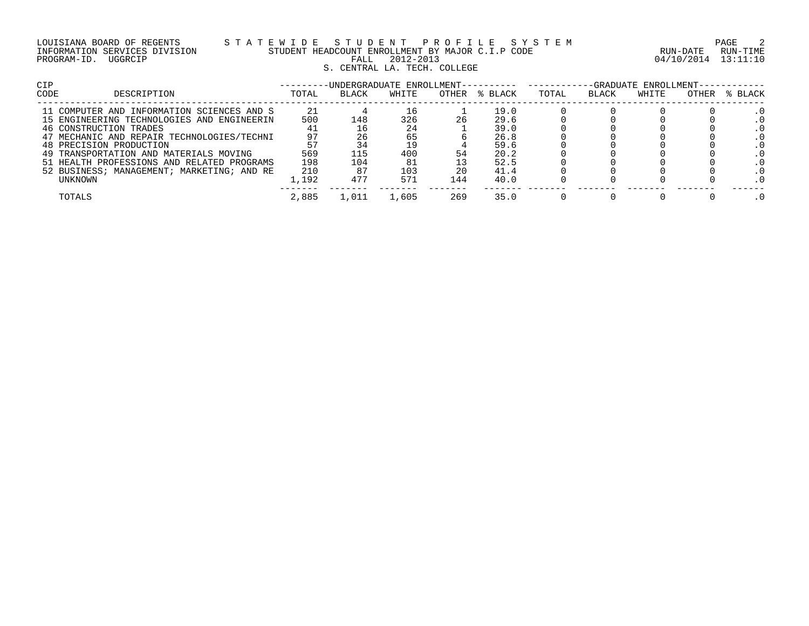|             | LOUISIANA BOARD OF REGENTS    |  |
|-------------|-------------------------------|--|
|             | INFORMATION SERVICES DIVISION |  |
| PROGRAM-ID. | UGGRCIP                       |  |

# LOUISIANA BOARD OF REGENTS S T A T E W I D E S T U D E N T P R O F I L E S Y S T E M PAGE 2 INFORMATION SERVICES DIVISION STUDENT HEADCOUNT ENROLLMENT BY MAJOR C.I.P CODE RUN-DATE RUN-TIME PROGRAM-ID. UGGRCIP FALL 2012-2013 04/10/2014 13:11:10 S. CENTRAL LA. TECH. COLLEGE

| CIP                                        |       | -UNDERGRADUATE ENROLLMENT---- |       |     |               | -GRADUATE ENROLLMENT- |       |       |       |         |  |  |  |
|--------------------------------------------|-------|-------------------------------|-------|-----|---------------|-----------------------|-------|-------|-------|---------|--|--|--|
| <b>CODE</b><br>DESCRIPTION                 | TOTAL | <b>BLACK</b>                  | WHITE |     | OTHER % BLACK | TOTAL                 | BLACK | WHITE | OTHER | % BLACK |  |  |  |
| 11 COMPUTER AND INFORMATION SCIENCES AND S | 21    |                               |       |     | 19.0          |                       |       |       |       |         |  |  |  |
| 15 ENGINEERING TECHNOLOGIES AND ENGINEERIN | 500   | 148                           | 326   | 26  | 29.6          |                       |       |       |       |         |  |  |  |
| 46 CONSTRUCTION TRADES                     |       |                               | 24    |     | 39.0          |                       |       |       |       |         |  |  |  |
| 47 MECHANIC AND REPAIR TECHNOLOGIES/TECHNI | 97    |                               | 65    |     | 26.8          |                       |       |       |       |         |  |  |  |
| 48 PRECISION PRODUCTION                    |       |                               |       |     | 59.6          |                       |       |       |       |         |  |  |  |
| 49 TRANSPORTATION AND MATERIALS MOVING     | 569   | 115                           | 400   |     | 20.2          |                       |       |       |       |         |  |  |  |
| 51 HEALTH PROFESSIONS AND RELATED PROGRAMS | 198   | 104                           | 81    |     | 52.5          |                       |       |       |       |         |  |  |  |
| 52 BUSINESS; MANAGEMENT; MARKETING; AND RE | 210   |                               | 103   | 20  | 41.4          |                       |       |       |       |         |  |  |  |
| UNKNOWN                                    | 1,192 | 477                           | 571   | 144 | 40.0          |                       |       |       |       |         |  |  |  |
| TOTALS                                     | 2,885 | . . 011                       | 1,605 | 269 | 35.0          |                       |       |       |       |         |  |  |  |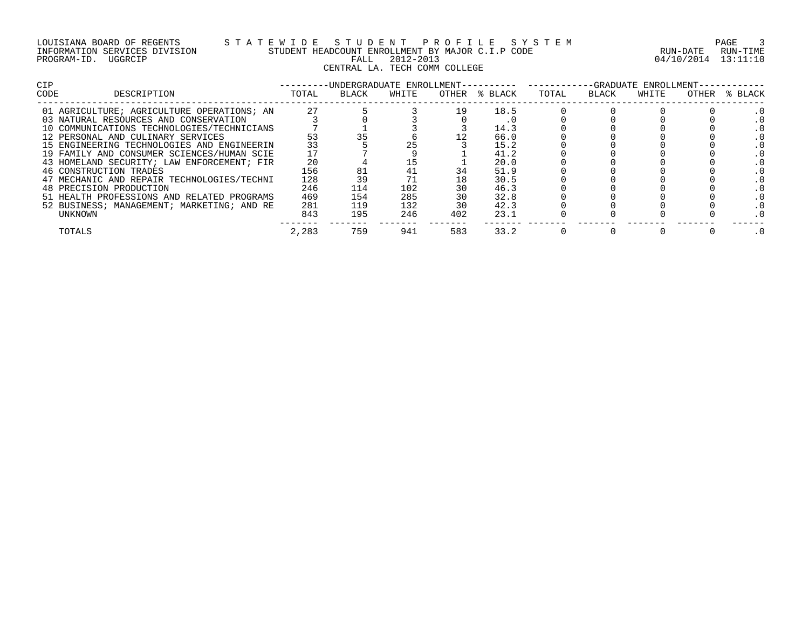| LOUISIANA BOARD OF REGENTS    |         |  |
|-------------------------------|---------|--|
| INFORMATION SERVICES DIVISION |         |  |
| PROGRAM-ID.                   | UGGRCIP |  |

# LOUISIANA BOARD OF REGENTS S T A T E W I D E S T U D E N T P R O F I L E S Y S T E M PAGE 3 INFORMATION SERVICES DIVISION STUDENT HEADCOUNT ENROLLMENT BY MAJOR C.I.P CODE RUN-DATE RUN-TIME PROGRAM-ID. UGGRCIP FALL 2012-2013 04/10/2014 13:11:10 ENDECONT ENROLLED 1912-2013<br>FALL 2012-2013<br>CENTRAL LA. TECH COMM COLLEGE

| <b>CIP</b> |                                            |       | -UNDERGRADUATE ENROLLMENT-- |       |       |         |       |       | -GRADUATE ENROLLMENT- |       |         |  |
|------------|--------------------------------------------|-------|-----------------------------|-------|-------|---------|-------|-------|-----------------------|-------|---------|--|
| CODE       | DESCRIPTION                                | TOTAL | BLACK                       | WHITE | OTHER | % BLACK | TOTAL | BLACK | WHITE                 | OTHER | % BLACK |  |
|            | 01 AGRICULTURE; AGRICULTURE OPERATIONS; AN | 27    |                             |       | 19    | 18.5    |       |       |                       |       |         |  |
|            | 03 NATURAL RESOURCES AND CONSERVATION      |       |                             |       |       |         |       |       |                       |       |         |  |
|            | 10 COMMUNICATIONS TECHNOLOGIES/TECHNICIANS |       |                             |       |       | 14.3    |       |       |                       |       |         |  |
|            | 12 PERSONAL AND CULINARY SERVICES          | 53    |                             |       |       | 66.0    |       |       |                       |       |         |  |
|            | 15 ENGINEERING TECHNOLOGIES AND ENGINEERIN | 33    |                             |       |       | 15.2    |       |       |                       |       |         |  |
|            | 19 FAMILY AND CONSUMER SCIENCES/HUMAN SCIE |       |                             |       |       | 41.2    |       |       |                       |       |         |  |
|            | 43 HOMELAND SECURITY; LAW ENFORCEMENT; FIR | 20    |                             | ⊥ບ    |       | 20.0    |       |       |                       |       |         |  |
|            | 46 CONSTRUCTION TRADES                     | 156   |                             |       |       | 51.9    |       |       |                       |       |         |  |
|            | 47 MECHANIC AND REPAIR TECHNOLOGIES/TECHNI | 128   |                             |       |       | 30.5    |       |       |                       |       |         |  |
|            | 48 PRECISION PRODUCTION                    | 246   | 114                         | 102   |       | 46.3    |       |       |                       |       |         |  |
|            | 51 HEALTH PROFESSIONS AND RELATED PROGRAMS | 469   | 154                         | 285   |       | 32.8    |       |       |                       |       |         |  |
|            | 52 BUSINESS; MANAGEMENT; MARKETING; AND RE | 281   | 119                         | 132   | 30    | 42.3    |       |       |                       |       |         |  |
| UNKNOWN    |                                            | 843   | 195                         | 246   | 402   | 23.1    |       |       |                       |       |         |  |
| TOTALS     |                                            | 2,283 | 759                         | 941   | 583   | 33.2    |       |       |                       |       |         |  |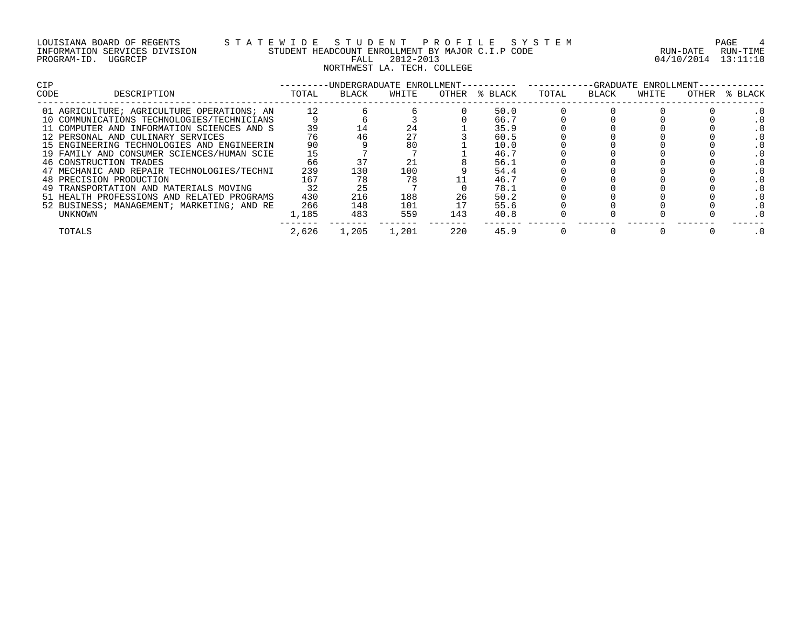| LOUISIANA BOARD OF REGENTS    |         |  |
|-------------------------------|---------|--|
| INFORMATION SERVICES DIVISION |         |  |
| PROGRAM-ID.                   | UGGRCIP |  |

## LOUISIANA BOARD OF REGENTS S T A T E W I D E S T U D E N T P R O F I L E S Y S T E M PAGE 4 INFORMATION SERVICES DIVISION STUDENT HEADCOUNT ENROLLMENT BY MAJOR C.I.P CODE RUN-DATE RUN-TIME E WILL BOILD SOUNT ENROLLMENT BY MAJOR CIP CODE FOR THE RUN-DATE RUN-TIME STUDENT HEADCOUNT ENROLLMENT BY MAJOR CIPS NORTHWEST LA. TECH. COLLEGE

| <b>CIP</b> |                                            |       |       | -UNDERGRADUATE ENROLLMENT-- |       |         |       |       | -GRADUATE ENROLLMENT- |       |         |  |
|------------|--------------------------------------------|-------|-------|-----------------------------|-------|---------|-------|-------|-----------------------|-------|---------|--|
| CODE       | DESCRIPTION                                | TOTAL | BLACK | WHITE                       | OTHER | % BLACK | TOTAL | BLACK | WHITE                 | OTHER | % BLACK |  |
|            | 01 AGRICULTURE; AGRICULTURE OPERATIONS; AN | 12    |       |                             |       | 50.0    |       |       |                       |       |         |  |
|            | 10 COMMUNICATIONS TECHNOLOGIES/TECHNICIANS |       |       |                             |       | 66.7    |       |       |                       |       |         |  |
|            | 11 COMPUTER AND INFORMATION SCIENCES AND S | 39    |       | 24                          |       | 35.9    |       |       |                       |       |         |  |
|            | 12 PERSONAL AND CULINARY SERVICES          | 76    |       | 27                          |       | 60.5    |       |       |                       |       |         |  |
|            | 15 ENGINEERING TECHNOLOGIES AND ENGINEERIN | 90    |       | 80                          |       | 10.0    |       |       |                       |       |         |  |
|            | 19 FAMILY AND CONSUMER SCIENCES/HUMAN SCIE | 15    |       |                             |       | 46.7    |       |       |                       |       |         |  |
|            | 46 CONSTRUCTION TRADES                     | 66    |       |                             |       | 56.1    |       |       |                       |       |         |  |
|            | 47 MECHANIC AND REPAIR TECHNOLOGIES/TECHNI | 239   | 130   | 100                         |       | 54.4    |       |       |                       |       |         |  |
|            | 48 PRECISION PRODUCTION                    | 167   |       | 78                          |       | 46.7    |       |       |                       |       |         |  |
|            | 49 TRANSPORTATION AND MATERIALS MOVING     | 32    | 25    |                             |       | 78.1    |       |       |                       |       |         |  |
|            | 51 HEALTH PROFESSIONS AND RELATED PROGRAMS | 430   | 216   | 188                         | 26    | 50.2    |       |       |                       |       |         |  |
|            | 52 BUSINESS; MANAGEMENT; MARKETING; AND RE | 266   | 148   | 101                         |       | 55.6    |       |       |                       |       |         |  |
|            | UNKNOWN                                    | ,185  | 483   | 559                         | 143   | 40.8    |       |       |                       |       |         |  |
|            | TOTALS                                     | 2,626 | 1,205 | 1,201                       | 220   | 45.9    |       |       |                       |       |         |  |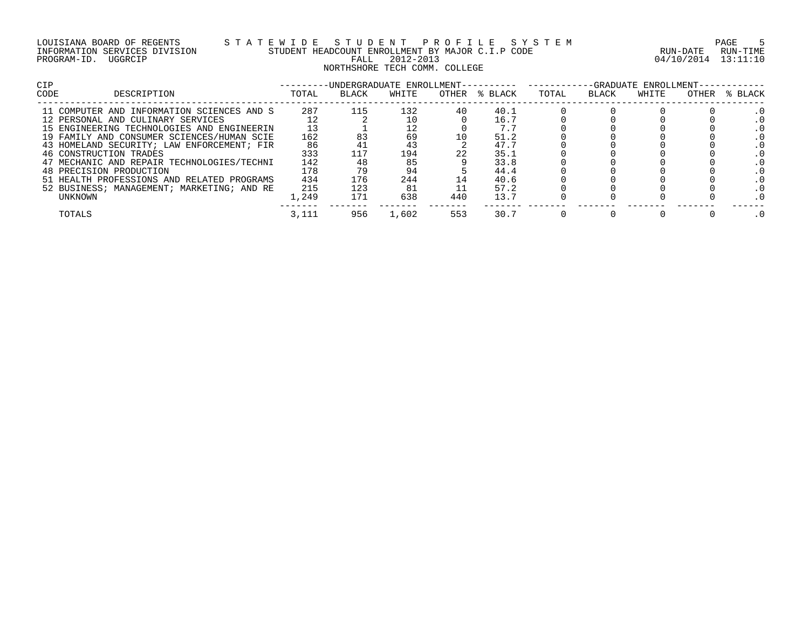| LOUISIANA BOARD OF REGENTS    |         |  |
|-------------------------------|---------|--|
| INFORMATION SERVICES DIVISION |         |  |
| PROGRAM-ID.                   | UGGRCIP |  |

# LOUISIANA BOARD OF REGENTS S T A T E W I D E S T U D E N T P R O F I L E S Y S T E M PAGE 5 INFORMATION SERVICES DIVISION STUDENT HEADCOUNT ENROLLMENT BY MAJOR C.I.P CODE RUN-DATE RUN-TIME PROGRAM-ID. UGGRCIP FALL 2012-2013 04/10/2014 13:11:10 NORTHSHORE TECH COMM. COLLEGE

| <b>CIP</b>                                 |  |       | -UNDERGRADUATE ENROLLMENT--- |       |     | -GRADUATE ENROLLMENT- |       |       |       |       |         |  |  |  |
|--------------------------------------------|--|-------|------------------------------|-------|-----|-----------------------|-------|-------|-------|-------|---------|--|--|--|
| DESCRIPTION<br>CODE                        |  | TOTAL | BLACK                        | WHITE |     | OTHER % BLACK         | TOTAL | BLACK | WHITE | OTHER | % BLACK |  |  |  |
| 11 COMPUTER AND INFORMATION SCIENCES AND S |  | 287   | 115                          | 132   | 40  | 40.1                  |       |       |       |       |         |  |  |  |
| 12 PERSONAL AND CULINARY SERVICES          |  |       |                              |       |     | 16.7                  |       |       |       |       |         |  |  |  |
| 15 ENGINEERING TECHNOLOGIES AND ENGINEERIN |  |       |                              |       |     | 7.7                   |       |       |       |       |         |  |  |  |
| 19 FAMILY AND CONSUMER SCIENCES/HUMAN SCIE |  | 162   | 83                           | 69    |     | 51.2                  |       |       |       |       |         |  |  |  |
| 43 HOMELAND SECURITY; LAW ENFORCEMENT; FIR |  | 86    |                              | 43    |     | 47.7                  |       |       |       |       |         |  |  |  |
| 46 CONSTRUCTION TRADES                     |  | 333   | 117                          | 194   | 22  | 35.1                  |       |       |       |       |         |  |  |  |
| 47 MECHANIC AND REPAIR TECHNOLOGIES/TECHNI |  | 142   |                              | 85    |     | 33.8                  |       |       |       |       |         |  |  |  |
| 48 PRECISION PRODUCTION                    |  | 178   |                              | 94    |     | 44.4                  |       |       |       |       |         |  |  |  |
| 51 HEALTH PROFESSIONS AND RELATED PROGRAMS |  | 434   | 176                          | 244   |     | 40.6                  |       |       |       |       |         |  |  |  |
| 52 BUSINESS; MANAGEMENT; MARKETING; AND RE |  | 215   | 123                          | 81    |     | 57.2                  |       |       |       |       |         |  |  |  |
| UNKNOWN                                    |  | 1,249 | 171                          | 638   | 440 | 13.7                  |       |       |       |       |         |  |  |  |
| TOTALS                                     |  | 3,111 | 956                          | 1,602 | 553 | 30.7                  |       |       |       |       |         |  |  |  |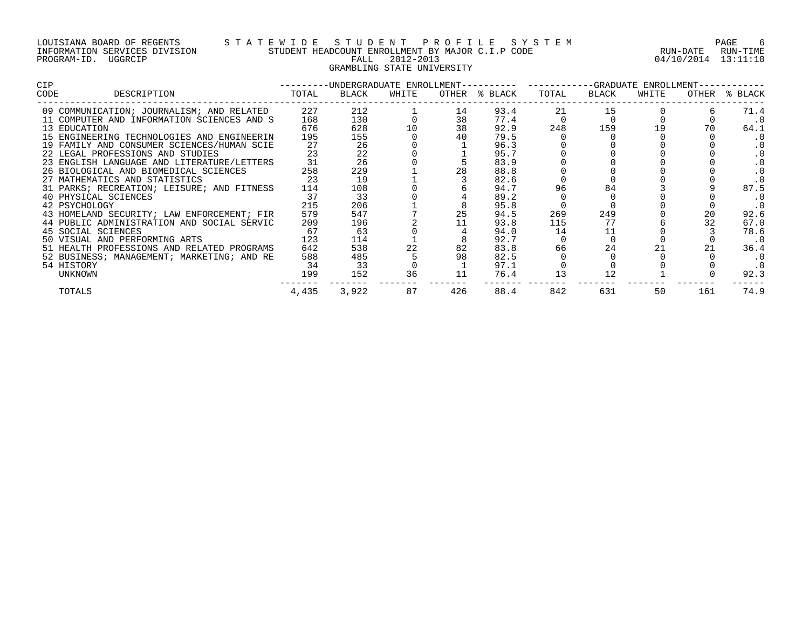## LOUISIANA BOARD OF REGENTS S T A T E W I D E S T U D E N T P R O F I L E S Y S T E M PAGE 6 INFORMATION SERVICES DIVISION STUDENT HEADCOUNT ENROLLMENT BY MAJOR C.I.P CODE RUN-DATE RUN-TIME PROGRAM-ID. UGGRCIP FALL 2012-2013 04/10/2014 13:11:10 GRAMBLING STATE UNIVERSITY

| <b>CIP</b> |                                                | ---------UNDERGRADUATE ENROLLMENT---------- ----------GRADUATE ENROLLMENT-- |       |       |     |               |       |       |       |     |               |
|------------|------------------------------------------------|-----------------------------------------------------------------------------|-------|-------|-----|---------------|-------|-------|-------|-----|---------------|
| CODE       | DESCRIPTION                                    | TOTAL                                                                       | BLACK | WHITE |     | OTHER % BLACK | TOTAL | BLACK | WHITE |     | OTHER % BLACK |
|            | 09 COMMUNICATION; JOURNALISM; AND RELATED 227  |                                                                             | 212   |       | 14  | 93.4          | 21    | 15    |       |     | 71.4          |
|            | 11 COMPUTER AND INFORMATION SCIENCES AND S     | 168                                                                         | 130   |       | 38  | 77.4          |       |       |       |     | $\cdot$ 0     |
|            | 13 EDUCATION                                   | 676                                                                         | 628   | 10    | 38  | 92.9          | 248   | 159   | 19    |     | 64.1          |
|            | 15 ENGINEERING TECHNOLOGIES AND ENGINEERIN     | 195                                                                         | 155   |       |     | 79.5          |       |       |       |     | . 0           |
|            | 19 FAMILY AND CONSUMER SCIENCES/HUMAN SCIE     | 27                                                                          | 26    |       |     | 96.3          |       |       |       |     | . 0           |
|            | 22 LEGAL PROFESSIONS AND STUDIES               | 23                                                                          | 22    |       |     | 95.7          |       |       |       |     |               |
|            | 23 ENGLISH LANGUAGE AND LITERATURE/LETTERS     | 31                                                                          | 26    |       |     | 83.9          |       |       |       |     |               |
|            | 26 BIOLOGICAL AND BIOMEDICAL SCIENCES          | 258                                                                         | 229   |       | 28  | 88.8          |       |       |       |     | . 0           |
|            | 27 MATHEMATICS AND STATISTICS                  | 23                                                                          | 19    |       |     | 82.6          |       |       |       |     | $\cdot$ 0     |
|            | 31 PARKS; RECREATION; LEISURE; AND FITNESS 114 |                                                                             | 108   |       |     | 94.7          | 96    | 84    |       |     | 87.5          |
|            | 40 PHYSICAL SCIENCES                           | 37                                                                          | 33    |       |     | 89.2          |       |       |       |     | . 0           |
|            | 42 PSYCHOLOGY                                  | 215                                                                         | 206   |       |     | 95.8          |       |       |       |     | $\cdot$ 0     |
|            | 43 HOMELAND SECURITY; LAW ENFORCEMENT; FIR     | 579                                                                         | 547   |       | 25  | 94.5          | 269   | 249   |       | 20  | 92.6          |
|            | 44 PUBLIC ADMINISTRATION AND SOCIAL SERVIC     | 209                                                                         | 196   |       |     | 93.8          | 115   | 77    |       | 32  | 67.0          |
|            | 45 SOCIAL SCIENCES                             | 67                                                                          | 63    |       |     | 94.0          | 14    | 11    |       |     | 78.6          |
|            | 50 VISUAL AND PERFORMING ARTS                  | 123                                                                         | 114   |       |     | 92.7          |       |       |       |     | $\cdot$ 0     |
|            | 51 HEALTH PROFESSIONS AND RELATED PROGRAMS     | 642                                                                         | 538   | 22    | 82  | 83.8          | 66    | 24    |       | 21  | 36.4          |
|            | 52 BUSINESS; MANAGEMENT; MARKETING; AND RE     | 588                                                                         | 485   |       | 98  | 82.5          |       |       |       |     | . 0           |
|            | 54 HISTORY                                     | 34                                                                          | 33    |       |     | 97.1          |       |       |       |     | . 0           |
|            | UNKNOWN                                        | 199                                                                         | 152   | 36    | 11  | 76.4          | 13    |       |       |     | 92.3          |
|            | TOTALS                                         | 4,435                                                                       | 3,922 | 87    | 426 | 88.4          | 842   | 631   | 50    | 161 | 74.9          |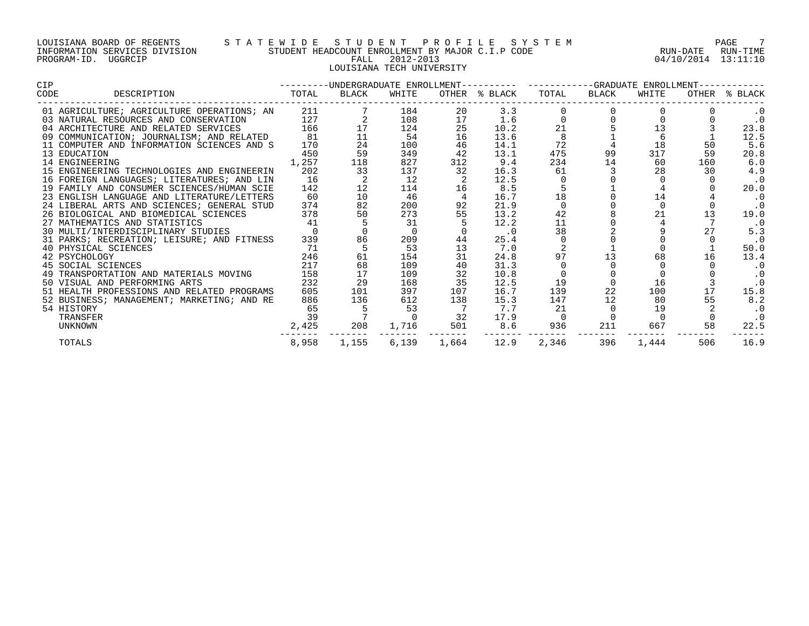#### LOUISIANA BOARD OF REGENTS S T A T E W I D E S T U D E N T P R O F I L E S Y S T E M PAGE 7 INFORMATION SERVICES DIVISION STUDENT HEADCOUNT ENROLLMENT BY MAJOR C.I.P CODE RUN-DATE RUN-TIME PROGRAM-ID. UGGRCIP FALL 2012-2013 04/10/2014 13:11:10 LOUISIANA TECH UNIVERSITY

| CIP  |                                                                          |       |       |       |                 | ---------UNDERGRADUATE ENROLLMENT---------- ----------GRADUATE ENROLLMENT-- |       |       |          |     |               |
|------|--------------------------------------------------------------------------|-------|-------|-------|-----------------|-----------------------------------------------------------------------------|-------|-------|----------|-----|---------------|
| CODE | DESCRIPTION                                                              | TOTAL | BLACK | WHITE |                 | OTHER % BLACK                                                               | TOTAL | BLACK | WHITE    |     | OTHER % BLACK |
|      | 01 AGRICULTURE; AGRICULTURE OPERATIONS; AN 211                           |       |       | 184   | 20              | 3.3                                                                         |       |       |          |     | $\cdot$ 0     |
|      | 03 NATURAL RESOURCES AND CONSERVATION                                    | 127   |       | 108   | 17              | 1.6                                                                         |       |       |          |     | $\cdot$ 0     |
|      | 04 ARCHITECTURE AND RELATED SERVICES                                     | 166   |       | 124   | 25              | 10.2                                                                        | 21    |       |          |     | 23.8          |
|      | 09 COMMUNICATION; JOURNALISM; AND RELATED 81                             |       | 11    | 54    | 16              | 13.6                                                                        |       |       | 6 —      |     | 12.5          |
|      | 11 COMPUTER AND INFORMATION SCIENCES AND S                               | 170   | 24    | 100   | 46              | 14.1                                                                        | 72    |       | 18       | 50  | 5.6           |
|      | 13 EDUCATION                                                             | 450   | 59    | 349   | 42              | 13.1                                                                        | 475   | 99    | 317      | 59  | 20.8          |
|      | 14 ENGINEERING                                                           | 1,257 | 118   | 827   | 312             | 9.4                                                                         | 234   | 14    | 60       | 160 | 6.0           |
|      | 15 ENGINEERING TECHNOLOGIES AND ENGINEERIN                               | 202   | 33    | 137   | 32              | 16.3                                                                        | 61    |       | 28       | 30  | 4.9           |
|      | 16 FOREIGN LANGUAGES; LITERATURES; AND LIN                               | 16    |       | 12    |                 | 12.5                                                                        |       |       |          |     | $\cdot$ 0     |
|      | 19 FAMILY AND CONSUMER SCIENCES/HUMAN SCIE                               | 142   | 12    | 114   | 16              | 8.5                                                                         |       |       |          |     | 20.0          |
|      | 23 ENGLISH LANGUAGE AND LITERATURE/LETTERS                               | 60    | 10    | 46    |                 | 16.7                                                                        | 18    |       | 14       |     | $\cdot$ 0     |
|      | 24 LIBERAL ARTS AND SCIENCES; GENERAL STUD                               | 374   | 82    | 200   | 92              | 21.9                                                                        |       |       | $\Omega$ |     | $\cdot$ 0     |
|      | 26 BIOLOGICAL AND BIOMEDICAL SCIENCES                                    | 378   | 50    | 273   | 55              | 13.2                                                                        | 42    |       | 21       | 13  | 19.0          |
|      | 27 MATHEMATICS AND STATISTICS 41<br>30 MULTI/INTERDISCIPLINARY STUDIES 0 |       |       | 31    |                 | 12.2                                                                        | 11    |       |          |     | . 0           |
|      |                                                                          |       |       |       |                 | $\cdot$ 0                                                                   | 38    |       |          | 2.7 | 5.3           |
|      | 31 PARKS; RECREATION; LEISURE; AND FITNESS                               | 339   | 86    | 209   | 44              | 25.4                                                                        |       |       |          |     | $\cdot$ 0     |
|      | 40 PHYSICAL SCIENCES                                                     | 71    | -5    | 53    | 13              | 7.0                                                                         |       |       |          |     | 50.0          |
|      | 42 PSYCHOLOGY                                                            | 246   | 61    | 154   | 31              | 24.8                                                                        | 97    | 13    | 68       | 16  | 13.4          |
|      | 45 SOCIAL SCIENCES                                                       | 217   | 68    | 109   | 40              | 31.3                                                                        |       |       |          |     | $\cdot$ 0     |
|      | 49 TRANSPORTATION AND MATERIALS MOVING                                   | 158   | 17    | 109   | 32              | 10.8                                                                        |       |       |          |     | . 0           |
|      | 50 VISUAL AND PERFORMING ARTS                                            | 232   | 29    | 168   | 35              | 12.5                                                                        | 19    |       | 16       |     | $\cdot$ 0     |
|      | 51 HEALTH PROFESSIONS AND RELATED PROGRAMS                               | 605   | 101   | 397   | 107             | 16.7                                                                        | 139   | 22    | 100      | 17  | 15.8          |
|      | 52 BUSINESS; MANAGEMENT; MARKETING; AND RE                               | 886   | 136   | 612   | 138             | 15.3                                                                        | 147   | 12    | 80       | 55  | 8.2           |
|      | 54 HISTORY                                                               | 65    |       | 53    |                 | 7.7                                                                         | 21    |       | 19       |     | $\cdot$ 0     |
|      | TRANSFER                                                                 | 39    |       |       | $\overline{32}$ | 17.9                                                                        |       |       |          |     | $\cdot$ 0     |
|      | UNKNOWN                                                                  | 2,425 | 208   | 1,716 | 501             | 8.6                                                                         | 936   | 211   | 667      | 58  | 22.5          |
|      | TOTALS                                                                   | 8,958 | 1,155 |       | 6,139 1,664     | 12.9                                                                        | 2,346 | 396   | 1,444    | 506 | 16.9          |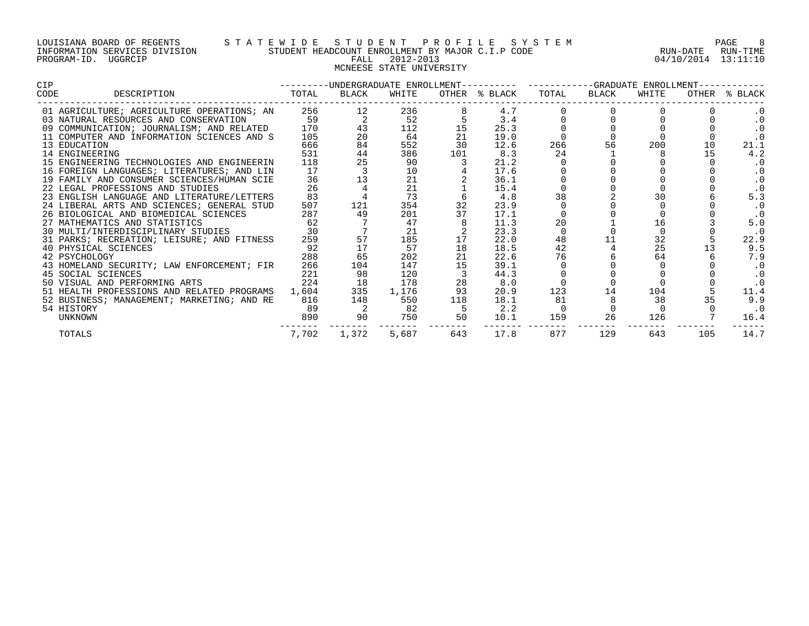#### LOUISIANA BOARD OF REGENTS S T A T E W I D E S T U D E N T P R O F I L E S Y S T E M PAGE 8 INFORMATION SERVICES DIVISION STUDENT HEADCOUNT ENROLLMENT BY MAJOR C.I.P CODE RUN-DATE RUN-TIME PROGRAM-ID. UGGRCIP FALL 2012-2013 04/10/2014 13:11:10 MCNEESE STATE UNIVERSITY

| CIP  |                                                                               |       |             |       |                | ---------UNDERGRADUATE ENROLLMENT---------- ----------GRADUATE ENROLLMENT---- |     |             |       |     |                  |
|------|-------------------------------------------------------------------------------|-------|-------------|-------|----------------|-------------------------------------------------------------------------------|-----|-------------|-------|-----|------------------|
| CODE | DESCRIPTION                                                                   | TOTAL | BLACK       | WHITE |                | OTHER % BLACK                                                                 |     | TOTAL BLACK | WHITE |     | OTHER % BLACK    |
|      | 01 AGRICULTURE; AGRICULTURE OPERATIONS; AN 256                                |       |             | 236   |                | 4.7                                                                           |     |             |       |     |                  |
|      | 03 NATURAL RESOURCES AND CONSERVATION                                         | 59    |             | 52    |                | 3.4                                                                           |     |             |       |     | . 0              |
|      | 09 COMMUNICATION; JOURNALISM; AND RELATED                                     | 170   | 43          | 112   | 15             | 25.3                                                                          |     |             |       |     | $\cdot$ 0        |
|      | 11 COMPUTER AND INFORMATION SCIENCES AND S                                    | 105   | 20          | 64    | 21             | 19.0                                                                          |     |             |       |     | $\cdot$ 0        |
|      | 13 EDUCATION                                                                  | 666   | 84          | 552   | 30             | 12.6                                                                          | 266 | 56          | 200   | 10  | 21.1             |
|      | 14 ENGINEERING                                                                | 531   | 44          | 386   | 101            | 8.3                                                                           | 24  |             |       | 15  | 4.2              |
|      | 15 ENGINEERING TECHNOLOGIES AND ENGINEERIN                                    | 118   | 25          | 90    |                | 21.2                                                                          |     |             |       |     | . 0              |
|      | 16 FOREIGN LANGUAGES; LITERATURES; AND LIN                                    | 17    |             | 10    |                | 17.6                                                                          |     |             |       |     | . 0              |
|      | 19 FAMILY AND CONSUMER SCIENCES/HUMAN SCIE                                    | 36    | 13          | 21    |                | 36.1                                                                          |     |             |       |     | . 0              |
|      | 22 LEGAL PROFESSIONS AND STUDIES                                              | 26    |             | 21    |                | 15.4                                                                          |     |             |       |     |                  |
|      | 23 ENGLISH LANGUAGE AND LITERATURE/LETTERS                                    | 83    |             | 73    |                | 4.8                                                                           | 38  |             |       |     | 5.3              |
|      | 24 LIBERAL ARTS AND SCIENCES; GENERAL STUD                                    | 507   | 121         | 354   | 32             | 23.9                                                                          |     |             |       |     | . 0              |
|      | 26 BIOLOGICAL AND BIOMEDICAL SCIENCES 287<br>27 MATHEMATICS AND STATISTICS 62 |       | 49          | 201   |                | 17.1                                                                          |     |             |       |     |                  |
|      |                                                                               |       |             | 47    |                | 11.3                                                                          | 20  |             | 16    |     | 5.0              |
|      | 30 MULTI/INTERDISCIPLINARY STUDIES 30                                         |       |             | 21    |                | 23.3                                                                          |     |             |       |     | $\cdot$ 0        |
|      | 31 PARKS; RECREATION; LEISURE; AND FITNESS                                    | 259   | 57          | 185   | 17             | 22.0                                                                          | 48  | 11          | 32    |     | 22.9             |
|      | 40 PHYSICAL SCIENCES                                                          | 92    | 17          | 57    |                | 18.5                                                                          | 42  |             | 25    |     | 9.5              |
|      | 42 PSYCHOLOGY                                                                 | 288   | 65          | 202   | 21             | 22.6                                                                          | 76  |             | 64    |     | 7.9              |
|      | 43 HOMELAND SECURITY; LAW ENFORCEMENT; FIR                                    | 266   | 104         | 147   | 15             | 39.1                                                                          |     |             |       |     | $\cdot$ 0        |
|      | 45 SOCIAL SCIENCES                                                            | 221   | 98          | 120   |                | 44.3                                                                          |     |             |       |     | $\cdot$ 0        |
|      | 50 VISUAL AND PERFORMING ARTS                                                 | 224   | 18          | 178   | 28             | 8.0                                                                           |     |             |       |     | $\frac{0}{11.4}$ |
|      | 51 HEALTH PROFESSIONS AND RELATED PROGRAMS 1,604                              |       | 335         | 1,176 | 93             | 20.9                                                                          | 123 | 14          | 104   |     |                  |
|      | 52 BUSINESS; MANAGEMENT; MARKETING; AND RE                                    | 816   | 148         | 550   | 118            | 18.1                                                                          | 81  |             | 38    |     | 9.9              |
|      | 54 HISTORY                                                                    | 89    |             | 82    |                | 2.2                                                                           |     |             |       |     | $\cdot$ 0        |
|      | UNKNOWN                                                                       | 890   | 90          | 750   | 50<br>________ | 10.1                                                                          | 159 | 26          | 126   |     | 16.4             |
|      | TOTALS                                                                        |       | 7,702 1,372 | 5,687 | 643            | 17.8                                                                          | 877 | 129         | 643   | 105 | 14.7             |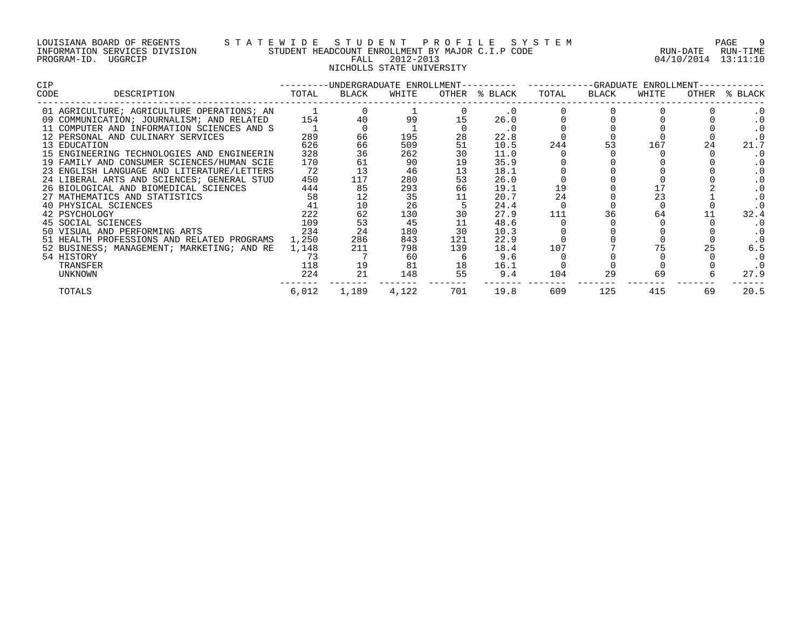#### LOUISIANA BOARD OF REGENTS S T A T E W I D E S T U D E N T P R O F I L E S Y S T E M PAGE 9 INFORMATION SERVICES DIVISION STUDENT HEADCOUNT ENROLLMENT BY MAJOR C.I.P CODE RUN-DATE RUN-TIME PROGRAM-ID. UGGRCIP FALL 2012-2013 04/10/2014 13:11:10 NICHOLLS STATE UNIVERSITY

| CIP  |                                            | $-- - - - - - -$ |       |       |     | -UNDERGRADUATE ENROLLMENT---------- ---------GRADUATE ENROLLMENT- |       |       |       |       |         |
|------|--------------------------------------------|------------------|-------|-------|-----|-------------------------------------------------------------------|-------|-------|-------|-------|---------|
| CODE | DESCRIPTION                                | TOTAL            | BLACK | WHITE |     | OTHER % BLACK                                                     | TOTAL | BLACK | WHITE | OTHER | % BLACK |
|      | 01 AGRICULTURE; AGRICULTURE OPERATIONS; AN |                  |       |       |     | $\cdot$ 0                                                         |       |       |       |       |         |
|      | 09 COMMUNICATION; JOURNALISM; AND RELATED  | 154              |       | 99    |     | 26.0                                                              |       |       |       |       |         |
|      | 11 COMPUTER AND INFORMATION SCIENCES AND S |                  |       |       |     | . 0                                                               |       |       |       |       |         |
|      | 12 PERSONAL AND CULINARY SERVICES          | 289              | 66    | 195   | 28  | 22.8                                                              |       |       |       |       |         |
|      | 13 EDUCATION                               | 626              | 66    | 509   | 51  | 10.5                                                              | 244   | 53    | 167   | 24    | 21.7    |
|      | 15 ENGINEERING TECHNOLOGIES AND ENGINEERIN | 328              | 36    | 262   | 30  | 11.0                                                              |       |       |       |       |         |
|      | 19 FAMILY AND CONSUMER SCIENCES/HUMAN SCIE | 170              | 61    | 90    | 19  | 35.9                                                              |       |       |       |       |         |
|      | 23 ENGLISH LANGUAGE AND LITERATURE/LETTERS | 72               | 13    | 46    | 13  | 18.1                                                              |       |       |       |       |         |
|      | 24 LIBERAL ARTS AND SCIENCES; GENERAL STUD | 450              | 117   | 280   | 53  | 26.0                                                              |       |       |       |       |         |
|      | 26 BIOLOGICAL AND BIOMEDICAL SCIENCES      | 444              | 85    | 293   | 66  | 19.1                                                              | 19    |       |       |       |         |
|      | 27 MATHEMATICS AND STATISTICS              | 58               | 12    | 35    |     | 20.7                                                              | 24    |       | 23    |       |         |
|      | 40 PHYSICAL SCIENCES                       | 41               | 10    | 26    |     | 24.4                                                              |       |       |       |       |         |
|      | 42 PSYCHOLOGY                              | 222              | 62    | 130   | 30  | 27.9                                                              | 111   | 36    | 64    |       | 32.4    |
|      | 45 SOCIAL SCIENCES                         | 109              | 53    | 45    | 11  | 48.6                                                              |       |       |       |       |         |
|      | 50 VISUAL AND PERFORMING ARTS              | 234              | 24    | 180   | 30  | 10.3                                                              |       |       |       |       |         |
|      | 51 HEALTH PROFESSIONS AND RELATED PROGRAMS | 1,250            | 286   | 843   | 121 | 22.9                                                              |       |       |       |       |         |
|      | 52 BUSINESS; MANAGEMENT; MARKETING; AND RE | 1,148            | 211   | 798   | 139 | 18.4                                                              | 107   |       |       |       | 6.5     |
|      | 54 HISTORY                                 | 73               |       | 60    |     | 9.6                                                               |       |       |       |       | . 0     |
|      | TRANSFER                                   | 118              | 19    | 81    | 18  | 16.1                                                              |       |       |       |       |         |
|      | UNKNOWN                                    | 224              | 21    | 148   | 55  | 9.4                                                               | 104   | 29    | 69    |       | 27.9    |
|      | TOTALS                                     | 6,012            | 1,189 | 4,122 | 701 | 19.8                                                              | 609   | 125   | 415   | 69    | 20.5    |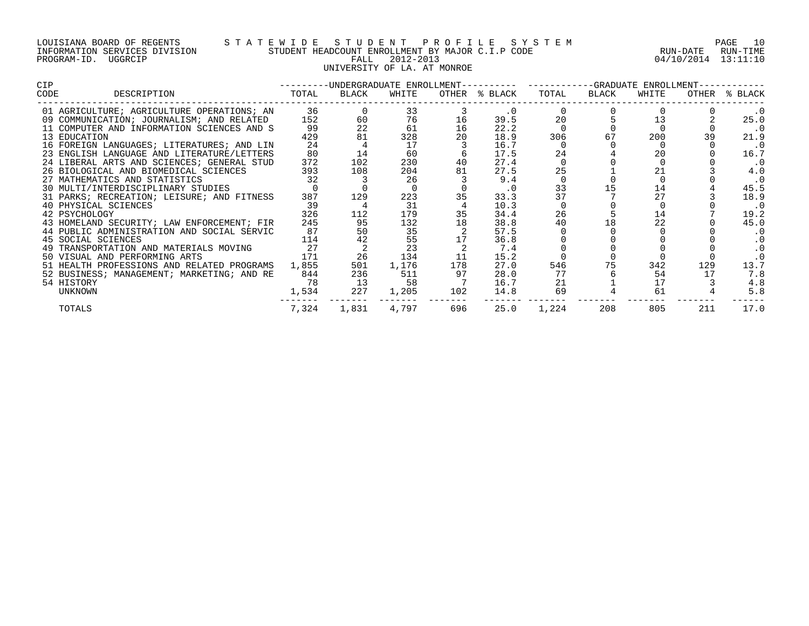| LOUISIANA BOARD OF REGENTS    |         |  |
|-------------------------------|---------|--|
| INFORMATION SERVICES DIVISION |         |  |
| PROGRAM-ID.                   | UGGRCIP |  |

# S T A T E W I D E S T U D E N T P R O F I L E S Y S T E M PAGE 10<br>STUDENT HEADCOUNT ENROLLMENT BY MAJOR C.I.P CODE RUN - DATE RUN-TIME STUDENT HEADCOUNT ENROLLMENT BY MAJOR C.I.P CODE PALL 2012-2013 2001 04/10/2014 13:11:10 UNIVERSITY OF LA. AT MONROE

| CIP.         |                                               |       |       |       |     | ---------UNDERGRADUATE ENROLLMENT---------- ----------GRADUATE ENROLLMENT---- |       |       |       |     |               |
|--------------|-----------------------------------------------|-------|-------|-------|-----|-------------------------------------------------------------------------------|-------|-------|-------|-----|---------------|
| CODE         | DESCRIPTION                                   | TOTAL | BLACK | WHITE |     | OTHER % BLACK                                                                 | TOTAL | BLACK | WHITE |     | OTHER % BLACK |
|              | 01 AGRICULTURE; AGRICULTURE OPERATIONS; AN 36 |       |       | 33    |     | $\cdot$ 0                                                                     |       |       |       |     | $\cdot$ 0     |
|              | 09 COMMUNICATION; JOURNALISM; AND RELATED     | 152   | 60    | 76    | 16  | 39.5                                                                          | 20    |       | 13    |     | 25.0          |
|              | 11 COMPUTER AND INFORMATION SCIENCES AND S    | 99    | 22    | 61    | 16  | 22.2                                                                          |       |       |       |     | $\cdot$ 0     |
| 13 EDUCATION |                                               | 429   | 81    | 328   | 20  | 18.9                                                                          | 306   | 67    | 200   | 39  | 21.9          |
|              | 16 FOREIGN LANGUAGES; LITERATURES; AND LIN    | 24    |       | 17    |     | 16.7                                                                          |       |       |       |     | $\cdot$ 0     |
|              | 23 ENGLISH LANGUAGE AND LITERATURE/LETTERS    | 80    | 14    | 60    |     | 17.5                                                                          | 24    |       | 20    |     | 16.7          |
|              | 24 LIBERAL ARTS AND SCIENCES; GENERAL STUD    | 372   | 102   | 230   |     | 27.4                                                                          |       |       |       |     | $\cdot$ 0     |
|              | 26 BIOLOGICAL AND BIOMEDICAL SCIENCES         | 393   | 108   | 204   | 81  | 27.5                                                                          | 25    |       |       |     | 4.0           |
|              | 27 MATHEMATICS AND STATISTICS                 | 32    |       | 26    |     | 9.4                                                                           |       |       |       |     | $\cdot$ 0     |
|              | 30 MULTI/INTERDISCIPLINARY STUDIES            |       |       |       |     | $\cdot$ 0                                                                     | 33    |       | 14    |     | 45.5          |
|              | 31 PARKS; RECREATION; LEISURE; AND FITNESS    | 387   | 129   | 223   |     | 33.3                                                                          | 37    |       | 27    |     | 18.9          |
|              | 40 PHYSICAL SCIENCES                          | 39    |       | 31    |     | 10.3                                                                          |       |       |       |     | $\cdot$ 0     |
|              | 42 PSYCHOLOGY                                 | 326   | 112   | 179   | 35  | 34.4                                                                          | 26    |       | 14    |     | 19.2          |
|              | 43 HOMELAND SECURITY; LAW ENFORCEMENT; FIR    | 245   | 95    | 132   | 18  | 38.8                                                                          | 40    | 18    | 22    |     | 45.0          |
|              | 44 PUBLIC ADMINISTRATION AND SOCIAL SERVIC    | 87    | 50    | 35    |     | 57.5                                                                          |       |       |       |     | $\cdot$ 0     |
|              | 45 SOCIAL SCIENCES                            | 114   |       | 55    |     | 36.8                                                                          |       |       |       |     | . 0           |
|              | 49 TRANSPORTATION AND MATERIALS MOVING        | 27    |       | 23    |     | 7.4                                                                           |       |       |       |     |               |
|              | 50 VISUAL AND PERFORMING ARTS                 | 171   | 26    | 134   | 11  | 15.2                                                                          |       |       |       |     | $\cdot$ 0     |
|              | 51 HEALTH PROFESSIONS AND RELATED PROGRAMS    | 1,855 | 501   | 1,176 | 178 | 27.0                                                                          | 546   | 75    | 342   | 129 | 13.7          |
|              | 52 BUSINESS; MANAGEMENT; MARKETING; AND RE    | 844   | 236   | 511   | 97  | 28.0                                                                          | 77    |       | 54    | 17  | 7.8           |
| 54 HISTORY   |                                               | 78    | 13    | 58    |     | 16.7                                                                          |       |       | 17    |     | 4.8           |
|              | UNKNOWN                                       | 1,534 | 227   | 1,205 | 102 | 14.8                                                                          | 69    |       | 61    |     | 5.8           |
| TOTALS       |                                               | 7,324 | 1,831 | 4,797 | 696 | 25.0                                                                          | 1,224 | 208   | 805   | 211 | 17.0          |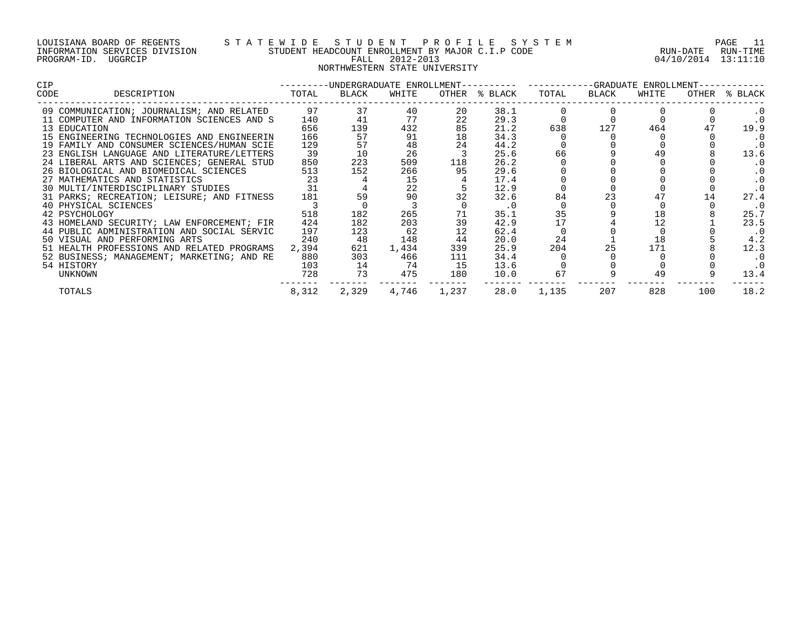| LOUISIANA BOARD OF REGENTS    |         |  |
|-------------------------------|---------|--|
| INFORMATION SERVICES DIVISION |         |  |
| PROGRAM-ID.                   | UGGRCIP |  |

## LOUISIANA BOARD OF REGENTS S T A T E W I D E S T U D E N T P R O F I L E S Y S T E M PAGE 11 INFORMATION SERVICES DIVISION STUDENT HEADCOUNT ENROLLMENT BY MAJOR C.I.P CODE RUN-DATE RUN-TIME PROGRAM-ID. UGGRCIP FALL 2012-2013 04/10/2014 13:11:10 NORTHWESTERN STATE UNIVERSITY

| CIP  |                                              |       |       |       |             |               | ---------UNDERGRADUATE ENROLLMENT--------- ---------GRADUATE ENROLLMENT---------- |       |       |     |               |  |
|------|----------------------------------------------|-------|-------|-------|-------------|---------------|-----------------------------------------------------------------------------------|-------|-------|-----|---------------|--|
| CODE | DESCRIPTION                                  | TOTAL | BLACK | WHITE |             | OTHER % BLACK | TOTAL                                                                             | BLACK | WHITE |     | OTHER % BLACK |  |
|      | 09 COMMUNICATION; JOURNALISM; AND RELATED 97 |       | 37    | 40    | 20          | 38.1          |                                                                                   |       |       |     |               |  |
|      | 11 COMPUTER AND INFORMATION SCIENCES AND S   | 140   | 41    | 77    | 22          | 29.3          |                                                                                   |       |       |     | $\cdot$ 0     |  |
|      | 13 EDUCATION                                 | 656   | 139   | 432   | 85          | 21.2          | 638                                                                               | 127   | 464   | 47  | 19.9          |  |
|      | 15 ENGINEERING TECHNOLOGIES AND ENGINEERIN   | 166   | 57    | 91    | 18          | 34.3          |                                                                                   |       |       |     | . 0           |  |
|      | 19 FAMILY AND CONSUMER SCIENCES/HUMAN SCIE   | 129   | 57    | 48    | 24          | 44.2          |                                                                                   |       |       |     | . 0           |  |
|      | 23 ENGLISH LANGUAGE AND LITERATURE/LETTERS   | 39    | 10    | 26    |             | 25.6          | 66                                                                                |       |       |     | 13.6          |  |
|      | 24 LIBERAL ARTS AND SCIENCES; GENERAL STUD   | 850   | 223   | 509   | 118         | 26.2          |                                                                                   |       |       |     | . 0           |  |
|      | 26 BIOLOGICAL AND BIOMEDICAL SCIENCES        | 513   | 152   | 266   | 95          | 29.6          |                                                                                   |       |       |     | . 0           |  |
|      | 27 MATHEMATICS AND STATISTICS                | 23    |       | 15    |             | 17.4          |                                                                                   |       |       |     | . 0           |  |
|      | 30 MULTI/INTERDISCIPLINARY STUDIES           | 31    |       | 22    |             | 12.9          |                                                                                   |       |       |     | $\cdot$ 0     |  |
|      | 31 PARKS; RECREATION; LEISURE; AND FITNESS   | 181   | 59    | 90    | 32          | 32.6          | 84                                                                                | 23    |       |     | 27.4          |  |
|      | 40 PHYSICAL SCIENCES                         |       |       |       |             | $\cdot$ 0     |                                                                                   |       |       |     | $\cdot$ 0     |  |
|      | 42 PSYCHOLOGY                                | 518   | 182   | 265   | 71          | 35.1          | 35                                                                                |       | 18    |     | 25.7          |  |
|      | 43 HOMELAND SECURITY; LAW ENFORCEMENT; FIR   | 424   | 182   | 203   | 39          | 42.9          | 17                                                                                |       | 12    |     | 23.5          |  |
|      | 44 PUBLIC ADMINISTRATION AND SOCIAL SERVIC   | 197   | 123   | 62    | 12          | 62.4          |                                                                                   |       |       |     | . 0           |  |
|      | 50 VISUAL AND PERFORMING ARTS                | 240   | 48    | 148   | 44          | 20.0          | 24                                                                                |       | 18    |     | 4.2           |  |
|      | 51 HEALTH PROFESSIONS AND RELATED PROGRAMS   | 2,394 | 621   | 1,434 | 339         | 25.9          | 204                                                                               | 25    | 171   |     | 12.3          |  |
|      | 52 BUSINESS; MANAGEMENT; MARKETING; AND RE   | 880   | 303   | 466   | 111         | 34.4          |                                                                                   |       |       |     | . 0           |  |
|      | 54 HISTORY                                   | 103   | 14    | 74    | 15          | 13.6          |                                                                                   |       |       |     | . 0           |  |
|      | UNKNOWN                                      | 728   | 73    | 475   | 180         | 10.0          | 67                                                                                |       | 49    |     | 13.4          |  |
|      | TOTALS                                       | 8,312 | 2,329 |       | 4,746 1,237 | 28.0          | 1,135                                                                             | 207   | 828   | 100 | 18.2          |  |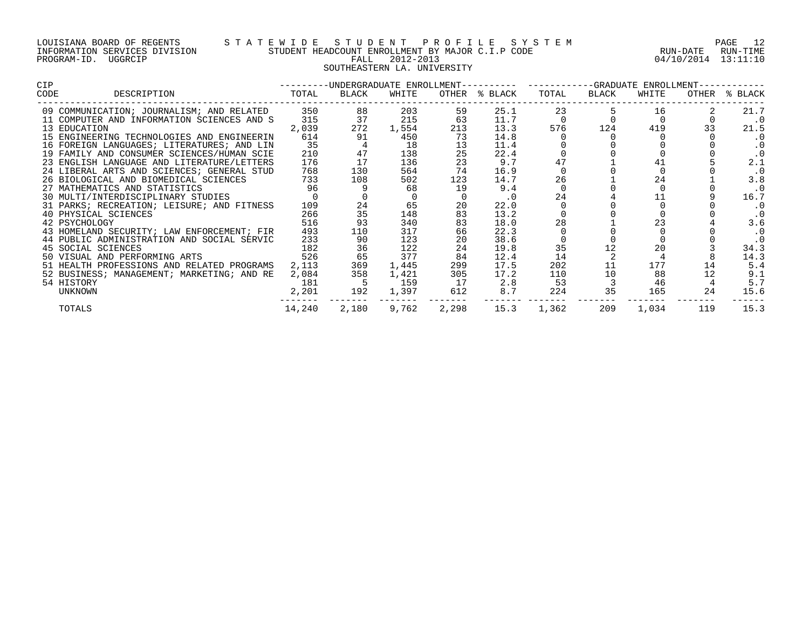| LOUISIANA BOARD OF REGENTS    |         |  |
|-------------------------------|---------|--|
| INFORMATION SERVICES DIVISION |         |  |
| PROGRAM-ID.                   | UGGRCIP |  |

# S T A T E W I D E S T U D E N T P R O F I L E S Y S T E M PAGE 12<br>STUDENT HEADCOUNT ENROLLMENT BY MAJOR C.I.P CODE RUN - DATE RUN-TIME STUDENT HEADCOUNT ENROLLMENT BY MAJOR C.I.P CODE PALL 2012-2013 04/10/2014 13:11:10 SOUTHEASTERN LA. UNIVERSITY

| <b>CIP</b>                    |                                            |        |       |       |       | ---------UNDERGRADUATE ENROLLMENT---------- ----------GRADUATE ENROLLMENT----------- |          |       |       |       |           |
|-------------------------------|--------------------------------------------|--------|-------|-------|-------|--------------------------------------------------------------------------------------|----------|-------|-------|-------|-----------|
| CODE                          | DESCRIPTION                                | TOTAL  | BLACK | WHITE |       | OTHER % BLACK                                                                        | TOTAL    | BLACK | WHITE | OTHER | % BLACK   |
|                               | 09 COMMUNICATION; JOURNALISM; AND RELATED  | 350    | 88    | 203   | 59    | 25.1                                                                                 | 23       |       | 16    |       | 21.7      |
|                               | 11 COMPUTER AND INFORMATION SCIENCES AND S | 315    | 37    | 215   | 63    | 11.7                                                                                 | $\Omega$ |       |       |       | $\cdot$ 0 |
| 13 EDUCATION                  |                                            | 2,039  | 272   | 1,554 | 213   | 13.3                                                                                 | 576      | 124   | 419   | 33    | 21.5      |
|                               | 15 ENGINEERING TECHNOLOGIES AND ENGINEERIN | 614    | 91    | 450   | 73    | 14.8                                                                                 |          |       |       |       | . 0       |
|                               | 16 FOREIGN LANGUAGES; LITERATURES; AND LIN | 35     |       | 18    | 13    | 11.4                                                                                 |          |       |       |       | . 0       |
|                               | 19 FAMILY AND CONSUMER SCIENCES/HUMAN SCIE | 210    | 47    | 138   | 25    | 22.4                                                                                 |          |       |       |       | $\cdot$ 0 |
|                               | 23 ENGLISH LANGUAGE AND LITERATURE/LETTERS | 176    | 17    | 136   | 23    | 9.7                                                                                  |          |       |       |       | 2.1       |
|                               | 24 LIBERAL ARTS AND SCIENCES; GENERAL STUD | 768    | 130   | 564   | 74    | 16.9                                                                                 |          |       |       |       | $\cdot$ 0 |
|                               | 26 BIOLOGICAL AND BIOMEDICAL SCIENCES      | 733    | 108   | 502   | 123   | 14.7                                                                                 | 26       |       | 24    |       | 3.8       |
| 27 MATHEMATICS AND STATISTICS |                                            | 96     |       | 68    | 19    | 9.4                                                                                  | $\Omega$ |       |       |       | . 0       |
|                               | 30 MULTI/INTERDISCIPLINARY STUDIES         |        |       |       |       | . 0                                                                                  | 24       |       |       |       | 16.7      |
|                               | 31 PARKS; RECREATION; LEISURE; AND FITNESS | 109    | 24    | 65    | 20    | 22.0                                                                                 |          |       |       |       | . 0       |
| 40 PHYSICAL SCIENCES          |                                            | 266    | 35    | 148   | 83    | 13.2                                                                                 |          |       |       |       | $\cdot$ 0 |
| 42 PSYCHOLOGY                 |                                            | 516    | 93    | 340   | 83    | 18.0                                                                                 | 28       |       | 23    |       | 3.6       |
|                               | 43 HOMELAND SECURITY; LAW ENFORCEMENT; FIR | 493    | 110   | 317   | 66    | 22.3                                                                                 |          |       |       |       | $\cdot$ 0 |
|                               | 44 PUBLIC ADMINISTRATION AND SOCIAL SERVIC | 233    | 90    | 123   | 20    | 38.6                                                                                 |          |       |       |       | $\cdot$ 0 |
| 45 SOCIAL SCIENCES            |                                            | 182    | 36    | 122   | 24    | 19.8                                                                                 | 35       |       | 20    |       | 34.3      |
| 50 VISUAL AND PERFORMING ARTS |                                            | 526    | 65    | 377   | 84    | 12.4                                                                                 | 14       |       |       |       | 14.3      |
|                               | 51 HEALTH PROFESSIONS AND RELATED PROGRAMS | 2,113  | 369   | 1,445 | 299   | 17.5                                                                                 | 202      | 11    | 177   | 14    | 5.4       |
|                               | 52 BUSINESS; MANAGEMENT; MARKETING; AND RE | 2,084  | 358   | 1,421 | 305   | 17.2                                                                                 | 110      | 10    | 88    |       | 9.1       |
| 54 HISTORY                    |                                            | 181    |       | 159   | 17    | 2.8                                                                                  | 53       |       | 46    |       | 5.7       |
| UNKNOWN                       |                                            | 2,201  | 192   | 1,397 | 612   | 8.7                                                                                  | 224      | 35    | 165   | 24    | 15.6      |
| TOTALS                        |                                            | 14,240 | 2,180 | 9,762 | 2,298 | 15.3                                                                                 | 1,362    | 209   | 1,034 | 119   | 15.3      |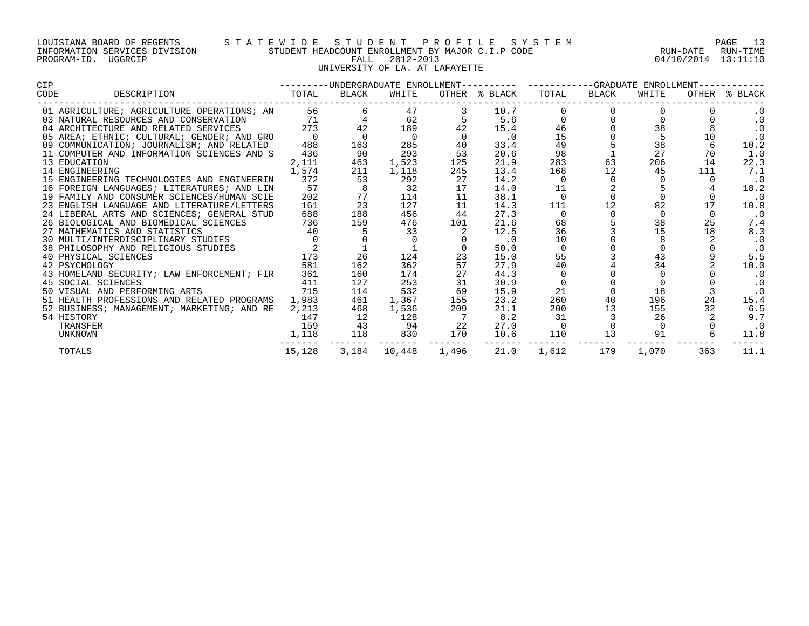#### LOUISIANA BOARD OF REGENTS S T A T E W I D E S T U D E N T P R O F I L E S Y S T E M PAGE 13 INFORMATION SERVICES DIVISION STUDENT HEADCOUNT ENROLLMENT BY MAJOR C.I.P CODE RUN-DATE RUN-TIME PROGRAM-ID. UGGRCIP FALL 2012-2013 04/10/2014 13:11:10 UNIVERSITY OF LA. AT LAFAYETTE

| CIP  |                                            |               |       |                | ---------UNDERGRADUATE ENROLLMENT---------- -----------GRADUATE ENROLLMENT----------- |               |             |                     |          |     |               |
|------|--------------------------------------------|---------------|-------|----------------|---------------------------------------------------------------------------------------|---------------|-------------|---------------------|----------|-----|---------------|
| CODE | DESCRIPTION                                | TOTAL         | BLACK | WHITE          |                                                                                       | OTHER % BLACK | TOTAL       | BLACK               | WHITE    |     | OTHER % BLACK |
|      | 01 AGRICULTURE; AGRICULTURE OPERATIONS; AN | 56 — 1        |       | 47             |                                                                                       | 10.7          |             |                     |          |     | $\cdot$ 0     |
|      | 03 NATURAL RESOURCES AND CONSERVATION      | 71            |       | 62             |                                                                                       | 5.6           |             |                     |          |     | $\cdot$ 0     |
|      | 04 ARCHITECTURE AND RELATED SERVICES       | 273           | 42    | 189            |                                                                                       | 15.4          | 46          |                     | 38       |     | $\cdot$ 0     |
|      | 05 AREA; ETHNIC; CULTURAL; GENDER; AND GRO |               |       | $\overline{0}$ |                                                                                       | $\cdot$ 0     | 15          |                     |          | 10  | $\cdot$ 0     |
|      | 09 COMMUNICATION; JOURNALISM; AND RELATED  | 488           | 163   | 285            | 40                                                                                    | 33.4          | 49          |                     | 38       |     | 10.2          |
|      | 11 COMPUTER AND INFORMATION SCIENCES AND S | 436           | 90    | 293            | 53                                                                                    | 20.6          | 98          |                     | 27       | 70  | 1.0           |
|      | 13 EDUCATION                               | 2,111         | 463   | 1,523          | 125                                                                                   | 21.9          | 283         | 63                  | 206      | 14  | 22.3          |
|      | 14 ENGINEERING                             | 1,574         | 211   | 1,118          | 245                                                                                   | 13.4          | 168         | 12                  | 45       | 111 | 7.1           |
|      | 15 ENGINEERING TECHNOLOGIES AND ENGINEERIN | 372           | 53    | 292            | 27                                                                                    | 14.2          | $\Omega$    | $\Omega$            |          |     | $\cdot$ 0     |
|      | 16 FOREIGN LANGUAGES; LITERATURES; AND LIN | 57            |       | 32             | 17                                                                                    | 14.0          | 11          |                     |          |     | 18.2          |
|      | 19 FAMILY AND CONSUMER SCIENCES/HUMAN SCIE | 202           | 77    | 114            | 11                                                                                    | 38.1          | $\mathbf 0$ | $\mathsf{O}\xspace$ |          |     | $\cdot$ 0     |
|      | 23 ENGLISH LANGUAGE AND LITERATURE/LETTERS | 161           | 23    | 127            | 11                                                                                    | 14.3          | 111         | 12                  | 82       | 17  | 10.8          |
|      | 24 LIBERAL ARTS AND SCIENCES; GENERAL STUD | 688           | 188   | 456            | 44                                                                                    | 27.3          | $\Omega$    | $\Omega$            | $\Omega$ |     | $\cdot$ 0     |
|      | 26 BIOLOGICAL AND BIOMEDICAL SCIENCES      | $736$<br>$40$ | 159   | 476            | 101                                                                                   | 21.6          | 68          |                     | 38       | 25  | 7.4           |
|      | 27 MATHEMATICS AND STATISTICS              |               |       | 33             |                                                                                       | 12.5          | 36          |                     | 15       | 18  | 8.3           |
|      | 30 MULTI/INTERDISCIPLINARY STUDIES         |               |       |                |                                                                                       | $\cdot$ 0     | 10          |                     |          |     | $\cdot$ 0     |
|      | 38 PHILOSOPHY AND RELIGIOUS STUDIES        |               |       |                |                                                                                       | 50.0          | 0           |                     |          |     | $\cdot$ 0     |
|      | 40 PHYSICAL SCIENCES                       | 173           | 26    | 124            | 23                                                                                    | 15.0          | 55          |                     | 43       |     | 5.5           |
|      | 42 PSYCHOLOGY                              | 581           | 162   | 362            | 57                                                                                    | 27.9          | 40          |                     | 34       |     | 10.0          |
|      | 43 HOMELAND SECURITY; LAW ENFORCEMENT; FIR | 361           | 160   | 174            | 27                                                                                    | 44.3          |             |                     |          |     | $\cdot$ 0     |
|      | 45 SOCIAL SCIENCES                         | 411           | 127   | 253            | 31                                                                                    | 30.9          | $\Omega$    |                     |          |     |               |
|      | 50 VISUAL AND PERFORMING ARTS              | 715           | 114   | 532            | 69                                                                                    | 15.9          | 21          |                     | 18       |     | $\cdot$ 0     |
|      | 51 HEALTH PROFESSIONS AND RELATED PROGRAMS | 1,983         | 461   | 1,367          | 155                                                                                   | 23.2          | 260         | 40                  | 196      | 24  | 15.4          |
|      | 52 BUSINESS; MANAGEMENT; MARKETING; AND RE | 2,213         | 468   | 1,536          | 209                                                                                   | 21.1          | 200         | 13                  | 155      | 32  | 6.5           |
|      | 54 HISTORY                                 | 147           | 12    | 128            |                                                                                       | 8.2           | 31          |                     | 26       |     | 9.7           |
|      | TRANSFER                                   | 159           | 43    | 94             | 22                                                                                    | 27.0          |             | $\mathbf 0$         |          |     | $\cdot$ 0     |
|      | UNKNOWN                                    | 1,118         | 118   | 830            | 170                                                                                   | 10.6          | 110         | 13                  | 91       |     | 11.8          |
|      | <b>TOTALS</b>                              | 15,128        | 3,184 | 10,448         | 1,496                                                                                 | 21.0          | 1,612       | 179                 | 1,070    | 363 | 11.1          |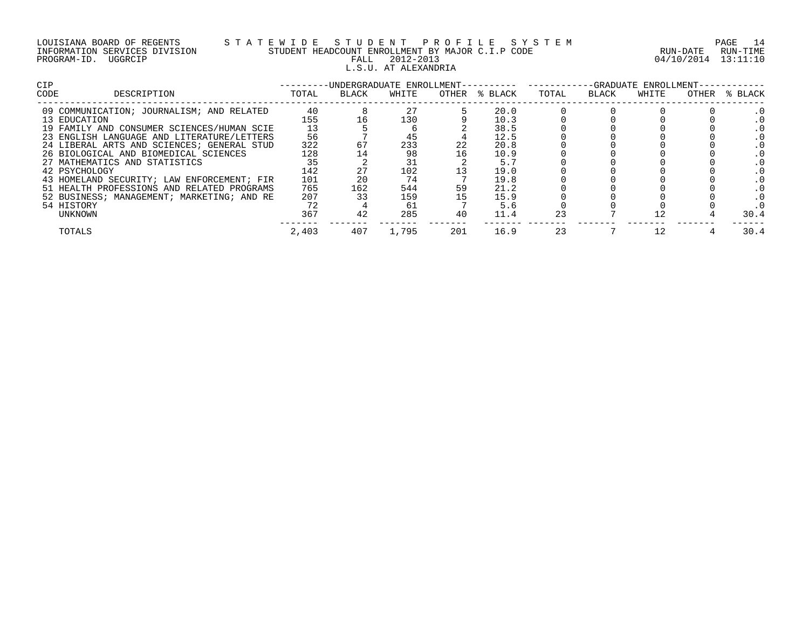| LOUISIANA BOARD OF REGENTS    |         |  |
|-------------------------------|---------|--|
| INFORMATION SERVICES DIVISION |         |  |
| PROGRAM-ID.                   | UGGRCIP |  |

# LOUISIANA BOARD OF REGENTS S T A T E W I D E S T U D E N T P R O F I L E S Y S T E M PAGE 14 INFORMATION SERVICES DIVISION STUDENT HEADCOUNT ENROLLMENT BY MAJOR C.I.P CODE RUN-DATE RUN-TIME E WILL BUN-TIME TRADICOUNT ENROLLMENT BY MAJOR C.I.P CODE THAT THE RUN-DATE RUN-TIME FALL 2012-2013 L.S.U. AT ALEXANDRIA

| <b>CIP</b> |                                            |       | -UNDERGRADUATE ENROLLMENT-- |       |       | -GRADUATE ENROLLMENT- |       |       |       |       |         |
|------------|--------------------------------------------|-------|-----------------------------|-------|-------|-----------------------|-------|-------|-------|-------|---------|
| CODE       | DESCRIPTION                                | TOTAL | BLACK                       | WHITE | OTHER | % BLACK               | TOTAL | BLACK | WHITE | OTHER | % BLACK |
|            | 09 COMMUNICATION; JOURNALISM; AND RELATED  | 40    |                             | 27    |       | 20.0                  |       |       |       |       |         |
|            | 13 EDUCATION                               | 155   |                             | 130   |       | 10.3                  |       |       |       |       |         |
|            | 19 FAMILY AND CONSUMER SCIENCES/HUMAN SCIE | 13    |                             |       |       | 38.5                  |       |       |       |       |         |
|            | 23 ENGLISH LANGUAGE AND LITERATURE/LETTERS | 56    |                             | 45    |       | 12.5                  |       |       |       |       |         |
|            | 24 LIBERAL ARTS AND SCIENCES; GENERAL STUD | 322   | 67                          | 233   | 22    | 20.8                  |       |       |       |       |         |
|            | 26 BIOLOGICAL AND BIOMEDICAL SCIENCES      | 128   |                             | 98    | 16    | 10.9                  |       |       |       |       |         |
|            | 27 MATHEMATICS AND STATISTICS              | 35    |                             |       |       | 5.7                   |       |       |       |       |         |
|            | 42 PSYCHOLOGY                              | 142   |                             | 102   |       | 19.0                  |       |       |       |       |         |
|            | 43 HOMELAND SECURITY; LAW ENFORCEMENT; FIR | 101   |                             | 74    |       | 19.8                  |       |       |       |       |         |
|            | 51 HEALTH PROFESSIONS AND RELATED PROGRAMS | 765   | 162                         | 544   | 59    | 21.2                  |       |       |       |       |         |
|            | 52 BUSINESS; MANAGEMENT; MARKETING; AND RE | 207   |                             | 159   |       | 15.9                  |       |       |       |       |         |
|            | 54 HISTORY                                 |       |                             | 61    |       | 5.6                   |       |       |       |       |         |
|            | UNKNOWN                                    | 367   |                             | 285   | 40    | 11.4                  |       |       |       |       | 30.4    |
|            | TOTALS                                     | 2,403 | 407                         | 1,795 | 201   | 16.9                  | 23    |       |       |       | 30.4    |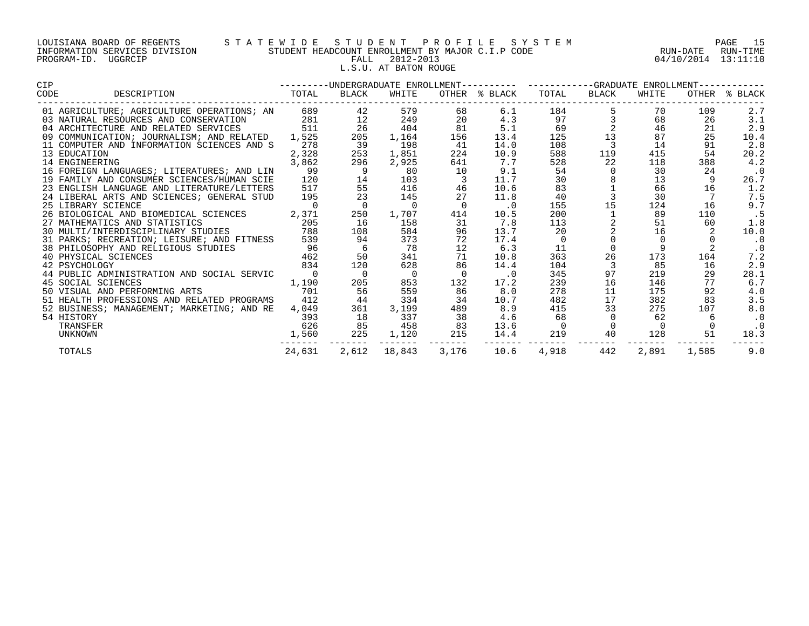| LOUISIANA BOARD OF REGENTS    |         |  |
|-------------------------------|---------|--|
| INFORMATION SERVICES DIVISION |         |  |
| PROGRAM-ID.                   | UGGRCIP |  |

# LOUISIANA BOARD OF REGENTS S T A T E W I D E S T U D E N T P R O F I L E S Y S T E M PAGE 15 INFORMATION SERVICES DIVISION STUDENT HEADCOUNT ENROLLMENT BY MAJOR C.I.P CODE RUN-DATE RUN-TIME PROGRAM-ID. UGGRCIP FALL 2012-2013 04/10/2014 13:11:10 L.S.U. AT BATON ROUGE

| <b>CIP</b> |                                                                                                                                                                                                           | -UNDERGRADUATE ENROLLMENT---------- ----------GRADUATE ENROLLMENT--<br>__________ |                |                |                |                      |             |                         |          |       |               |
|------------|-----------------------------------------------------------------------------------------------------------------------------------------------------------------------------------------------------------|-----------------------------------------------------------------------------------|----------------|----------------|----------------|----------------------|-------------|-------------------------|----------|-------|---------------|
| CODE       | DESCRIPTION TOTAL                                                                                                                                                                                         |                                                                                   | BLACK          | WHITE          |                | OTHER % BLACK        | TOTAL       | BLACK                   | WHITE    |       | OTHER % BLACK |
|            | 01 AGRICULTURE; AGRICULTURE OPERATIONS; AN 689                                                                                                                                                            |                                                                                   | 42             | 579            | 68             | 6.1                  | 184         |                         | 70       | 109   | 2.7           |
|            | 03 NATURAL RESOURCES AND CONSERVATION 281                                                                                                                                                                 |                                                                                   | 12             | 249            | 20             | 4.3                  | 97          |                         | 68       | 26    | 3.1           |
|            | 04 ARCHITECTURE AND RELATED SERVICES                                                                                                                                                                      | 511                                                                               | 26             | 404            | 81             | 5.1                  | 69          |                         | 46       | 21    | 2.9           |
|            | 09 COMMUNICATION; JOURNALISM; AND RELATED                                                                                                                                                                 | 1,525                                                                             | 205            | 1,164          | 156            | 13.4                 | 125         | 13                      | 87       | 25    | 10.4          |
|            | 11 COMPUTER AND INFORMATION SCIENCES AND S                                                                                                                                                                | 278                                                                               | 39             | 198            | 41             | 14.0                 | 108         | 3                       | 14       | 91    | 2.8           |
|            | 13 EDUCATION                                                                                                                                                                                              | 2,328                                                                             | 253            | 1,851          | 224            | 10.9                 | 588         | 119                     | 415      | 54    | 20.2          |
|            | 14 ENGINEERING                                                                                                                                                                                            | 3,862                                                                             | 296            | 2,925          | 641            | 7.7                  | 528         | 22                      | 118      | 388   | 4.2           |
|            | 16 FOREIGN LANGUAGES; LITERATURES; AND LIN                                                                                                                                                                | 99                                                                                | - 9            | 80             | 10             | 9.1                  | 54          | $\overline{0}$          | 30       | 24    | $\cdot$ 0     |
|            | 19 FAMILY AND CONSUMER SCIENCES/HUMAN SCIE                                                                                                                                                                | 120                                                                               | 14             | 103            |                | 11.7                 | 30          |                         | 13       | 9     | 26.7          |
|            | 23 ENGLISH LANGUAGE AND LITERATURE/LETTERS                                                                                                                                                                | 517                                                                               | 55             | 416            | 46             | 10.6                 | 83          |                         | 66       | 16    | 1.2           |
|            | 24 LIBERAL ARTS AND SCIENCES; GENERAL STUD                                                                                                                                                                | 195                                                                               | 23             | 145            | 27             | 11.8                 | 40          | $\overline{\mathbf{3}}$ | 30       |       | 7.5           |
|            | 25 LIBRARY SCIENCE                                                                                                                                                                                        | $\overline{0}$                                                                    | $\Omega$       | $\overline{0}$ | $\Omega$       | $\cdot$ <sup>0</sup> | 155         | 15                      | 124      | 16    | 9.7           |
|            | 26 BIOLOGICAL AND BIOMEDICAL SCIENCES 2,371                                                                                                                                                               |                                                                                   | 250            | 1,707          | 414            | 10.5                 | 200         |                         | 89       | 110   | . 5           |
|            | 205<br>27 MATHEMATICS AND STATISTICS                                                                                                                                                                      |                                                                                   | 16             | 158            | 31             | 7.8                  | 113         |                         | 51       | 60    | 1.8           |
|            | 30 MULTI/INTERDISCIPLINARY STUDIES 788                                                                                                                                                                    |                                                                                   | 108            | 584            | 96             | 13.7                 | 20          |                         | 16       |       | 10.0          |
|            | 31 PARKS; RECREATION; LEISURE; AND FITNESS 539<br>31 PARKS; RECREATION; LEISURE, AND FIINDON (2008)<br>38 PHILOSOPHY AND RELIGIOUS STUDIES (2008)<br>40 PHYSICAL SCIENCES (2008)<br>234 PERSONAL ACTENCES |                                                                                   | 94             | 373            | 72             | 17.4                 | $\mathbf 0$ |                         |          |       | $\cdot$ 0     |
|            |                                                                                                                                                                                                           |                                                                                   | 6              | 78             | 12             | 6.3                  | 11          | $\overline{0}$          | 9        |       | $\cdot$ 0     |
|            |                                                                                                                                                                                                           |                                                                                   | 50             | 341            | 71             | 10.8                 | 363         | 26                      | 173      | 164   | 7.2           |
|            |                                                                                                                                                                                                           |                                                                                   | 120            | 628            | 86             | 14.4                 | 104         | 3                       | 85       | 16    | 2.9           |
|            | 44 PUBLIC ADMINISTRATION AND SOCIAL SERVIC                                                                                                                                                                | $\overline{0}$                                                                    | $\overline{0}$ | $\overline{0}$ | $\overline{0}$ | $\cdot$ 0            | 345         | 97                      | 219      | 29    | 28.1          |
|            | 45 SOCIAL SCIENCES                                                                                                                                                                                        | 1,190                                                                             | 205            | 853            | 132            | 17.2                 | 239         | 16                      | 146      | 77    | 6.7           |
|            | 50 VISUAL AND PERFORMING ARTS                                                                                                                                                                             | 701                                                                               | 56             | 559            | 86             | 8.0                  | 278         | 11                      | 175      | 92    | 4.0           |
|            | 51 HEALTH PROFESSIONS AND RELATED PROGRAMS                                                                                                                                                                | 412                                                                               | 44             | 334            | 34             | 10.7                 | 482         | 17                      | 382      | 83    | 3.5           |
|            | 52 BUSINESS; MANAGEMENT; MARKETING; AND RE                                                                                                                                                                | 4,049                                                                             | 361            | 3,199          | 489            | 8.9                  | 415         | 33                      | 275      | 107   | 8.0           |
|            | 54 HISTORY                                                                                                                                                                                                | 393                                                                               | 18             | 337            | 38             | 4.6                  | 68          |                         | 62       |       | $\cdot$ 0     |
|            | TRANSFER                                                                                                                                                                                                  | 626                                                                               | 85             | 458            | 83             | 13.6                 |             | $\overline{0}$          | $\Omega$ |       | $\cdot$ 0     |
|            | UNKNOWN                                                                                                                                                                                                   | 1,560                                                                             | 225            | 1,120          | 215            | 14.4                 | 219         | 40                      | 128      | 51    | 18.3          |
|            | TOTALS                                                                                                                                                                                                    | 24,631                                                                            | 2,612          | 18,843         | 3,176          | 10.6                 | 4,918       | 442                     | 2,891    | 1,585 | 9.0           |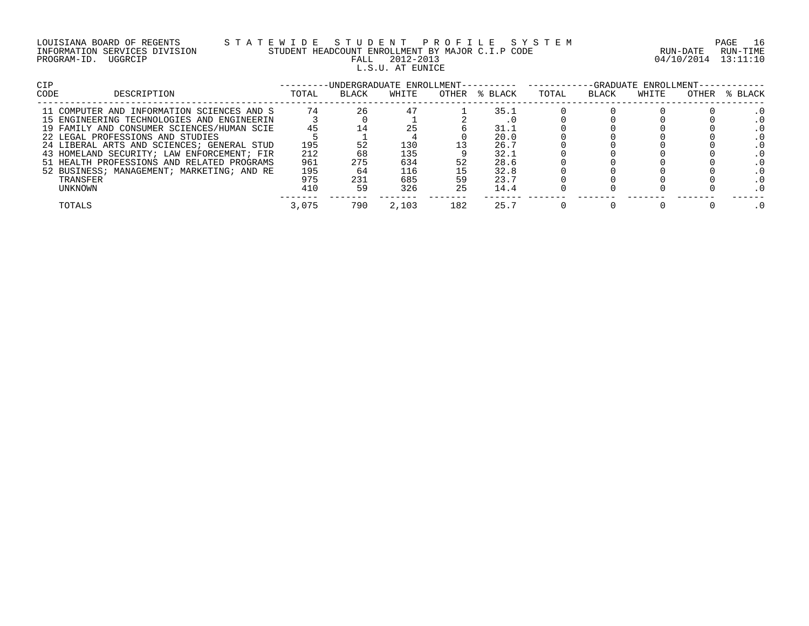| LOUISIANA BOARD OF REGENTS    | STATEWIDE STUDENT PROFILE SYSTEM                 |                     | 16<br>PAGE |
|-------------------------------|--------------------------------------------------|---------------------|------------|
| INFORMATION SERVICES DIVISION | STUDENT HEADCOUNT ENROLLMENT BY MAJOR C.I.P CODE | RUN-DATE            | RUN-TIME   |
| PROGRAM-ID. UGGRCIP           | 2012-2013<br>FALL                                | 04/10/2014 13:11:10 |            |
|                               | L.S.U. AT EUNICE                                 |                     |            |

| <b>CIP</b>                                 |       | -UNDERGRADUATE ENROLLMENT- |       |       |         | -GRADUATE ENROLLMENT- |              |       |       |         |
|--------------------------------------------|-------|----------------------------|-------|-------|---------|-----------------------|--------------|-------|-------|---------|
| CODE<br>DESCRIPTION                        | TOTAL | <b>BLACK</b>               | WHITE | OTHER | % BLACK | TOTAL                 | <b>BLACK</b> | WHITE | OTHER | % BLACK |
| 11 COMPUTER AND INFORMATION SCIENCES AND S | 74    | 26                         | 47    |       | 35.1    |                       |              |       |       |         |
| 15 ENGINEERING TECHNOLOGIES AND ENGINEERIN |       |                            |       |       |         |                       |              |       |       |         |
| 19 FAMILY AND CONSUMER SCIENCES/HUMAN SCIE | 45    |                            |       |       | 31.1    |                       |              |       |       |         |
| 22 LEGAL PROFESSIONS AND STUDIES           |       |                            |       |       | 20.0    |                       |              |       |       |         |
| 24 LIBERAL ARTS AND SCIENCES; GENERAL STUD | 195   |                            | 130   |       | 26.7    |                       |              |       |       |         |
| 43 HOMELAND SECURITY; LAW ENFORCEMENT; FIR | 212   | 68                         | 135   |       | 32.1    |                       |              |       |       |         |
| 51 HEALTH PROFESSIONS AND RELATED PROGRAMS | 961   | 275                        | 634   |       | 28.6    |                       |              |       |       |         |
| 52 BUSINESS; MANAGEMENT; MARKETING; AND RE | 195   | 64                         | 116   |       | 32.8    |                       |              |       |       |         |
| TRANSFER                                   | 975   | 231                        | 685   | 59    | 23.7    |                       |              |       |       |         |
| UNKNOWN                                    | 410   | 59                         | 326   | 25    | 14.4    |                       |              |       |       |         |
| TOTALS                                     | 3,075 | 790                        | 2,103 | 182   | 25.7    |                       |              |       |       |         |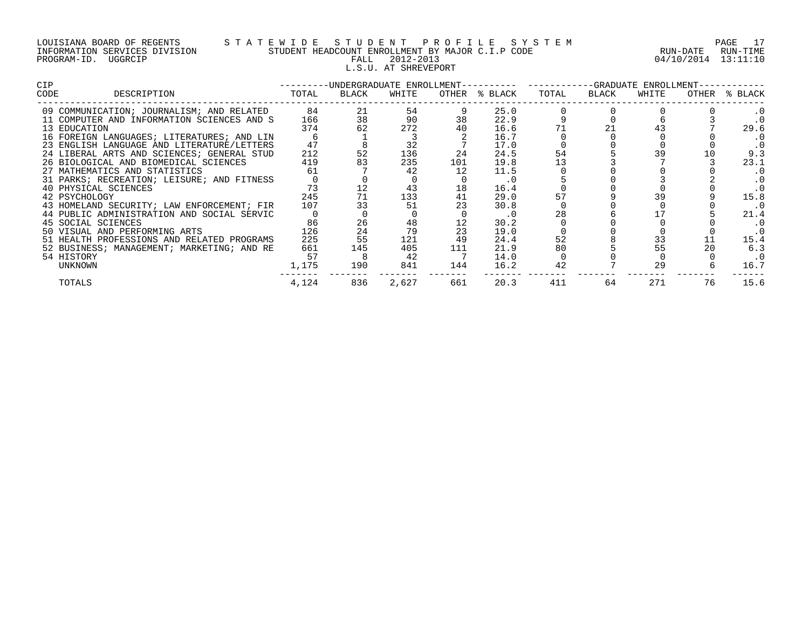| LOUISIANA BOARD OF REGENTS    |         |  |  |
|-------------------------------|---------|--|--|
| INFORMATION SERVICES DIVISION |         |  |  |
| PROGRAM-ID.                   | UGGRCIP |  |  |

# LOUISIANA BOARD OF REGENTS S T A T E W I D E S T U D E N T P R O F I L E S Y S T E M PAGE 17 INFORMATION SERVICES DIVISION STUDENT HEADCOUNT ENROLLMENT BY MAJOR C.I.P CODE RUN-DATE RUN-TIME PALL 2012-2013 2001 04/10/2014 13:11:10 L.S.U. AT SHREVEPORT

| CIP. |                                            | ---------UNDERGRADUATE ENROLLMENT---------- ----------GRADUATE ENROLLMENT-- |       |       |     |               |       |       |       |       |         |  |
|------|--------------------------------------------|-----------------------------------------------------------------------------|-------|-------|-----|---------------|-------|-------|-------|-------|---------|--|
| CODE | DESCRIPTION                                | TOTAL                                                                       | BLACK | WHITE |     | OTHER % BLACK | TOTAL | BLACK | WHITE | OTHER | % BLACK |  |
|      | 09 COMMUNICATION; JOURNALISM; AND RELATED  | 84                                                                          | 21    | 54    |     | 25.0          |       |       |       |       |         |  |
|      | 11 COMPUTER AND INFORMATION SCIENCES AND S | 166                                                                         | 38    | 90    | 38  | 22.9          |       |       |       |       |         |  |
|      | 13 EDUCATION                               | 374                                                                         | 62    | 272   | 40  | 16.6          |       |       |       |       | 29.6    |  |
|      | 16 FOREIGN LANGUAGES; LITERATURES; AND LIN |                                                                             |       |       |     | 16.7          |       |       |       |       |         |  |
|      | 23 ENGLISH LANGUAGE AND LITERATURE/LETTERS | 47                                                                          |       | 32    |     | 17.0          |       |       |       |       |         |  |
|      | 24 LIBERAL ARTS AND SCIENCES; GENERAL STUD | 212                                                                         | 52    | 136   | 24  | 24.5          | 54    |       |       |       | 9.3     |  |
|      | 26 BIOLOGICAL AND BIOMEDICAL SCIENCES      | 419                                                                         |       | 235   | 101 | 19.8          |       |       |       |       | 23.1    |  |
|      | 27 MATHEMATICS AND STATISTICS              | 61                                                                          |       | 42    | 12  | 11.5          |       |       |       |       | . 0     |  |
|      | 31 PARKS; RECREATION; LEISURE; AND FITNESS |                                                                             |       |       |     | . 0           |       |       |       |       |         |  |
|      | 40 PHYSICAL SCIENCES                       | 73                                                                          |       | 43    | 18  | 16.4          |       |       |       |       |         |  |
|      | 42 PSYCHOLOGY                              | 245                                                                         |       | 133   | 41  | 29.0          |       |       |       |       | 15.8    |  |
|      | 43 HOMELAND SECURITY; LAW ENFORCEMENT; FIR | 107                                                                         |       | 51    |     | 30.8          |       |       |       |       | . 0     |  |
|      | 44 PUBLIC ADMINISTRATION AND SOCIAL SERVIC |                                                                             |       |       |     | $\cdot$ 0     | 28    |       |       |       | 21.4    |  |
|      | 45 SOCIAL SCIENCES                         | 86                                                                          | 26    | 48    |     | 30.2          |       |       |       |       |         |  |
|      | 50 VISUAL AND PERFORMING ARTS              | 126                                                                         | 24    | 79    | 23  | 19.0          |       |       |       |       |         |  |
|      | 51 HEALTH PROFESSIONS AND RELATED PROGRAMS | 225                                                                         | 55    | 121   | 49  | 24.4          | 52    |       | 33    |       | 15.4    |  |
|      | 52 BUSINESS; MANAGEMENT; MARKETING; AND RE | 661                                                                         | 145   | 405   | 111 | 21.9          | 80    |       | 55    |       | 6.3     |  |
|      | 54 HISTORY                                 | 57                                                                          |       | 42    |     | 14.0          |       |       |       |       | . 0     |  |
|      | UNKNOWN                                    | 1,175                                                                       | 190   | 841   | 144 | 16.2          | 42    |       | 29    |       | 16.7    |  |
|      | TOTALS                                     | 4,124                                                                       | 836   | 2,627 | 661 | 20.3          | 411   | 64    | 271   | 76    | 15.6    |  |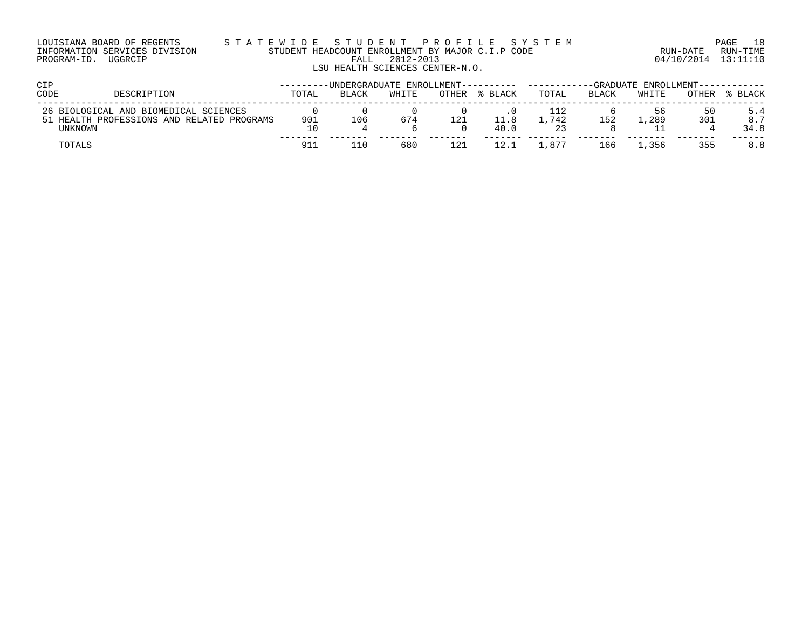| LOUISIANA BOARD OF REGENTS    |  |  |  |
|-------------------------------|--|--|--|
| INFORMATION SERVICES DIVISION |  |  |  |
| PROGRAM-ID. UGGRCIP           |  |  |  |

#### LOUISIANA BOARD OF REGENTS S T A T E W I D E S T U D E N T P R O F I L E S Y S T E M PAGE 18 INFORMATION SERVICES DIVISION STUDENT HEADCOUNT ENROLLMENT BY MAJOR C.I.P CODE RUN-DATE RUN-TIME PROGRAM-ID. UGGRCIP FALL 2012-2013 04/10/2014 13:11:10 LSU HEALTH SCIENCES CENTER-N.O.

| CIP     |                                                                                     | -UNDERGRADUATE ENROLLMENT---------- |              |       |       | -GRADUATE ENROLLMENT--- |       |              |         |           |             |
|---------|-------------------------------------------------------------------------------------|-------------------------------------|--------------|-------|-------|-------------------------|-------|--------------|---------|-----------|-------------|
| CODE    | DESCRIPTION                                                                         | TOTAL                               | <b>BLACK</b> | WHITE | OTHER | % BLACK                 | TOTAL | <b>BLACK</b> | WHITE   | OTHER     | % BLACK     |
| UNKNOWN | 26 BIOLOGICAL AND BIOMEDICAL SCIENCES<br>51 HEALTH PROFESSIONS AND RELATED PROGRAMS | 901<br>10                           | 106          | 674   | 121   | 11.8<br>40.0            | .742  | 152          | . . 289 | 50<br>301 | 8.7<br>34.8 |
| TOTALS  |                                                                                     | 91ì                                 | ' 1 በ        | 680   | 121   | 12.1                    | .877  | 166          | . . 356 | 355       | 8.8         |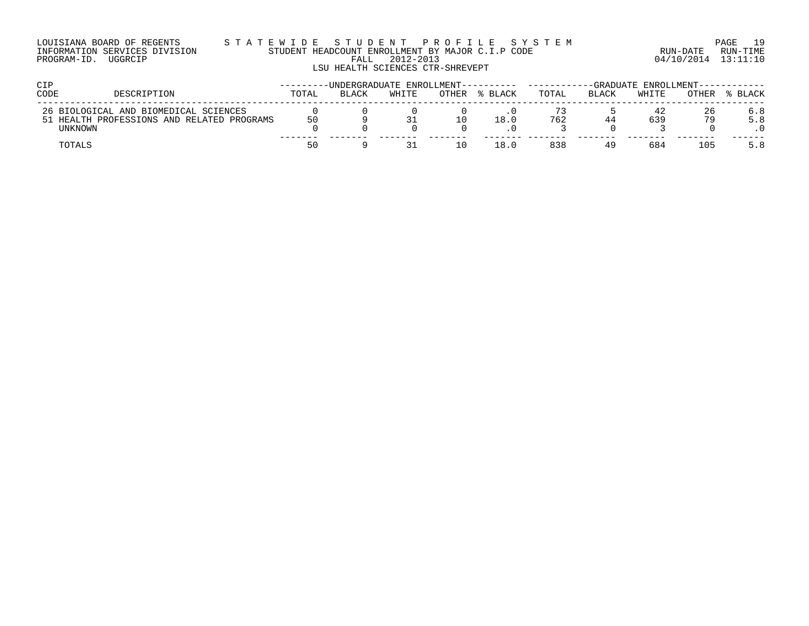| LOUISIANA BOARD OF REGENTS    |  |  |  |
|-------------------------------|--|--|--|
| INFORMATION SERVICES DIVISION |  |  |  |
| PROGRAM-ID. UGGRCIP           |  |  |  |

#### LOUISIANA BOARD OF REGENTS S T A T E W I D E S T U D E N T P R O F I L E S Y S T E M PAGE 19 INFORMATION SERVICES DIVISION STUDENT HEADCOUNT ENROLLMENT BY MAJOR C.I.P CODE RUN-DATE RUN-TIME E WILLEY SIT USING THE ANTENE IN THE UGGREATE POLICINE TO BE A THE RUN-TIME CODE THE RUN-TIME RUN-TIME FALL 2012-2013 LSU HEALTH SCIENCES CTR-SHREVEPT

| <b>CIP</b>     |                                            |       | -UNDERGRADUATE ENROLLMENT--- |       |       |         | -GRADUATE ENROLLMENT--- |              |       |       |         |
|----------------|--------------------------------------------|-------|------------------------------|-------|-------|---------|-------------------------|--------------|-------|-------|---------|
| CODE           | DESCRIPTION                                | TOTAL | <b>BLACK</b>                 | WHITE | OTHER | % BLACK | TOTAL                   | <b>BLACK</b> | WHITE | OTHER | % BLACK |
|                | 26 BIOLOGICAL AND BIOMEDICAL SCIENCES      |       |                              |       |       |         |                         |              | 42    | 26    | 6.8     |
|                | 51 HEALTH PROFESSIONS AND RELATED PROGRAMS | 50    |                              |       |       | 18.0    | 762                     |              | 639   |       | 5.8     |
| <b>UNKNOWN</b> |                                            |       |                              |       |       |         |                         |              |       |       |         |
| TOTALS         |                                            | 50    |                              |       |       | 18.0    | 838                     |              | 684   | 105   | 5.8     |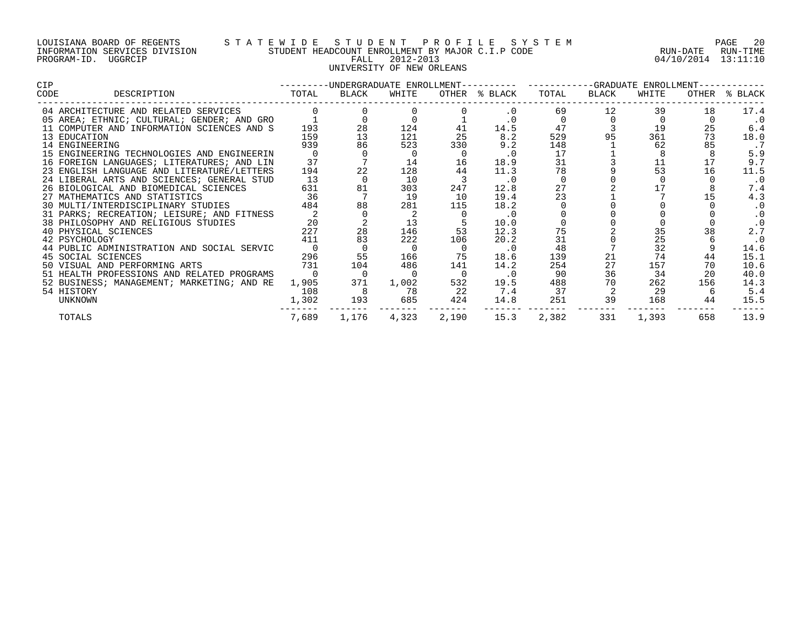#### LOUISIANA BOARD OF REGENTS S T A T E W I D E S T U D E N T P R O F I L E S Y S T E M PAGE 20 INFORMATION SERVICES DIVISION STUDENT HEADCOUNT ENROLLMENT BY MAJOR C.I.P CODE RUN-DATE RUN-TIME PROGRAM-ID. UGGRCIP FALL 2012-2013 04/10/2014 13:11:10 UNIVERSITY OF NEW ORLEANS

| <b>CIP</b> |                                            | $- - - - - - - -$                      |       |       |       |               | -UNDERGRADUATE ENROLLMENT---------- ----------GRADUATE ENROLLMENT-- |          |       |     |               |
|------------|--------------------------------------------|----------------------------------------|-------|-------|-------|---------------|---------------------------------------------------------------------|----------|-------|-----|---------------|
| CODE       | DESCRIPTION                                | TOTAL<br>. _ _ _ _ _ _ _ _ _ _ _ _ _ _ | BLACK | WHITE |       | OTHER % BLACK | TOTAL                                                               | BLACK    | WHITE |     | OTHER % BLACK |
|            | 04 ARCHITECTURE AND RELATED SERVICES       |                                        |       |       |       | $\cdot$ 0     | 69                                                                  | 12       | 39    | 18  | 17.4          |
|            | 05 AREA; ETHNIC; CULTURAL; GENDER; AND GRO |                                        |       |       |       |               |                                                                     | $\Omega$ |       |     | $\cdot$ 0     |
|            | 11 COMPUTER AND INFORMATION SCIENCES AND S | 193                                    | 28    | 124   | 41    | 14.5          | 47                                                                  |          | 19    | 25  | 6.4           |
|            | 13 EDUCATION                               | 159                                    | 13    | 121   | 25    | 8.2           | 529                                                                 | 95       | 361   | 73  | 18.0          |
|            | 14 ENGINEERING                             | 939                                    | 86    | 523   | 330   | 9.2           | 148                                                                 |          | 62    | 85  | . 7           |
|            | 15 ENGINEERING TECHNOLOGIES AND ENGINEERIN |                                        |       |       |       | $\cdot$ 0     | 17                                                                  |          |       |     | 5.9           |
|            | 16 FOREIGN LANGUAGES; LITERATURES; AND LIN | 37                                     |       | 14    | 16    | 18.9          | 31                                                                  |          |       |     | 9.7           |
|            | 23 ENGLISH LANGUAGE AND LITERATURE/LETTERS | 194                                    | 22    | 128   | 44    | 11.3          | 78                                                                  |          | 53    | 16  | 11.5          |
|            | 24 LIBERAL ARTS AND SCIENCES; GENERAL STUD | 13                                     |       | 10    |       | $\cdot$ 0     |                                                                     |          |       |     | $\cdot$ 0     |
|            | 26 BIOLOGICAL AND BIOMEDICAL SCIENCES      | 631                                    | 81    | 303   | 247   | 12.8          |                                                                     |          |       |     | 7.4           |
|            | 27 MATHEMATICS AND STATISTICS              | 36                                     |       | 19    | 10    | 19.4          | 23                                                                  |          |       |     | 4.3           |
|            | 30 MULTI/INTERDISCIPLINARY STUDIES         | 484                                    | 88    | 281   | 115   | 18.2          |                                                                     |          |       |     | $\cdot$ 0     |
|            | 31 PARKS; RECREATION; LEISURE; AND FITNESS |                                        |       |       |       | $\cdot$ 0     |                                                                     |          |       |     | $\cdot$ 0     |
|            | 38 PHILOSOPHY AND RELIGIOUS STUDIES        | 20                                     |       |       |       | 10.0          |                                                                     |          |       |     | $\cdot$ 0     |
|            | 40 PHYSICAL SCIENCES                       | 227                                    | 28    | 146   | 53    | 12.3          | 75                                                                  |          | 35    |     | 2.7           |
|            | 42 PSYCHOLOGY                              | 411                                    | 83    | 222   | 106   | 20.2          | 31                                                                  |          | 25    |     | $\cdot$ 0     |
|            | 44 PUBLIC ADMINISTRATION AND SOCIAL SERVIC |                                        |       |       |       | $\cdot$ 0     | 48                                                                  |          | 32    |     | 14.6          |
|            | 45 SOCIAL SCIENCES                         | 296                                    | 55    | 166   | 75    | 18.6          | 139                                                                 | 21       | 74    | 44  | 15.1          |
|            | 50 VISUAL AND PERFORMING ARTS              | 731                                    | 104   | 486   | 141   | 14.2          | 254                                                                 | 27       | 157   | 70  | 10.6          |
|            | 51 HEALTH PROFESSIONS AND RELATED PROGRAMS |                                        | 0     |       |       | $\cdot$ 0     | 90                                                                  | 36       | 34    | 20  | 40.0          |
|            | 52 BUSINESS; MANAGEMENT; MARKETING; AND RE | 1,905                                  | 371   | 1,002 | 532   | 19.5          | 488                                                                 | 70       | 262   | 156 | 14.3          |
|            | 54 HISTORY                                 | 108                                    |       | 78    | 22    | 7.4           | 37                                                                  |          | 29    |     | 5.4           |
|            | UNKNOWN                                    | 1,302                                  | 193   | 685   | 424   | 14.8          | 251                                                                 | 39       | 168   | 44  | 15.5          |
|            | TOTALS                                     | 7,689                                  | 1,176 | 4,323 | 2,190 | 15.3          | 2,382                                                               | 331      | 1,393 | 658 | 13.9          |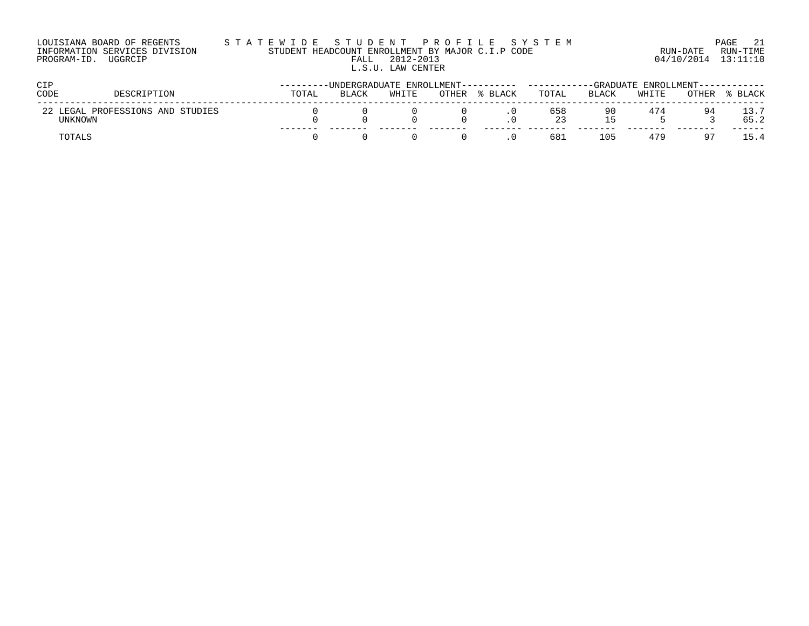| LOUISIANA BOARD OF REGENTS    | STATEWIDE STUDENT PROFILE SYSTEM                 |                     | PAGE 21  |
|-------------------------------|--------------------------------------------------|---------------------|----------|
| INFORMATION SERVICES DIVISION | STUDENT HEADCOUNT ENROLLMENT BY MAJOR C.I.P CODE | RUN-DATE            | RUN-TIME |
| PROGRAM-ID. UGGRCIP           | 2012-2013<br>FALL                                | 04/10/2014 13:11:10 |          |
|                               | L.S.U. LAW CENTER                                |                     |          |
|                               |                                                  |                     |          |

| CIP                                              | -------UNDERGRADUATE<br>ENROLLMENT---- |              |       |       |              |            | FNROLLMENT--- |       |       |       |
|--------------------------------------------------|----------------------------------------|--------------|-------|-------|--------------|------------|---------------|-------|-------|-------|
| CODE<br>DESCRIPTION                              | TOTAL                                  | <b>BLACK</b> | WHITE | OTHER | <b>BLACK</b> | TOTAL      | <b>BLACK</b>  | WHITE | OTHER | BLACK |
| LEGAL PROFESSIONS AND STUDIES<br>22 1<br>UNKNOWN |                                        |              |       |       |              | 658<br>-23 | 90            | 474   | 94    | 65.2  |
| TOTALS                                           |                                        |              |       |       |              | 681        | 105           | 479   |       | 54    |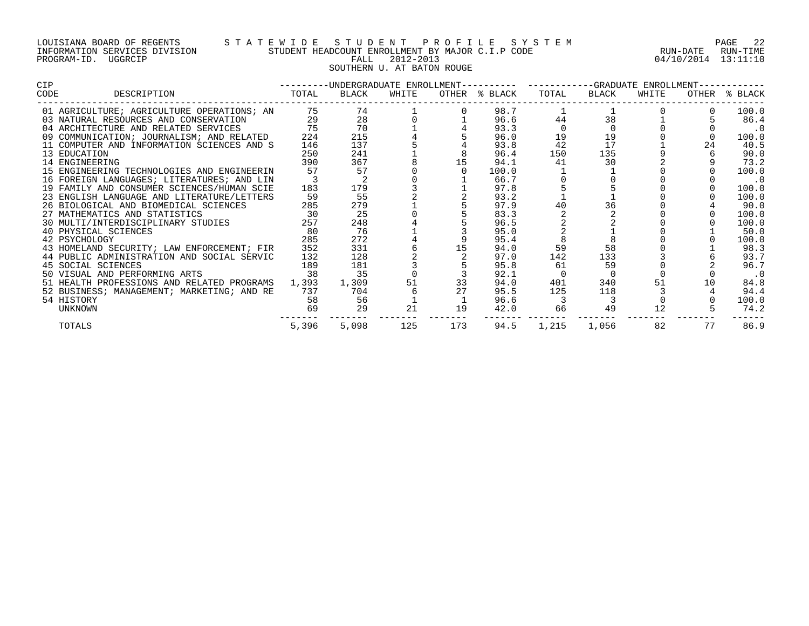## LOUISIANA BOARD OF REGENTS S T A T E W I D E S T U D E N T P R O F I L E S Y S T E M PAGE 22 INFORMATION SERVICES DIVISION STUDENT HEADCOUNT ENROLLMENT BY MAJOR C.I.P CODE RUN-DATE RUN-TIME PROGRAM-ID. UGGRCIP FALL 2012-2013 04/10/2014 13:11:10 SOUTHERN U. AT BATON ROUGE

| CIP  |                                            |                 |       |       |     | ---------UNDERGRADUATE ENROLLMENT---------- ---------GRADUATE ENROLLMENT-- |       |          |       |    |               |
|------|--------------------------------------------|-----------------|-------|-------|-----|----------------------------------------------------------------------------|-------|----------|-------|----|---------------|
| CODE | DESCRIPTION                                | TOTAL           | BLACK | WHITE |     | OTHER % BLACK                                                              | TOTAL | BLACK    | WHITE |    | OTHER % BLACK |
|      | 01 AGRICULTURE; AGRICULTURE OPERATIONS; AN | 75              | 74    |       |     | 98.7                                                                       |       |          |       |    | 100.0         |
|      | 03 NATURAL RESOURCES AND CONSERVATION      | 29              | 28    |       |     | 96.6                                                                       | 44    | 38       |       |    | 86.4          |
|      | 04 ARCHITECTURE AND RELATED SERVICES       |                 | 70    |       |     | 93.3                                                                       |       | $\Omega$ |       |    | $\cdot$ 0     |
|      | 09 COMMUNICATION; JOURNALISM; AND RELATED  | 224             | 215   |       |     | 96.0                                                                       | 19    | 19       |       |    | 100.0         |
|      | 11 COMPUTER AND INFORMATION SCIENCES AND S | 146             | 137   |       |     | 93.8                                                                       | 42    | 17       |       | 24 | 40.5          |
|      | 13 EDUCATION                               | 250             | 241   |       |     | 96.4                                                                       | 150   | 135      |       |    | 90.0          |
|      | 14 ENGINEERING                             | 390             | 367   |       | 15  | 94.1                                                                       | 41    | 30       |       |    | 73.2          |
|      | 15 ENGINEERING TECHNOLOGIES AND ENGINEERIN | 57              | 57    |       |     | 100.0                                                                      |       |          |       |    | 100.0         |
|      | 16 FOREIGN LANGUAGES; LITERATURES; AND LIN |                 |       |       |     | 66.7                                                                       |       |          |       |    | $\cdot$ 0     |
|      | 19 FAMILY AND CONSUMER SCIENCES/HUMAN SCIE | 183             | 179   |       |     | 97.8                                                                       |       |          |       |    | 100.0         |
|      | 23 ENGLISH LANGUAGE AND LITERATURE/LETTERS | 59              | 55    |       |     | 93.2                                                                       |       |          |       |    | 100.0         |
|      | 26 BIOLOGICAL AND BIOMEDICAL SCIENCES      | 285             | 279   |       |     | 97.9                                                                       |       | 36       |       |    | 90.0          |
|      | 27 MATHEMATICS AND STATISTICS              | $\overline{30}$ | 25    |       |     | 83.3                                                                       |       |          |       |    | 100.0         |
|      | 30 MULTI/INTERDISCIPLINARY STUDIES         | 257             | 248   |       |     | 96.5                                                                       |       |          |       |    | 100.0         |
|      | 40 PHYSICAL SCIENCES                       | 80              | 76    |       |     | 95.0                                                                       |       |          |       |    | 50.0          |
|      | 42 PSYCHOLOGY                              | 285             | 272   |       |     | 95.4                                                                       |       |          |       |    | 100.0         |
|      | 43 HOMELAND SECURITY; LAW ENFORCEMENT; FIR | 352             | 331   |       | 15  | 94.0                                                                       | 59    | 58       |       |    | 98.3          |
|      | 44 PUBLIC ADMINISTRATION AND SOCIAL SERVIC | 132             | 128   |       |     | 97.0                                                                       | 142   | 133      |       |    | 93.7          |
|      | 45 SOCIAL SCIENCES                         | 189             | 181   |       |     | 95.8                                                                       | 61    | 59       |       |    | 96.7          |
|      | 50 VISUAL AND PERFORMING ARTS              | 38              | 35    |       |     | 92.1                                                                       |       |          |       |    | $\cdot$ 0     |
|      | 51 HEALTH PROFESSIONS AND RELATED PROGRAMS | 1,393           | 1,309 | 51    | 33  | 94.0                                                                       | 401   | 340      |       |    | 84.8          |
|      | 52 BUSINESS; MANAGEMENT; MARKETING; AND RE | 737             | 704   |       |     | 95.5                                                                       | 125   | 118      |       |    | 94.4          |
|      | 54 HISTORY                                 | 58              | 56    |       |     | 96.6                                                                       |       |          |       |    | 100.0         |
|      | UNKNOWN                                    | 69              | 29    | 21    | 19  | 42.0                                                                       | 66    | 49       | 12    |    | 74.2          |
|      | TOTALS                                     | 5,396           | 5,098 | 125   | 173 | 94.5                                                                       | 1,215 | 1,056    | 82    | 77 | 86.9          |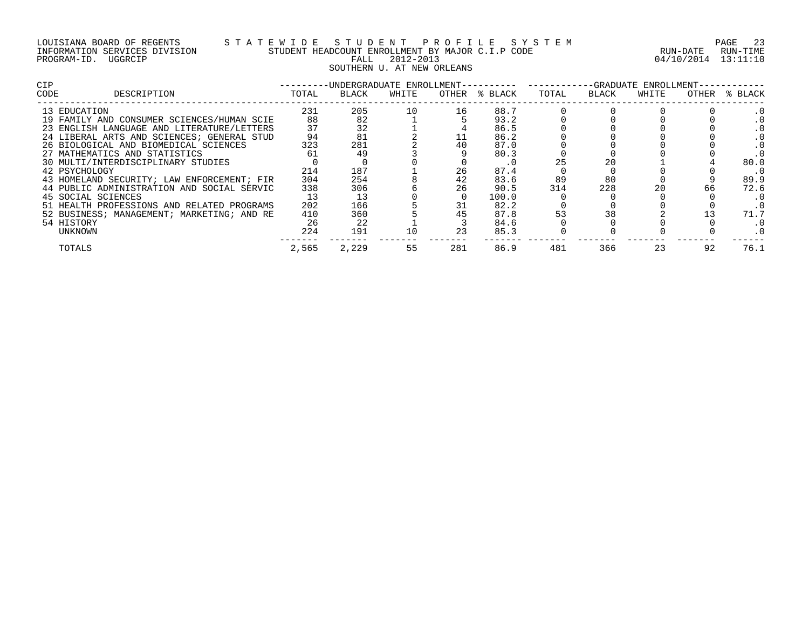## LOUISIANA BOARD OF REGENTS S T A T E W I D E S T U D E N T P R O F I L E S Y S T E M PAGE 23 INFORMATION SERVICES DIVISION STUDENT HEADCOUNT ENROLLMENT BY MAJOR C.I.P CODE RUN-DATE RUN-TIME PROGRAM-ID. UGGRCIP FALL 2012-2013 04/10/2014 13:11:10 SOUTHERN U. AT NEW ORLEANS

| <b>CIP</b> |                                            |       | -UNDERGRADUATE ENROLLMENT-- |       |     |               |       |       | -GRADUATE ENROLLMENT- |       |         |
|------------|--------------------------------------------|-------|-----------------------------|-------|-----|---------------|-------|-------|-----------------------|-------|---------|
| CODE       | DESCRIPTION                                | TOTAL | BLACK                       | WHITE |     | OTHER % BLACK | TOTAL | BLACK | WHITE                 | OTHER | % BLACK |
|            | 13 EDUCATION                               | 231   | 205                         | 10    | 16  | 88.7          |       |       |                       |       |         |
|            | 19 FAMILY AND CONSUMER SCIENCES/HUMAN SCIE | 88    | 82                          |       |     | 93.2          |       |       |                       |       |         |
|            | 23 ENGLISH LANGUAGE AND LITERATURE/LETTERS | 37    | 32                          |       |     | 86.5          |       |       |                       |       |         |
|            | 24 LIBERAL ARTS AND SCIENCES; GENERAL STUD | 94    | 81                          |       |     | 86.2          |       |       |                       |       |         |
|            | 26 BIOLOGICAL AND BIOMEDICAL SCIENCES      | 323   | 281                         |       |     | 87.0          |       |       |                       |       |         |
|            | 27 MATHEMATICS AND STATISTICS              | 61    | 49                          |       |     | 80.3          |       |       |                       |       |         |
|            | 30 MULTI/INTERDISCIPLINARY STUDIES         |       |                             |       |     | . 0           |       |       |                       |       | 80.0    |
|            | 42 PSYCHOLOGY                              | 214   | 187                         |       | 26  | 87.4          |       |       |                       |       | . 0     |
|            | 43 HOMELAND SECURITY; LAW ENFORCEMENT; FIR | 304   | 254                         |       | 42  | 83.6          | 89    | 80    |                       |       | 89.9    |
|            | 44 PUBLIC ADMINISTRATION AND SOCIAL SERVIC | 338   | 306                         |       | 26  | 90.5          | 314   | 228   | 20                    |       | 72.6    |
|            | 45 SOCIAL SCIENCES                         | 13    | 13                          |       |     | 100.0         |       |       |                       |       |         |
|            | 51 HEALTH PROFESSIONS AND RELATED PROGRAMS | 202   | 166                         |       | 31  | 82.2          |       |       |                       |       | . 0     |
|            | 52 BUSINESS; MANAGEMENT; MARKETING; AND RE | 410   | 360                         |       |     | 87.8          |       | 38    |                       |       | 71.7    |
|            | 54 HISTORY                                 | 26    | 22                          |       |     | 84.6          |       |       |                       |       |         |
|            | UNKNOWN                                    | 224   | 191                         | 10    | 23  | 85.3          |       |       |                       |       |         |
|            | TOTALS                                     | 2,565 | 2,229                       | 55    | 281 | 86.9          | 481   | 366   | 23                    | 92    | 76.1    |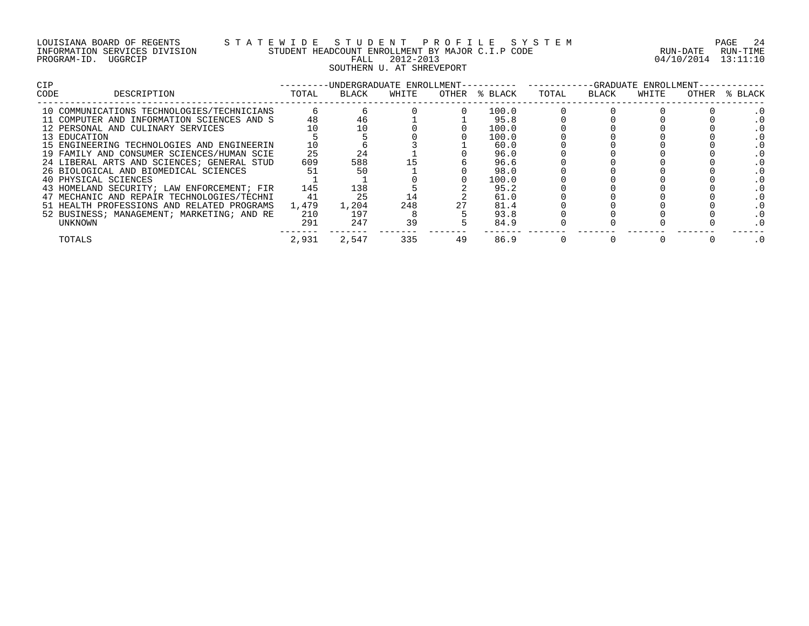| LOUISIANA BOARD OF REGENTS    |         |  |
|-------------------------------|---------|--|
| INFORMATION SERVICES DIVISION |         |  |
| PROGRAM-ID.                   | UGGRCIP |  |

# S T A T E W I D E S T U D E N T P R O F I L E S Y S T E M PAGE 24 PAGE 24 STUDENT HEADCOUNT ENROLLMENT BY MAJOR C.I.P CODE PROGRAM-ID. UGGRCIP FALL 2012-2013 04/10/2014 13:11:10 SOUTHERN U. AT SHREVEPORT

| <b>CIP</b>                                 |       | -UNDERGRADUATE ENROLLMENT-- |       |    |               |       |       | -GRADUATE ENROLLMENT- |       |         |
|--------------------------------------------|-------|-----------------------------|-------|----|---------------|-------|-------|-----------------------|-------|---------|
| CODE<br>DESCRIPTION                        | TOTAL | BLACK                       | WHITE |    | OTHER % BLACK | TOTAL | BLACK | WHITE                 | OTHER | % BLACK |
| 10 COMMUNICATIONS TECHNOLOGIES/TECHNICIANS |       |                             |       |    | 100.0         |       |       |                       |       |         |
| 11 COMPUTER AND INFORMATION SCIENCES AND S | 48    | 46                          |       |    | 95.8          |       |       |                       |       |         |
| 12 PERSONAL AND CULINARY SERVICES          |       |                             |       |    | 100.0         |       |       |                       |       |         |
| 13 EDUCATION                               |       |                             |       |    | 100.0         |       |       |                       |       |         |
| 15 ENGINEERING TECHNOLOGIES AND ENGINEERIN |       |                             |       |    | 60.0          |       |       |                       |       |         |
| 19 FAMILY AND CONSUMER SCIENCES/HUMAN SCIE | 25    | 24                          |       |    | 96.0          |       |       |                       |       |         |
| 24 LIBERAL ARTS AND SCIENCES; GENERAL STUD | 609   | 588                         |       |    | 96.6          |       |       |                       |       |         |
| 26 BIOLOGICAL AND BIOMEDICAL SCIENCES      | 51    |                             |       |    | 98.0          |       |       |                       |       |         |
| 40 PHYSICAL SCIENCES                       |       |                             |       |    | 100.0         |       |       |                       |       |         |
| 43 HOMELAND SECURITY; LAW ENFORCEMENT; FIR | 145   | 138                         |       |    | 95.2          |       |       |                       |       |         |
| 47 MECHANIC AND REPAIR TECHNOLOGIES/TECHNI | 41    | 25                          | 14    |    | 61.0          |       |       |                       |       |         |
| 51 HEALTH PROFESSIONS AND RELATED PROGRAMS | 1,479 | 1,204                       | 248   |    | 81.4          |       |       |                       |       |         |
| 52 BUSINESS; MANAGEMENT; MARKETING; AND RE | 210   | 197                         |       |    | 93.8          |       |       |                       |       |         |
| UNKNOWN                                    | 291   | 247                         | 39    |    | 84.9          |       |       |                       |       |         |
| TOTALS                                     | 2,931 | 2,547                       | 335   | 49 | 86.9          |       |       |                       |       |         |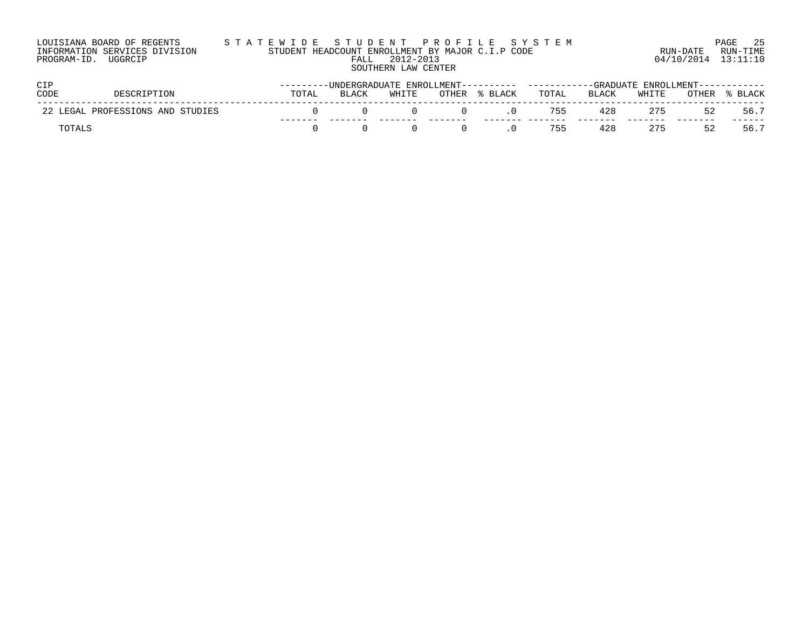| LOUISIANA BOARD OF REGENTS    | STATEWIDE STUDENT PROFILE SYSTEM                 |                     | PAGE 25 |
|-------------------------------|--------------------------------------------------|---------------------|---------|
| INFORMATION SERVICES DIVISION | STUDENT HEADCOUNT ENROLLMENT BY MAJOR C.I.P CODE | RUN-DATE RUN-TIME   |         |
| PROGRAM-ID. UGGRCIP           | 2012-2013<br>FALL                                | 04/10/2014 13:11:10 |         |
|                               | SOUTHERN LAW CENTER                              |                     |         |

| CIP         |                                  | ---------UNDERGRADUATE ENROLLMENT---------- ----------GRADUATE ENROLLMENT----------- |       |       |       |         |       |              |       |       |       |
|-------------|----------------------------------|--------------------------------------------------------------------------------------|-------|-------|-------|---------|-------|--------------|-------|-------|-------|
| <b>CODE</b> | DESCRIPTION                      | TOTAL                                                                                | BLACK | WHITE | OTHER | % BLACK | TOTAL | <b>BLACK</b> | WHITE | OTHER | BLACK |
|             | 22 LEGAL PROFESSIONS AND STUDIES |                                                                                      |       |       |       |         | 755   | 428          | 275   | 52    | 56.7  |
| TOTALL      |                                  |                                                                                      |       |       |       |         | 755   | 428          | 275   | いり    | 56.7  |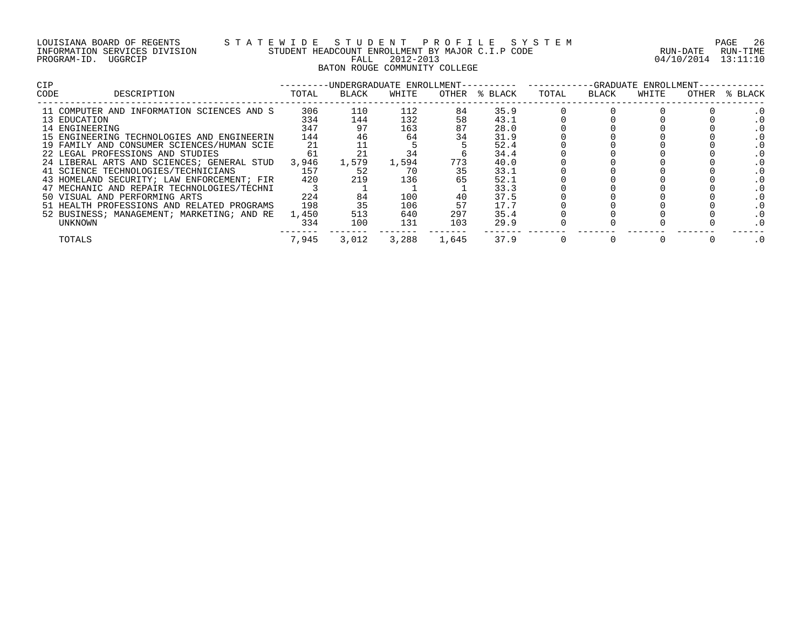| LOUISIANA BOARD OF REGENTS    |         |  |
|-------------------------------|---------|--|
| INFORMATION SERVICES DIVISION |         |  |
| PROGRAM-ID.                   | UGGRCIP |  |

## LOUISIANA BOARD OF REGENTS S T A T E W I D E S T U D E N T P R O F I L E S Y S T E M PAGE 26 INFORMATION SERVICES DIVISION STUDENT HEADCOUNT ENROLLMENT BY MAJOR C.I.P CODE RUN-DATE RUN-TIME PROGRAM-ID. UGGRCIP FALL 2012-2013 04/10/2014 13:11:10 BATON ROUGE COMMUNITY COLLEGE

| <b>CIP</b> |                                            |       | -UNDERGRADUATE ENROLLMENT-- |       |       |               |       |       | -GRADUATE ENROLLMENT- |       |         |
|------------|--------------------------------------------|-------|-----------------------------|-------|-------|---------------|-------|-------|-----------------------|-------|---------|
| CODE       | DESCRIPTION                                | TOTAL | BLACK                       | WHITE |       | OTHER % BLACK | TOTAL | BLACK | WHITE                 | OTHER | % BLACK |
|            | 11 COMPUTER AND INFORMATION SCIENCES AND S | 306   | 110                         | 112   | 84    | 35.9          |       |       |                       |       |         |
|            | 13 EDUCATION                               | 334   | 144                         | 132   | 58    | 43.1          |       |       |                       |       |         |
|            | 14 ENGINEERING                             | 347   | 97                          | 163   | 87    | 28.0          |       |       |                       |       |         |
|            | 15 ENGINEERING TECHNOLOGIES AND ENGINEERIN | 144   | 46                          | 64    | 34    | 31.9          |       |       |                       |       |         |
|            | 19 FAMILY AND CONSUMER SCIENCES/HUMAN SCIE | 21    |                             |       |       | 52.4          |       |       |                       |       |         |
|            | 22 LEGAL PROFESSIONS AND STUDIES           | 61    |                             | 34    |       | 34.4          |       |       |                       |       |         |
|            | 24 LIBERAL ARTS AND SCIENCES; GENERAL STUD | 3,946 | 1,579                       | 1,594 | 773   | 40.0          |       |       |                       |       |         |
|            | 41 SCIENCE TECHNOLOGIES/TECHNICIANS        | 157   | 52                          | 70    |       | 33.1          |       |       |                       |       |         |
|            | 43 HOMELAND SECURITY; LAW ENFORCEMENT; FIR | 420   | 219                         | 136   |       | 52.1          |       |       |                       |       |         |
|            | 47 MECHANIC AND REPAIR TECHNOLOGIES/TECHNI |       |                             |       |       | 33.3          |       |       |                       |       |         |
|            | 50 VISUAL AND PERFORMING ARTS              | 224   | 84                          | 100   |       | 37.5          |       |       |                       |       |         |
|            | 51 HEALTH PROFESSIONS AND RELATED PROGRAMS | 198   |                             | 106   | 57    | 17.7          |       |       |                       |       |         |
|            | 52 BUSINESS; MANAGEMENT; MARKETING; AND RE | 1,450 | 513                         | 640   | 297   | 35.4          |       |       |                       |       |         |
|            | UNKNOWN                                    | 334   | 100                         | 131   | 103   | 29.9          |       |       |                       |       |         |
|            | TOTALS                                     | 7,945 | 3,012                       | 3,288 | 1,645 | 37.9          |       |       |                       |       |         |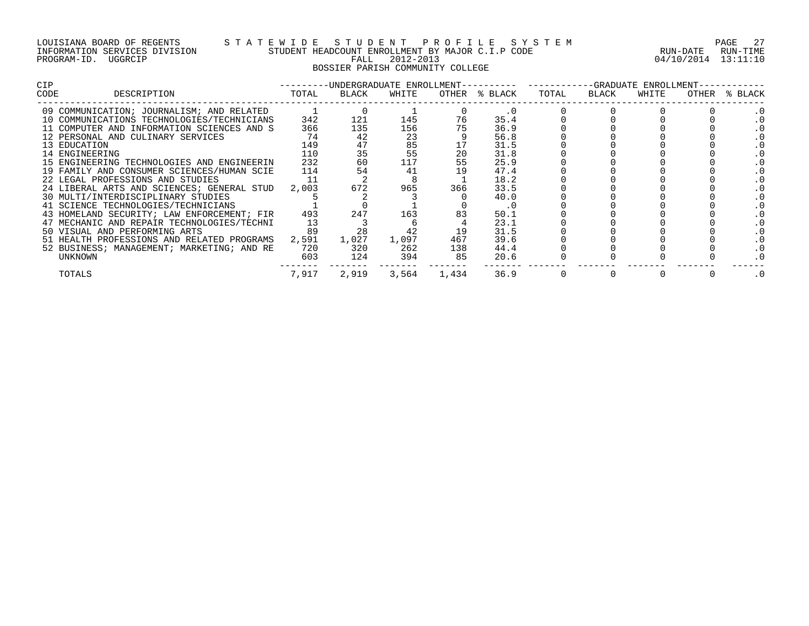#### LOUISIANA BOARD OF REGENTS S T A T E W I D E S T U D E N T P R O F I L E S Y S T E M PAGE 27 INFORMATION SERVICES DIVISION STUDENT HEADCOUNT ENROLLMENT BY MAJOR C.I.P CODE RUN-DATE RUN-TIME PROGRAM-ID. UGGRCIP FALL 2012-2013 04/10/2014 13:11:10 BOSSIER PARISH COMMUNITY COLLEGE

| <b>CIP</b>     |                                            |       | ---------UNDERGRADUATE ENROLLMENT---------- ----------GRADUATE ENROLLMENT-- |       |             |               |       |       |       |       |         |  |
|----------------|--------------------------------------------|-------|-----------------------------------------------------------------------------|-------|-------------|---------------|-------|-------|-------|-------|---------|--|
| CODE           | DESCRIPTION                                | TOTAL | BLACK                                                                       | WHITE |             | OTHER % BLACK | TOTAL | BLACK | WHITE | OTHER | % BLACK |  |
|                | 09 COMMUNICATION; JOURNALISM; AND RELATED  |       |                                                                             |       |             |               |       |       |       |       |         |  |
|                | 10 COMMUNICATIONS TECHNOLOGIES/TECHNICIANS | 342   | 121                                                                         | 145   | 76          | 35.4          |       |       |       |       |         |  |
|                | 11 COMPUTER AND INFORMATION SCIENCES AND S | 366   | 135                                                                         | 156   |             | 36.9          |       |       |       |       |         |  |
|                | 12 PERSONAL AND CULINARY SERVICES          | 74    | 42                                                                          | 23    |             | 56.8          |       |       |       |       |         |  |
| 13 EDUCATION   |                                            | 149   | 47                                                                          | 85    |             | 31.5          |       |       |       |       |         |  |
| 14 ENGINEERING |                                            | 110   | 35                                                                          | 55    | 20          | 31.8          |       |       |       |       |         |  |
|                | 15 ENGINEERING TECHNOLOGIES AND ENGINEERIN | 232   | 60                                                                          | 117   | 55          | 25.9          |       |       |       |       |         |  |
|                | 19 FAMILY AND CONSUMER SCIENCES/HUMAN SCIE | 114   | 54                                                                          | 41    |             | 47.4          |       |       |       |       |         |  |
|                | 22 LEGAL PROFESSIONS AND STUDIES           | 11    |                                                                             |       |             | 18.2          |       |       |       |       |         |  |
|                | 24 LIBERAL ARTS AND SCIENCES; GENERAL STUD | 2,003 | 672                                                                         | 965   | 366         | 33.5          |       |       |       |       |         |  |
|                | 30 MULTI/INTERDISCIPLINARY STUDIES         |       |                                                                             |       |             | 40.0          |       |       |       |       |         |  |
|                | 41 SCIENCE TECHNOLOGIES/TECHNICIANS        |       |                                                                             |       |             | . 0           |       |       |       |       |         |  |
|                | 43 HOMELAND SECURITY; LAW ENFORCEMENT; FIR | 493   | 247                                                                         | 163   |             | 50.1          |       |       |       |       |         |  |
|                | 47 MECHANIC AND REPAIR TECHNOLOGIES/TECHNI | 13    |                                                                             |       |             | 23.1          |       |       |       |       |         |  |
|                | 50 VISUAL AND PERFORMING ARTS              | 89    | 28                                                                          | 42    | 19          | 31.5          |       |       |       |       |         |  |
|                | 51 HEALTH PROFESSIONS AND RELATED PROGRAMS | 2,591 | 1,027                                                                       | 1,097 | 467         | 39.6          |       |       |       |       |         |  |
|                | 52 BUSINESS; MANAGEMENT; MARKETING; AND RE | 720   | 320                                                                         | 262   | 138         | 44.4          |       |       |       |       |         |  |
| UNKNOWN        |                                            | 603   | 124                                                                         | 394   | 85          | 20.6          |       |       |       |       |         |  |
| TOTALS         |                                            | 7,917 | 2,919                                                                       |       | 3,564 1,434 | 36.9          |       |       |       |       | . 0     |  |
|                |                                            |       |                                                                             |       |             |               |       |       |       |       |         |  |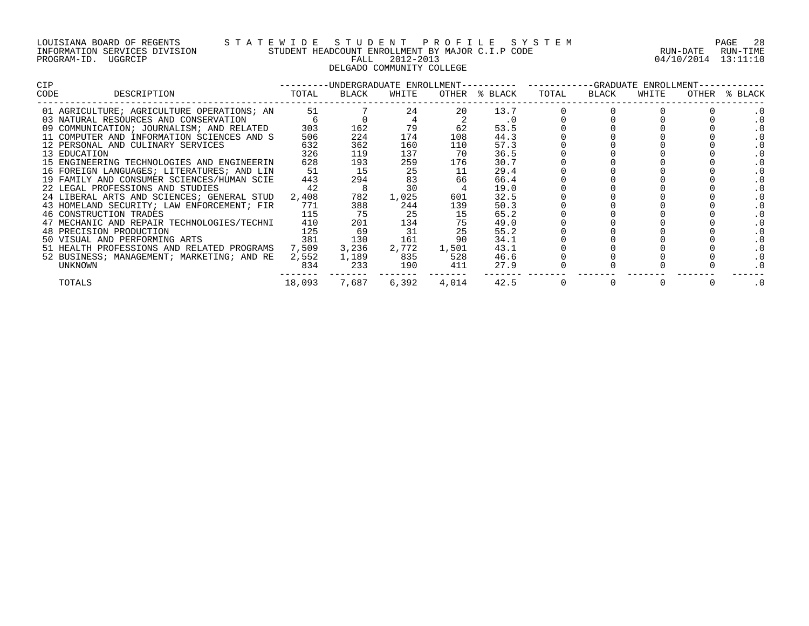#### LOUISIANA BOARD OF REGENTS S T A T E W I D E S T U D E N T P R O F I L E S Y S T E M PAGE 28 INFORMATION SERVICES DIVISION STUDENT HEADCOUNT ENROLLMENT BY MAJOR C.I.P CODE RUN-DATE RUN-TIME PROGRAM-ID. UGGRCIP FALL 2012-2013 04/10/2014 13:11:10 DELGADO COMMUNITY COLLEGE

| CIP.                                       |                  |                |          | ---------UNDERGRADUATE ENROLLMENT---------- ----------GRADUATE ENROLLMENT-- |               |       |       |       |  |               |  |  |
|--------------------------------------------|------------------|----------------|----------|-----------------------------------------------------------------------------|---------------|-------|-------|-------|--|---------------|--|--|
| CODE<br>DESCRIPTION                        | TOTAL            | BLACK          | WHITE    |                                                                             | OTHER % BLACK | TOTAL | BLACK | WHITE |  | OTHER % BLACK |  |  |
| 01 AGRICULTURE; AGRICULTURE OPERATIONS; AN | 51               |                | 24       | 20                                                                          | 13.7          |       |       |       |  |               |  |  |
| 03 NATURAL RESOURCES AND CONSERVATION      |                  |                |          |                                                                             | $\cdot$ 0     |       |       |       |  |               |  |  |
| 09 COMMUNICATION; JOURNALISM; AND RELATED  | 303              | 162            | 79       | 62                                                                          | 53.5          |       |       |       |  |               |  |  |
| 11 COMPUTER AND INFORMATION SCIENCES AND S | 506              | 224            | 174      | 108                                                                         | 44.3          |       |       |       |  |               |  |  |
| 12 PERSONAL AND CULINARY SERVICES          | 632              | 362            | 160      | 110                                                                         | 57.3          |       |       |       |  |               |  |  |
| 13 EDUCATION                               | 326              | 119            | 137      | 70                                                                          | 36.5          |       |       |       |  |               |  |  |
| 15 ENGINEERING TECHNOLOGIES AND ENGINEERIN | 628              | 193            | 259      | 176                                                                         | 30.7          |       |       |       |  |               |  |  |
| 16 FOREIGN LANGUAGES; LITERATURES; AND LIN | 51               | 15             | 25       | 11                                                                          | 29.4          |       |       |       |  | . 0           |  |  |
| 19 FAMILY AND CONSUMER SCIENCES/HUMAN SCIE | 443              | 294            | 83<br>30 | 66                                                                          | 66.4          |       |       |       |  |               |  |  |
| 22 LEGAL PROFESSIONS AND STUDIES           | 42               | 8 <sup>8</sup> |          |                                                                             | 19.0          |       |       |       |  |               |  |  |
| 24 LIBERAL ARTS AND SCIENCES; GENERAL STUD | 2,408            | 782            | 1,025    | 601                                                                         | 32.5          |       |       |       |  |               |  |  |
| 43 HOMELAND SECURITY; LAW ENFORCEMENT; FIR | 771              | 388            | 244      | 139                                                                         | 50.3          |       |       |       |  |               |  |  |
| 46 CONSTRUCTION TRADES                     | 115              | 75             | 25       | 15                                                                          | 65.2          |       |       |       |  |               |  |  |
| 47 MECHANIC AND REPAIR TECHNOLOGIES/TECHNI | 410              | 201            | 134      |                                                                             | 49.0          |       |       |       |  |               |  |  |
| 48 PRECISION PRODUCTION                    | $\frac{125}{25}$ | 69             | 31       | 25                                                                          | 55.2          |       |       |       |  |               |  |  |
| 50 VISUAL AND PERFORMING ARTS 381 130      |                  |                | 161      | 90                                                                          | 34.1          |       |       |       |  |               |  |  |
| 51 HEALTH PROFESSIONS AND RELATED PROGRAMS | 7,509            | 3,236          | 2,772    | 1,501                                                                       | 43.1          |       |       |       |  |               |  |  |
| 52 BUSINESS; MANAGEMENT; MARKETING; AND RE | 2,552            | 1,189          | 835      | 528                                                                         | 46.6          |       |       |       |  |               |  |  |
| UNKNOWN                                    | 834              | 233            | 190      | 411                                                                         | 27.9          |       |       |       |  |               |  |  |
| TOTALS                                     | 18,093           | 7,687          | 6,392    | 4,014                                                                       | 42.5          |       |       |       |  | . 0           |  |  |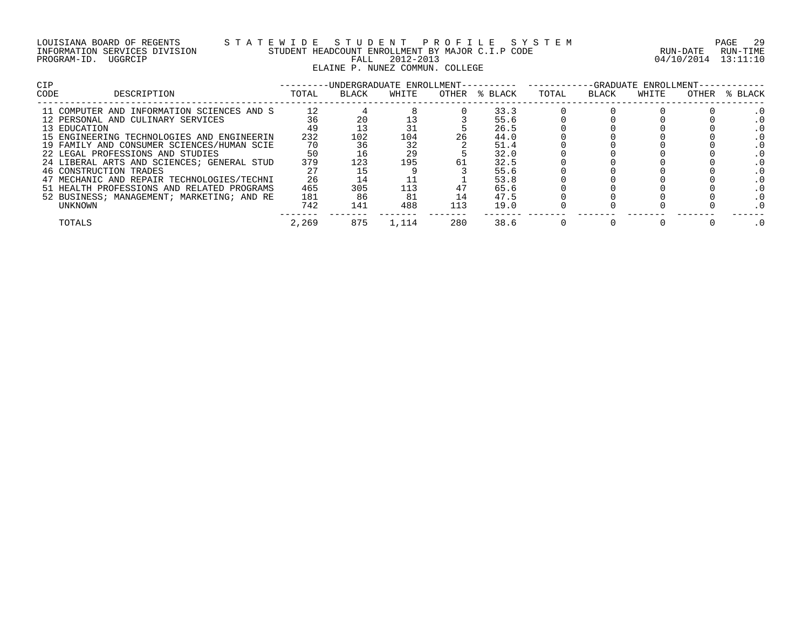#### LOUISIANA BOARD OF REGENTS S T A T E W I D E S T U D E N T P R O F I L E S Y S T E M PAGE 29 INFORMATION SERVICES DIVISION STUDENT HEADCOUNT ENROLLMENT BY MAJOR C.I.P CODE RUN-DATE RUN-TIME PROGRAM-ID. UGGRCIP FALL 2012-2013 04/10/2014 13:11:10 ELAINE P. NUNEZ COMMUN. COLLEGE

| CIP  |                                            | -UNDERGRADUATE ENROLLMENT--<br>-GRADUATE ENROLLMENT- |       |       |     |               |       |       |       |       |         |
|------|--------------------------------------------|------------------------------------------------------|-------|-------|-----|---------------|-------|-------|-------|-------|---------|
| CODE | DESCRIPTION                                | TOTAL                                                | BLACK | WHITE |     | OTHER % BLACK | TOTAL | BLACK | WHITE | OTHER | % BLACK |
|      | 11 COMPUTER AND INFORMATION SCIENCES AND S | 12                                                   |       |       |     | 33.3          |       |       |       |       |         |
|      | 12 PERSONAL AND CULINARY SERVICES          |                                                      |       | 13    |     | 55.6          |       |       |       |       |         |
|      | 13 EDUCATION                               | 49                                                   |       |       |     | 26.5          |       |       |       |       |         |
|      | 15 ENGINEERING TECHNOLOGIES AND ENGINEERIN | 232                                                  | 102   | 104   | 26  | 44.0          |       |       |       |       |         |
|      | 19 FAMILY AND CONSUMER SCIENCES/HUMAN SCIE | 70                                                   |       | 32    |     | 51.4          |       |       |       |       |         |
|      | 22 LEGAL PROFESSIONS AND STUDIES           | 50                                                   | 16    | 29    |     | 32.0          |       |       |       |       |         |
|      | 24 LIBERAL ARTS AND SCIENCES; GENERAL STUD | 379                                                  | 123   | 195   | 61  | 32.5          |       |       |       |       |         |
|      | 46 CONSTRUCTION TRADES                     |                                                      |       |       |     | 55.6          |       |       |       |       |         |
|      | 47 MECHANIC AND REPAIR TECHNOLOGIES/TECHNI | 26                                                   |       |       |     | 53.8          |       |       |       |       |         |
|      | 51 HEALTH PROFESSIONS AND RELATED PROGRAMS | 465                                                  | 305   | 113   |     | 65.6          |       |       |       |       |         |
|      | 52 BUSINESS; MANAGEMENT; MARKETING; AND RE | 181                                                  | 86    | 81    |     | 47.5          |       |       |       |       |         |
|      | UNKNOWN                                    | 742                                                  | 141   | 488   | 113 | 19.0          |       |       |       |       |         |
|      | TOTALS                                     | 2,269                                                | 875   | l.114 | 280 | 38.6          |       |       |       |       |         |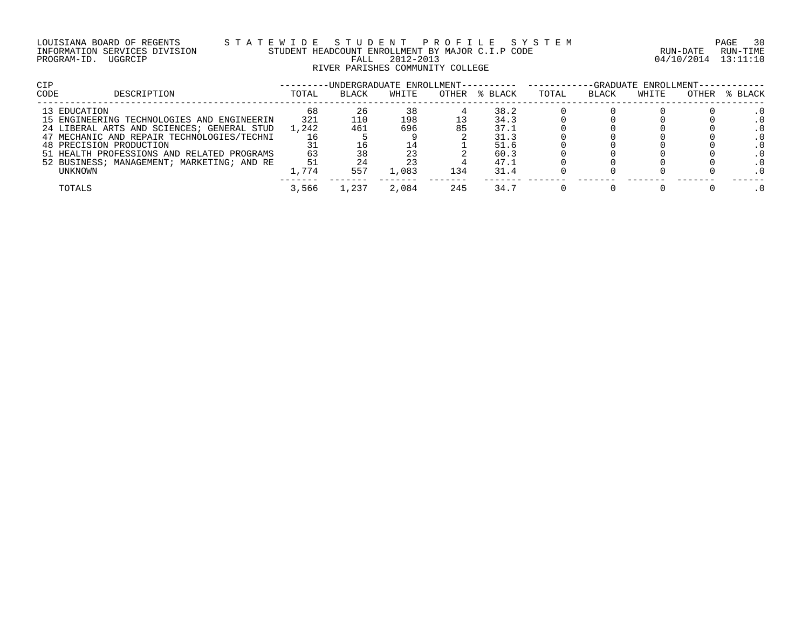#### LOUISIANA BOARD OF REGENTS S T A T E W I D E S T U D E N T P R O F I L E S Y S T E M PAGE 30 INFORMATION SERVICES DIVISION STUDENT HEADCOUNT ENROLLMENT BY MAJOR C.I.P CODE RUN-DATE RUN-TIME PROGRAM-ID. UGGRCIP FALL 2012-2013 04/10/2014 13:11:10 RIVER PARISHES COMMUNITY COLLEGE

| <b>CIP</b>                                 |       |              | -UNDERGRADUATE ENROLLMENT- |       |         |       | -GRADUATE ENROLLMENT- |       |       |         |  |  |  |
|--------------------------------------------|-------|--------------|----------------------------|-------|---------|-------|-----------------------|-------|-------|---------|--|--|--|
| <b>CODE</b><br>DESCRIPTION                 | TOTAL | <b>BLACK</b> | WHITE                      | OTHER | % BLACK | TOTAL | <b>BLACK</b>          | WHITE | OTHER | % BLACK |  |  |  |
| 13 EDUCATION                               | 68    | 26           | 38                         |       | 38.2    |       |                       |       |       |         |  |  |  |
| 15 ENGINEERING TECHNOLOGIES AND ENGINEERIN | 321   | 110          | 198                        |       | 34.3    |       |                       |       |       |         |  |  |  |
| 24 LIBERAL ARTS AND SCIENCES; GENERAL STUD | 1,242 | 461          | 696                        | 85    | 37.1    |       |                       |       |       |         |  |  |  |
| 47 MECHANIC AND REPAIR TECHNOLOGIES/TECHNI |       |              |                            |       | 31.3    |       |                       |       |       |         |  |  |  |
| 48 PRECISION PRODUCTION                    |       |              | $\pm 4$                    |       | 51.6    |       |                       |       |       |         |  |  |  |
| 51 HEALTH PROFESSIONS AND RELATED PROGRAMS | 63    |              | 23                         |       | 60.3    |       |                       |       |       |         |  |  |  |
| 52 BUSINESS; MANAGEMENT; MARKETING; AND RE | 51    |              |                            |       | 47.1    |       |                       |       |       |         |  |  |  |
| UNKNOWN                                    | 1,774 | 557          | 1,083                      | 134   | 31.4    |       |                       |       |       |         |  |  |  |
| TOTALS                                     | 3,566 | ,237         | 2,084                      | 245   | 34.7    |       |                       |       |       |         |  |  |  |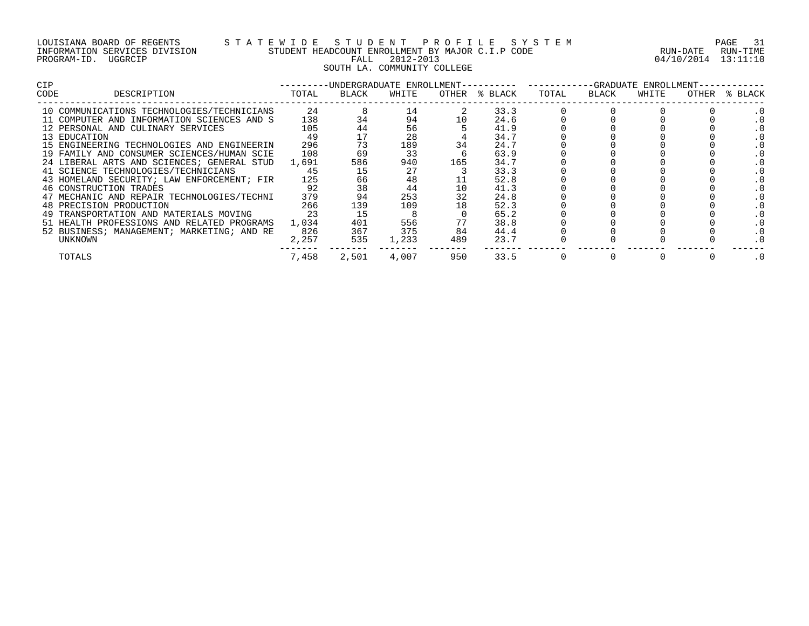| LOUISIANA BOARD OF REGENTS    |         |  |
|-------------------------------|---------|--|
| INFORMATION SERVICES DIVISION |         |  |
| PROGRAM-ID.                   | UGGRCIP |  |

# S T A T E W I D E S T U D E N T P R O F I L E S Y S T E M PAGE 31 PAGE 31 STUDENT HEADCOUNT ENROLLMENT BY MAJOR C.I.P CODE STUDENT HEADCOUNT ENROLLMENT BY MAJOR C.I.P CODE FALL 2012-2013 04/10/2014 13:11:10 SOUTH LA. COMMUNITY COLLEGE

| <b>CIP</b> |                                            |       |       |       |     |               | --GRADUATE ENROLLMENT- |       |       |       |         |  |
|------------|--------------------------------------------|-------|-------|-------|-----|---------------|------------------------|-------|-------|-------|---------|--|
| CODE       | DESCRIPTION                                | TOTAL | BLACK | WHITE |     | OTHER % BLACK | TOTAL                  | BLACK | WHITE | OTHER | % BLACK |  |
|            | 10 COMMUNICATIONS TECHNOLOGIES/TECHNICIANS | 24    |       | 14    |     | 33.3          |                        |       |       |       |         |  |
|            | 11 COMPUTER AND INFORMATION SCIENCES AND S | 138   | 34    | 94    |     | 24.6          |                        |       |       |       |         |  |
|            | 12 PERSONAL AND CULINARY SERVICES          | 105   | 44    | 56    |     | 41.9          |                        |       |       |       |         |  |
|            | 13 EDUCATION                               | 49    |       | 28    |     | 34.7          |                        |       |       |       |         |  |
|            | 15 ENGINEERING TECHNOLOGIES AND ENGINEERIN | 296   | 73    | 189   | 34  | 24.7          |                        |       |       |       |         |  |
|            | 19 FAMILY AND CONSUMER SCIENCES/HUMAN SCIE | 108   | 69    | 33    |     | 63.9          |                        |       |       |       |         |  |
|            | 24 LIBERAL ARTS AND SCIENCES; GENERAL STUD | 1,691 | 586   | 940   | 165 | 34.7          |                        |       |       |       |         |  |
|            | 41 SCIENCE TECHNOLOGIES/TECHNICIANS        | 45    |       | 27    |     | 33.3          |                        |       |       |       |         |  |
|            | 43 HOMELAND SECURITY; LAW ENFORCEMENT; FIR | 125   | 66    | 48    |     | 52.8          |                        |       |       |       |         |  |
|            | 46 CONSTRUCTION TRADES                     | 92    | 38    | 44    | 10  | 41.3          |                        |       |       |       |         |  |
|            | 47 MECHANIC AND REPAIR TECHNOLOGIES/TECHNI | 379   |       | 253   |     | 24.8          |                        |       |       |       |         |  |
|            | 48 PRECISION PRODUCTION                    | 266   | 139   | 109   |     | 52.3          |                        |       |       |       |         |  |
|            | 49 TRANSPORTATION AND MATERIALS MOVING     | 23    | 15    |       |     | 65.2          |                        |       |       |       |         |  |
|            | 51 HEALTH PROFESSIONS AND RELATED PROGRAMS | 1,034 | 401   | 556   | 77  | 38.8          |                        |       |       |       |         |  |
|            | 52 BUSINESS; MANAGEMENT; MARKETING; AND RE | 826   | 367   | 375   | 84  | 44.4          |                        |       |       |       |         |  |
|            | UNKNOWN                                    | 2,257 | 535   | 1,233 | 489 | 23.7          |                        |       |       |       |         |  |
|            | TOTALS                                     | 7,458 | 2,501 | 4,007 | 950 | 33.5          | $\mathbf{0}$           |       |       |       |         |  |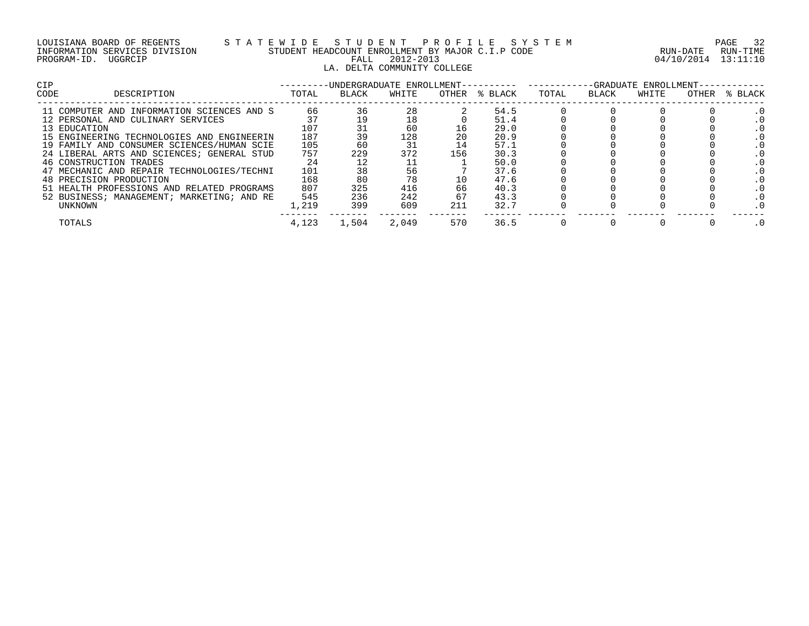## LOUISIANA BOARD OF REGENTS S T A T E W I D E S T U D E N T P R O F I L E S Y S T E M PAGE 32 INFORMATION SERVICES DIVISION STUDENT HEADCOUNT ENROLLMENT BY MAJOR C.I.P CODE RUN-DATE RUN-TIME PROGRAM-ID. UGGRCIP FALL 2012-2013 04/10/2014 13:11:10 LA. DELTA COMMUNITY COLLEGE

| <b>CIP</b>                                 |       | -UNDERGRADUATE ENROLLMENT- |       |       |         | -GRADUATE ENROLLMENT- |       |       |       |         |
|--------------------------------------------|-------|----------------------------|-------|-------|---------|-----------------------|-------|-------|-------|---------|
| CODE<br>DESCRIPTION                        | TOTAL | BLACK                      | WHITE | OTHER | % BLACK | TOTAL                 | BLACK | WHITE | OTHER | % BLACK |
| 11 COMPUTER AND INFORMATION SCIENCES AND S | 66    | 36                         | 28    |       | 54.5    |                       |       |       |       |         |
| 12 PERSONAL AND CULINARY SERVICES          |       |                            | 18    |       | 51.4    |                       |       |       |       |         |
| 13 EDUCATION                               | 107   |                            | 60    | 16    | 29.0    |                       |       |       |       |         |
| 15 ENGINEERING TECHNOLOGIES AND ENGINEERIN | 187   | 39                         | 128   |       | 20.9    |                       |       |       |       |         |
| 19 FAMILY AND CONSUMER SCIENCES/HUMAN SCIE | 105   | 60                         |       | 14    | 57.1    |                       |       |       |       |         |
| 24 LIBERAL ARTS AND SCIENCES; GENERAL STUD | 757   | 229                        | 372   | 156   | 30.3    |                       |       |       |       |         |
| 46 CONSTRUCTION TRADES                     | 24    |                            |       |       | 50.0    |                       |       |       |       |         |
| 47 MECHANIC AND REPAIR TECHNOLOGIES/TECHNI | 101   | 38                         | 56    |       | 37.6    |                       |       |       |       |         |
| 48 PRECISION PRODUCTION                    | 168   | 80                         | 78    |       | 47.6    |                       |       |       |       |         |
| 51 HEALTH PROFESSIONS AND RELATED PROGRAMS | 807   | 325                        | 416   | 66    | 40.3    |                       |       |       |       |         |
| 52 BUSINESS; MANAGEMENT; MARKETING; AND RE | 545   | 236                        | 242   | 67    | 43.3    |                       |       |       |       |         |
| UNKNOWN                                    | 1,219 | 399                        | 609   | 211   | 32.7    |                       |       |       |       |         |
| TOTALS                                     | 4,123 | 1,504                      | 2,049 | 570   | 36.5    |                       |       |       |       |         |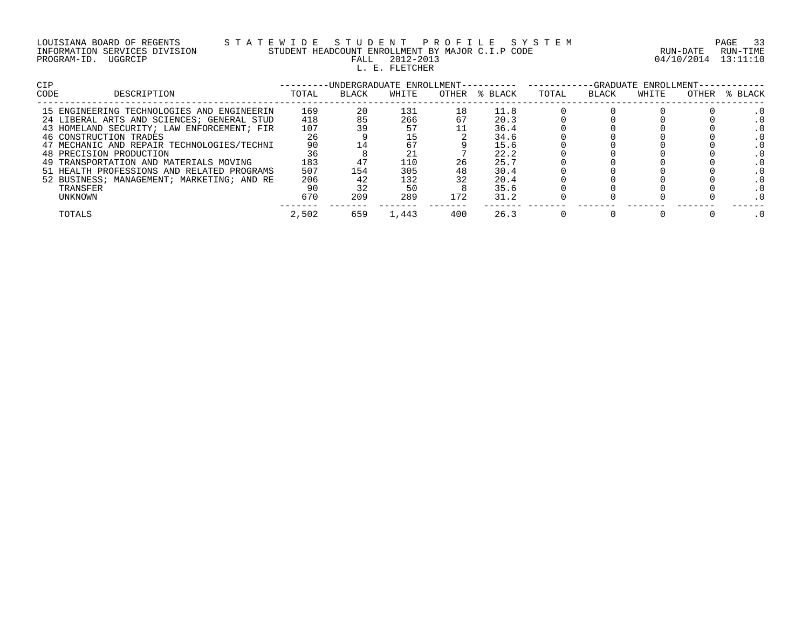| LOUISIANA BOARD OF REGENTS    |  |  | S T A |  |
|-------------------------------|--|--|-------|--|
| INFORMATION SERVICES DIVISION |  |  |       |  |
| PROGRAM-ID. UGGRCIP           |  |  |       |  |

# LOUISIANA BOARD OF REGENTS S T A T E W I D E S T U D E N T P R O F I L E S Y S T E M PAGE 33 INFORMATION SERVICES DIVISION STUDENT HEADCOUNT ENROLLMENT BY MAJOR C.I.P CODE RUN-DATE RUN-TIME FALL 2012-2013<br>L. E. FLETCHER

04/10/2014 13:11:10

| <b>CIP</b>                                 |       | -UNDERGRADUATE ENROLLMENT- |       |     |               |       |       | -GRADUATE ENROLLMENT- |       |         |
|--------------------------------------------|-------|----------------------------|-------|-----|---------------|-------|-------|-----------------------|-------|---------|
| CODE<br>DESCRIPTION                        | TOTAL | BLACK                      | WHITE |     | OTHER % BLACK | TOTAL | BLACK | WHITE                 | OTHER | % BLACK |
| 15 ENGINEERING TECHNOLOGIES AND ENGINEERIN | 169   | 20                         | 131   | 18  | 11.8          |       |       |                       |       |         |
| 24 LIBERAL ARTS AND SCIENCES; GENERAL STUD | 418   | 85                         | 266   |     | 20.3          |       |       |                       |       |         |
| 43 HOMELAND SECURITY; LAW ENFORCEMENT; FIR | 107   |                            |       |     | 36.4          |       |       |                       |       |         |
| 46 CONSTRUCTION TRADES                     | 26    |                            |       |     | 34.6          |       |       |                       |       |         |
| 47 MECHANIC AND REPAIR TECHNOLOGIES/TECHNI | 90    |                            | 67    |     | 15.6          |       |       |                       |       |         |
| 48 PRECISION PRODUCTION                    | 36    |                            |       |     | 22.2          |       |       |                       |       |         |
| 49 TRANSPORTATION AND MATERIALS MOVING     | 183   |                            | 110   | 26  | 25.7          |       |       |                       |       |         |
| 51 HEALTH PROFESSIONS AND RELATED PROGRAMS | 507   | 154                        | 305   |     | 30.4          |       |       |                       |       |         |
| 52 BUSINESS; MANAGEMENT; MARKETING; AND RE | 206   |                            | 132   |     | 20.4          |       |       |                       |       |         |
| TRANSFER                                   | 90    |                            | 50    |     | 35.6          |       |       |                       |       |         |
| UNKNOWN                                    | 670   | 209                        | 289   | 172 | 31.2          |       |       |                       |       |         |
| TOTALS                                     | 2,502 | 659                        | L.443 | 400 | 26.3          |       |       |                       |       |         |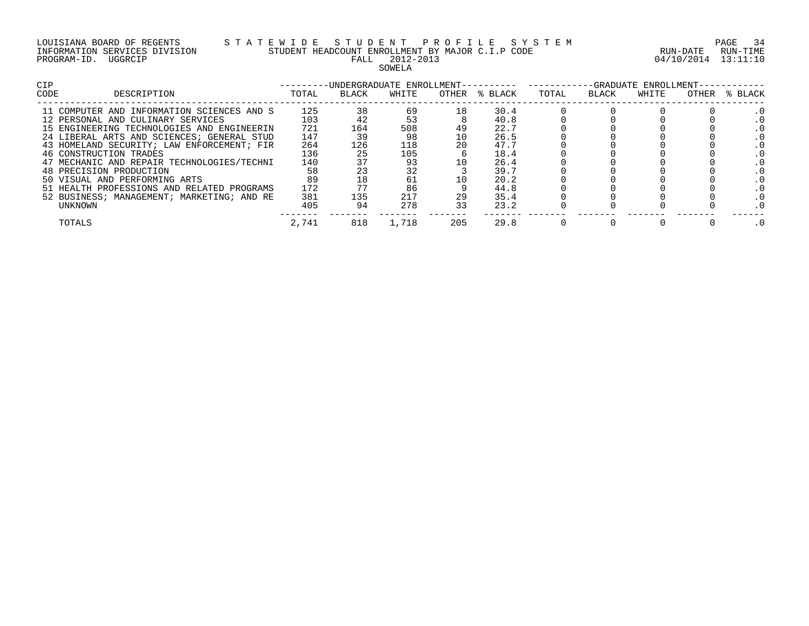|             | LOUISIANA BOARD OF REGENTS    |  |
|-------------|-------------------------------|--|
|             | INFORMATION SERVICES DIVISION |  |
| PROGRAM-ID. | UGGRCIP                       |  |

#### LOUISIANA BOARD OF REGENTS S T A T E W I D E S T U D E N T P R O F I L E S Y S T E M PAGE 34 INFORMATION SERVICES DIVISION STUDENT HEADCOUNT ENROLLMENT BY MAJOR C.I.P CODE RUN-DATE RUN-TIME PALL 2012-2013 04/10/2014 13:11:10 SOWELA

| <b>CIP</b>                                 | -UNDERGRADUATE ENROLLMENT-- |       |       |       |         |       |       |       | -GRADUATE ENROLLMENT- |         |  |
|--------------------------------------------|-----------------------------|-------|-------|-------|---------|-------|-------|-------|-----------------------|---------|--|
| DESCRIPTION<br>CODE                        | TOTAL                       | BLACK | WHITE | OTHER | % BLACK | TOTAL | BLACK | WHITE | OTHER                 | % BLACK |  |
| 11 COMPUTER AND INFORMATION SCIENCES AND S | 125                         | 38    | 69    | 18    | 30.4    |       |       |       |                       |         |  |
| 12 PERSONAL AND CULINARY SERVICES          | 103                         |       | 53    |       | 40.8    |       |       |       |                       |         |  |
| 15 ENGINEERING TECHNOLOGIES AND ENGINEERIN | 721                         | 164   | 508   | 49    | 22.7    |       |       |       |                       |         |  |
| 24 LIBERAL ARTS AND SCIENCES; GENERAL STUD | 147                         | 39    | 98    |       | 26.5    |       |       |       |                       |         |  |
| 43 HOMELAND SECURITY; LAW ENFORCEMENT; FIR | 264                         | 126   | 118   |       | 47.7    |       |       |       |                       |         |  |
| 46 CONSTRUCTION TRADES                     | 136                         | 25    | 105   |       | 18.4    |       |       |       |                       |         |  |
| 47 MECHANIC AND REPAIR TECHNOLOGIES/TECHNI | 140                         |       | 93    |       | 26.4    |       |       |       |                       |         |  |
| 48 PRECISION PRODUCTION                    | 58                          |       | 32    |       | 39.7    |       |       |       |                       |         |  |
| 50 VISUAL AND PERFORMING ARTS              | 89                          | 18    | 61    |       | 20.2    |       |       |       |                       |         |  |
| 51 HEALTH PROFESSIONS AND RELATED PROGRAMS | 172                         |       | 86    |       | 44.8    |       |       |       |                       |         |  |
| 52 BUSINESS; MANAGEMENT; MARKETING; AND RE | 381                         | 135   | 217   | 29    | 35.4    |       |       |       |                       |         |  |
| UNKNOWN                                    | 405                         | 94    | 278   |       | 23.2    |       |       |       |                       |         |  |
| TOTALS                                     | 2,741                       | 818   | 1,718 | 205   | 29.8    |       |       |       |                       |         |  |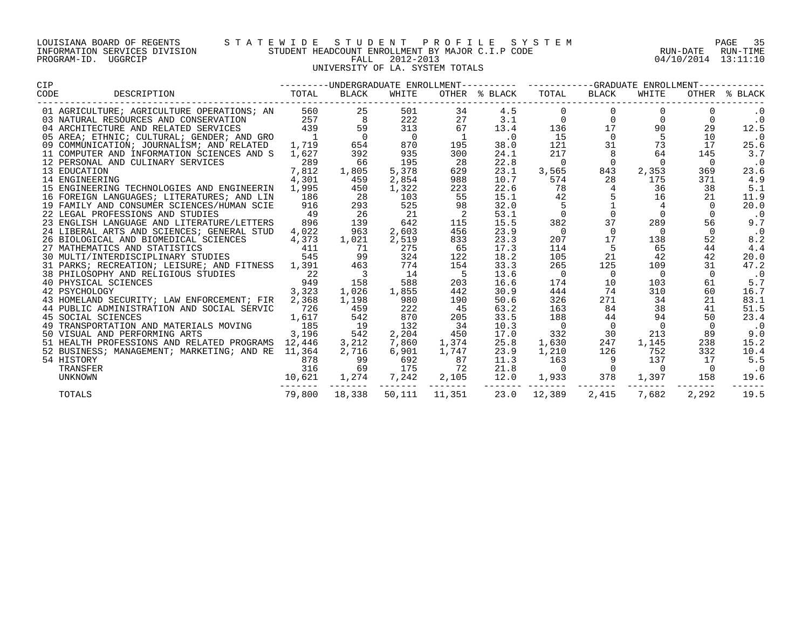#### LOUISIANA BOARD OF REGENTS S T A T E W I D E S T U D E N T P R O F I L E S Y S T E M PAGE 35 INFORMATION SERVICES DIVISION STUDENT HEADCOUNT ENROLLMENT BY MAJOR C.I.P CODE RUN-DATE RUN-TIME PROGRAM-ID. UGGRCIP FALL 2012-2013 04/10/2014 13:11:10 UNIVERSITY OF LA. SYSTEM TOTALS

| <b>CIP</b>                                                                                                                                         |                                                                |        |                                          |                   |                          |                |                           |                                                                                |                                                                     |                |            |  |
|----------------------------------------------------------------------------------------------------------------------------------------------------|----------------------------------------------------------------|--------|------------------------------------------|-------------------|--------------------------|----------------|---------------------------|--------------------------------------------------------------------------------|---------------------------------------------------------------------|----------------|------------|--|
| CODE                                                                                                                                               |                                                                |        |                                          |                   |                          |                |                           |                                                                                |                                                                     |                |            |  |
|                                                                                                                                                    |                                                                |        |                                          | 501               | 34                       | 4.5            |                           | $\mathbf{0}$                                                                   |                                                                     |                | . 0        |  |
|                                                                                                                                                    |                                                                |        |                                          | 222               | 27                       | 3.1            | $\Omega$                  |                                                                                | $\begin{matrix} 0 & 0 \\ 17 & 90 \end{matrix}$                      |                | $\cdot$ 0  |  |
|                                                                                                                                                    |                                                                |        |                                          | 313               | 67                       | 13.4           | 136                       |                                                                                |                                                                     | 29             | 12.5       |  |
|                                                                                                                                                    |                                                                |        |                                          | $\overline{0}$    | $\overline{\phantom{0}}$ | $\cdot$ 0      | 15                        |                                                                                | $\begin{array}{ccc} 0 & \qquad & 5 \\ 31 & \qquad & 73 \end{array}$ | 10             | $\cdot$ 0  |  |
|                                                                                                                                                    |                                                                |        |                                          | 870               | 195                      | 38.0           | 121                       |                                                                                |                                                                     | 17             | 25.6       |  |
| 11 COMPUTER AND INFORMATION SCIENCES AND S                                                                                                         |                                                                | 1,627  | 392                                      | 935               | 300                      | 24.1           | 217                       | 8                                                                              | 64                                                                  | 145            | 3.7        |  |
| 12 PERSONAL AND CULINARY SERVICES                                                                                                                  |                                                                | 289    | 66                                       | 195               | 28                       | 22.8           | $\Omega$                  | $\overline{0}$                                                                 | $\Omega$                                                            | $\overline{0}$ | $\cdot$ 0  |  |
| 13 EDUCATION                                                                                                                                       |                                                                | 7,812  | 1,805                                    | 5,378             | 629                      | 23.1           | 3,565                     | 843                                                                            | 2,353                                                               | 369            | 23.6       |  |
| 14 ENGINEERING                                                                                                                                     |                                                                | 4,301  | 459                                      | 2,854             | 988                      | 10.7           | 574                       | 28                                                                             | 175                                                                 | 371            | 4.9        |  |
| 15 ENGINEERING TECHNOLOGIES AND ENGINEERIN                                                                                                         |                                                                | 1,995  | 450                                      | 1,322             | 223                      | 22.6           | 78                        | $4^{\circ}$                                                                    | 36                                                                  | 38             | 5.1        |  |
| 16 FOREIGN LANGUAGES; LITERATURES; AND LIN                                                                                                         |                                                                | 186    | $\begin{array}{c} 28 \\ 293 \end{array}$ | 103               | 55                       | 15.1           | 42                        | $\begin{array}{cc}\n\frac{1}{2} & \frac{1}{2} \\ \frac{1}{2} & 0\n\end{array}$ | 5 <sub>1</sub><br>16                                                | 21             | 11.9       |  |
| 19 FAMILY AND CONSUMER SCIENCES/HUMAN SCIE                                                                                                         |                                                                | 916    |                                          | 525               | 98                       | 32.0           |                           |                                                                                |                                                                     | $\cap$         | 20.0       |  |
| 22 LEGAL PROFESSIONS AND STUDIES                                                                                                                   |                                                                | 49     | $\frac{26}{139}$                         | 21                | $\overline{2}$           | 53.1           | $\overline{0}$            |                                                                                | $\Omega$                                                            | $\Omega$       | $\cdot$ .0 |  |
| 23 ENGLISH LANGUAGE AND LITERATURE/LETTERS                                                                                                         |                                                                | 896    |                                          | 642               | 115                      | 15.5           | 382                       | 37                                                                             | 289                                                                 | 56             | 9.7        |  |
| 24 LIBERAL ARTS AND SCIENCES; GENERAL STUD                                                                                                         |                                                                | 4,022  | 963                                      | 2,603             | 456                      | 23.9           | $\overline{0}$            | $\overline{0}$                                                                 | $\overline{0}$                                                      | $\overline{0}$ | $\cdot$ 0  |  |
| 26 BIOLOGICAL AND BIOMEDICAL SCIENCES                                                                                                              |                                                                | 4,373  | 1,021                                    | 2,519             | 833                      | 23.3           | 207                       | 17                                                                             | 138                                                                 | 52             | 8.2        |  |
| 27 MATHEMATICS AND STATISTICS (411)<br>30 MULTI/INTERDISCIPLINARY STUDIES (545                                                                     |                                                                |        | 71                                       | 275               | 65                       | 17.3           | 114                       | 5                                                                              | 65                                                                  | 44             | 4.4        |  |
|                                                                                                                                                    |                                                                |        |                                          | 324               | 122                      | 18.2           | 105                       | 21                                                                             | 42                                                                  | 42             | 20.0       |  |
| 27 MALLELIAND AND CIPLINARY STUDIES 545 545 99<br>31 PARKS; RECREATION; LEISURE; AND FITNESS 1,391 463<br>38 PHILOSOPHY AND RELIGIOUS STUDIES 22 3 |                                                                |        |                                          | 774               | 154                      | 33.3           | 265                       | 125                                                                            | 109                                                                 | 31             | 47.2       |  |
|                                                                                                                                                    | $\frac{1}{22}$<br>$\frac{949}{3,323}$                          |        |                                          | 14                |                          | 13.6           | $\overline{\phantom{0}}$  | $\overline{0}$                                                                 | $\overline{0}$                                                      | $\Omega$       | $\cdot$ 0  |  |
| 40 PHYSICAL SCIENCES                                                                                                                               |                                                                |        | 158                                      | 588               | 203                      | 16.6           | 174                       | 10                                                                             | 103                                                                 | 61             | 5.7        |  |
| 42 PSYCHOLOGY                                                                                                                                      |                                                                |        | 1,026                                    | 1,855             | 442                      | 30.9           | 444                       | 74                                                                             | 310                                                                 | 60             | 16.7       |  |
| 43 HOMELAND SECURITY; LAW ENFORCEMENT; FIR                                                                                                         |                                                                | 2,368  | 1,198                                    | 980               | 190                      | 50.6           | 326                       | 271                                                                            | 34                                                                  | 21             | 83.1       |  |
| 44 PUBLIC ADMINISTRATION AND SOCIAL SERVIC                                                                                                         |                                                                | 726    | 459                                      | 222               | 45                       | 63.2           | 163                       | 84                                                                             | 38                                                                  | 41             | 51.5       |  |
| 45 SOCIAL SCIENCES                                                                                                                                 |                                                                | 1,617  | 542                                      | 870               | 205                      | 33.5           | 188                       | 44                                                                             | 94                                                                  | 50             | 23.4       |  |
| 49 TRANSPORTATION AND MATERIALS MOVING 185                                                                                                         |                                                                |        | $\begin{array}{c} 19 \\ 542 \end{array}$ | 132               | 34                       | 10.3           | $\overline{0}$            | $\overline{0}$                                                                 | $\overline{0}$                                                      |                | $\ldots$ 0 |  |
| 50 VISUAL AND PERFORMING ARTS                                                                                                                      | 3,196                                                          |        |                                          | 2,204             | 450                      | 17.0           | 332                       | 30                                                                             | 213                                                                 | 89             | 9.0        |  |
| 51 HEALTH PROFESSIONS AND RELATED PROGRAMS 12,446                                                                                                  |                                                                |        | 3,212                                    |                   | 7,860 1,374              | 25.8           | 1,630                     | 247                                                                            | 1,145                                                               | 238            | 15.2       |  |
| 52 BUSINESS; MANAGEMENT; MARKETING; AND RE 11,364                                                                                                  |                                                                |        | 2,716                                    | 6,901             | 1,747                    | 23.9           | 1,210                     | 126                                                                            | 752                                                                 | 332            | 10.4       |  |
| 54 HISTORY                                                                                                                                         |                                                                | 878    | 99                                       | 692               | 87                       | 11.3           | 163                       | $\overline{9}$                                                                 | 137                                                                 | 17             | 5.5        |  |
| TRANSFER                                                                                                                                           |                                                                |        | 69                                       | 175               | 72                       | 21.8           | $\overline{0}$            | $\sim$ 0                                                                       | $\overline{0}$                                                      |                | $\cdot$ 0  |  |
| UNKNOWN                                                                                                                                            | $\begin{array}{r} 070 \\ 316 \\ -10621 \\ -107621 \end{array}$ |        | 1,274<br>-------                         | 7,242<br>-------- | 2,105                    | 12.0<br>------ | 1,933                     | 378<br>------                                                                  | 1,397                                                               | 158            | 19.6       |  |
| TOTALS                                                                                                                                             |                                                                | 79,800 | 18,338                                   |                   |                          |                | 50,111 11,351 23.0 12,389 | 2,415                                                                          | 7,682                                                               | 2,292          | 19.5       |  |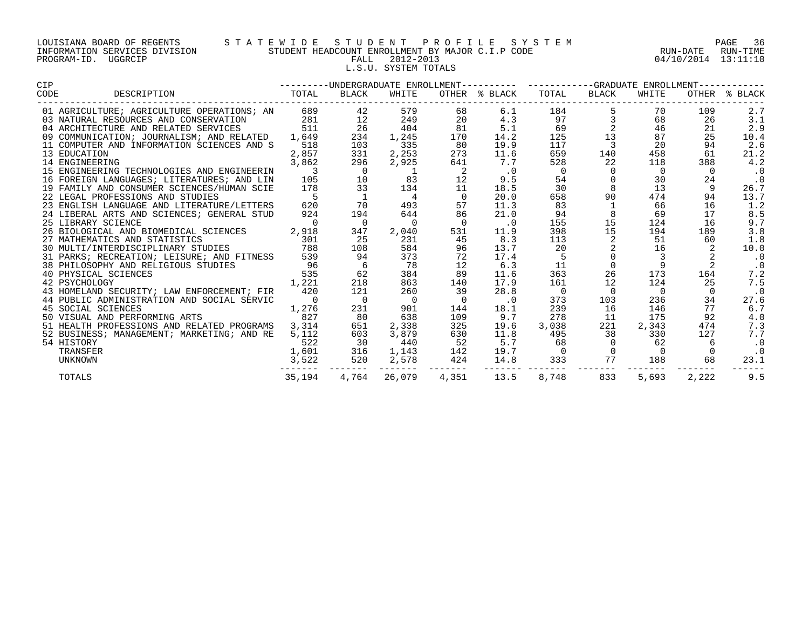| LOUISIANA BOARD OF REGENTS    |         |  |  |
|-------------------------------|---------|--|--|
| INFORMATION SERVICES DIVISION |         |  |  |
| PROGRAM-ID.                   | UGGRCIP |  |  |

# LOUISIANA BOARD OF REGENTS S T A T E W I D E S T U D E N T P R O F I L E S Y S T E M PAGE 36 INFORMATION SERVICES DIVISION STUDENT HEADCOUNT ENROLLMENT BY MAJOR C.I.P CODE RUN-DATE RUN-TIME PALL 2012-2013 2001 04/10/2014 13:11:10 L.S.U. SYSTEM TOTALS

| <b>CIP</b>                                                                         |                          |                 |                | --------UNDERGRADUATE ENROLLMENT--------- ----------GRADUATE ENROLLMENT---------- |                |                          |                                            |          |       |               |
|------------------------------------------------------------------------------------|--------------------------|-----------------|----------------|-----------------------------------------------------------------------------------|----------------|--------------------------|--------------------------------------------|----------|-------|---------------|
| DESCRIPTION TOTAL<br>CODE                                                          |                          | BLACK           | WHITE          |                                                                                   | OTHER % BLACK  | TOTAL                    | BLACK                                      | WHITE    |       | OTHER % BLACK |
| 01 AGRICULTURE; AGRICULTURE OPERATIONS; AN                                         |                          | 689 — 10<br>42  | 579            | 68                                                                                | 6.1            | 184                      | $\begin{array}{c} 5 \\ 3 \\ 2 \end{array}$ | 70       | 109   | 2.7           |
| 03 NATURAL RESOURCES AND CONSERVATION                                              | 281                      | $\frac{12}{26}$ | 249            | 20                                                                                | 4.3            | 97                       |                                            | 68       | 26    | 3.1           |
| 04 ARCHITECTURE AND RELATED SERVICES                                               | 511                      |                 | 404            | 81                                                                                | 5.1            | 69                       |                                            | 46       | 21    | 2.9           |
| 09 COMMUNICATION; JOURNALISM; AND RELATED                                          | 1,649                    | 234             | 1,245          | 170                                                                               | 14.2           | 125                      | 13                                         | 87       | 25    | 10.4          |
| 11 COMPUTER AND INFORMATION SCIENCES AND S                                         | 518                      | 103             | 335            | 80                                                                                | 19.9           | 117                      | $\mathcal{L}$                              | 20       | 94    | 2.6           |
| 13 EDUCATION                                                                       | 2,857                    | 331             | 2,253          | 273                                                                               | 11.6           | 659                      | 140                                        | 458      | 61    | 21.2          |
| 14 ENGINEERING                                                                     | 3,862                    | 296             | 2,925          | 641                                                                               | 7.7            | 528                      | 22                                         | 118      | 388   | 4.2           |
| 15 ENGINEERING TECHNOLOGIES AND ENGINEERIN                                         | $\overline{\phantom{a}}$ | $\overline{0}$  |                | $\overline{2}$                                                                    | $\cdot$ 0      | $\overline{\phantom{0}}$ | $\mathbf{0}$                               | 0        |       | $\cdot$ 0     |
| 16 FOREIGN LANGUAGES; LITERATURES; AND LIN                                         | 105                      | 10              | 83             | 12                                                                                | 9.5            | 54                       | $\overline{0}$                             | 30       | 24    | $\cdot$ 0     |
| 19 FAMILY AND CONSUMER SCIENCES/HUMAN SCIE                                         | 178                      | 33              | 134            | 11                                                                                | 18.5           | 30                       | 8                                          | 13       |       | 26.7          |
| 22 LEGAL PROFESSIONS AND STUDIES                                                   | $5^{\circ}$              | $\mathbf{1}$    | $\overline{4}$ |                                                                                   | 20.0           | 658                      | 90                                         | 474      | 94    | 13.7          |
| 23 ENGLISH LANGUAGE AND LITERATURE/LETTERS                                         | 620                      | 70              | 493            | 57                                                                                | 11.3           | 83                       | $\mathbf{1}$                               | 66       | 16    | 1.2           |
| 24 LIBERAL ARTS AND SCIENCES; GENERAL STUD                                         | 924                      | 194             | 644            | 86                                                                                | 21.0           | 94                       | 8                                          | 69       | 17    | 8.5           |
| 25 LIBRARY SCIENCE                                                                 | $\overline{0}$           | $\overline{0}$  | $\overline{0}$ | $\overline{0}$                                                                    | $\cdot$ 0      | 155                      | 15                                         | 124      | 16    | 9.7           |
| 26 BIOLOGICAL AND BIOMEDICAL SCIENCES 2,918                                        |                          | 347             | 2,040          | 531                                                                               | 11.9           | 398                      | 15                                         | 194      | 189   | 3.8           |
| 27 MATHEMATICS AND STATISTICS (301)<br>30 MULTI/INTERDISCIPLINARY STUDIES (38      |                          | 25              | 231            | 45                                                                                | 8.3            | 113                      |                                            | 51       | 60    | 1.8           |
|                                                                                    |                          | 108             | 584            | 96                                                                                | 13.7           | 20                       |                                            | 16       |       | 10.0          |
| 31 PARKS; RECREATION; LEISURE; AND FITNESS                                         | 539                      | 94              | 373            | 72                                                                                | 17.4           | - 5                      |                                            |          |       | $\cdot$ 0     |
| D RELIGIOUS STUDIES 96<br>VCES 535<br>1,221<br>38 PHILOSOPHY AND RELIGIOUS STUDIES |                          | 6               | 78             | 12                                                                                | 6.3            | 11                       | $\mathsf{O}$                               | 9        | 2     | $\cdot$ 0     |
| 40 PHYSICAL SCIENCES                                                               |                          | 62              | 384            | 89                                                                                | 11.6           | 363                      | 26                                         | 173      | 164   | 7.2           |
| 42 PSYCHOLOGY                                                                      |                          | 218             | 863            | 140                                                                               | 17.9           | 161                      | 12                                         | 124      | 25    | 7.5           |
| 43 HOMELAND SECURITY; LAW ENFORCEMENT; FIR                                         | 420                      | 121             | 260            | 39                                                                                | 28.8           | $\overline{0}$           | $\Omega$                                   | $\Omega$ |       | $\cdot$ 0     |
| 44 PUBLIC ADMINISTRATION AND SOCIAL SERVIC                                         | $\overline{0}$           | $\overline{0}$  | $\overline{0}$ |                                                                                   | $\cdot$ 0      | 373                      | 103                                        | 236      | 34    | 27.6          |
| 45 SOCIAL SCIENCES                                                                 | 1,276                    | 231             | 901            | 144                                                                               | 18.1           | 239                      | 16                                         | 146      | 77    | 6.7           |
| 50 VISUAL AND PERFORMING ARTS                                                      | 827                      | 80              | 638            | 109                                                                               | 9.7            | 278                      | 11                                         | 175      | 92    | 4.0           |
| 51 HEALTH PROFESSIONS AND RELATED PROGRAMS                                         | 3,314                    | 651             | 2,338          | 325                                                                               | 19.6           | 3,038                    | 221                                        | 2,343    | 474   | 7.3           |
| 52 BUSINESS; MANAGEMENT; MARKETING; AND RE                                         | 5,112                    | 603             | 3,879          | 630                                                                               | 11.8           | 495                      | 38                                         | 330      | 127   | 7.7           |
| 54 HISTORY                                                                         | 522                      | 30              | 440            | 52                                                                                | 5.7            | 68                       | $\overline{0}$                             | 62       | -6    | $\cdot$ 0     |
| TRANSFER                                                                           | 1,601                    | 316             | 1,143          | 142                                                                               | 19.7           | $\overline{0}$           | $\overline{0}$                             | - 0      |       | $\cdot$ 0     |
| UNKNOWN                                                                            | 3,522                    | 520             | 2,578          | 424                                                                               | 14.8           | 333                      | 77                                         | 188      | 68    | 23.1          |
| TOTALS                                                                             | 35,194                   | .<br>4,764      | 26,079         | 4,351                                                                             | ------<br>13.5 | 8,748                    | 833                                        | 5,693    | 2,222 | 9.5           |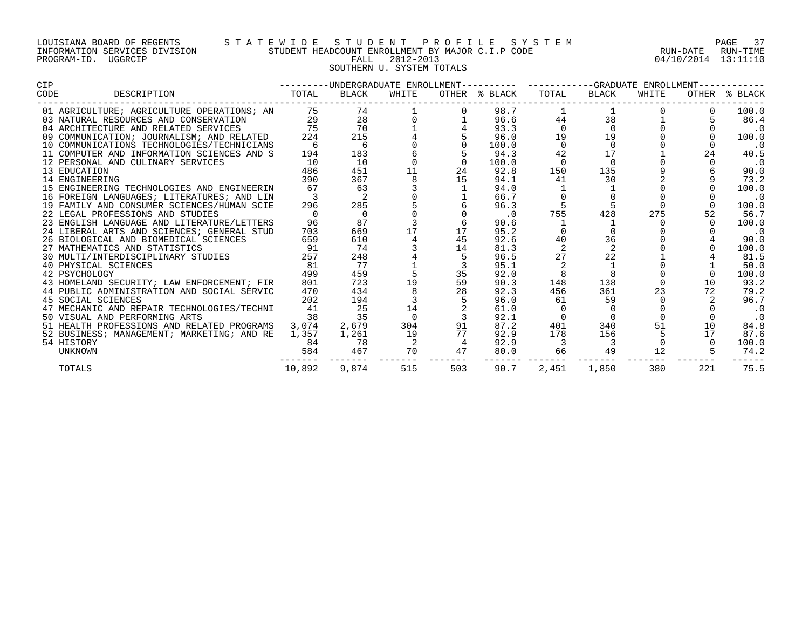## LOUISIANA BOARD OF REGENTS S T A T E W I D E S T U D E N T P R O F I L E S Y S T E M PAGE 37 INFORMATION SERVICES DIVISION STUDENT HEADCOUNT ENROLLMENT BY MAJOR C.I.P CODE RUN-DATE RUN-TIME PROGRAM-ID. UGGRCIP FALL 2012-2013 04/10/2014 13:11:10 SOUTHERN U. SYSTEM TOTALS

| <b>CIP</b>     |                                                                                                                            | ---------UNDERGRADUATE ENROLLMENT---------- ----------GRADUATE ENROLLMENT----------- |                |                 |                |                     |          |                          |       |          |                             |
|----------------|----------------------------------------------------------------------------------------------------------------------------|--------------------------------------------------------------------------------------|----------------|-----------------|----------------|---------------------|----------|--------------------------|-------|----------|-----------------------------|
| CODE           | DESCRIPTION                                                                                                                | TOTAL                                                                                | BLACK          | WHITE           |                | OTHER % BLACK TOTAL |          | BLACK                    | WHITE |          | OTHER % BLACK               |
|                | 01 AGRICULTURE; AGRICULTURE OPERATIONS; AN 5                                                                               |                                                                                      | 74 — 20        |                 |                | 98.7                |          |                          |       |          | 100.0                       |
|                | 03 NATURAL RESOURCES AND CONSERVATION                                                                                      | 29                                                                                   |                | $\frac{28}{70}$ |                | 96.6                | 44       | 38                       |       |          | 86.4                        |
|                | 04 ARCHITECTURE AND RELATED SERVICES                                                                                       | 75                                                                                   | <b>70</b>      |                 |                | 93.3                | $\Omega$ | $\Omega$                 |       |          | $\ldots$ 0                  |
|                | 09 COMMUNICATION; JOURNALISM; AND RELATED 224                                                                              |                                                                                      | 215            |                 |                | 96.0                | 19       | 19                       |       |          | 100.0                       |
|                | 10 COMMUNICATIONS TECHNOLOGIES/TECHNICIANS                                                                                 | -6                                                                                   | - 6            |                 |                | 100.0               |          |                          |       |          | . 0                         |
|                | 11 COMPUTER AND INFORMATION SCIENCES AND S                                                                                 | 194                                                                                  | 183            |                 |                | 94.3                | 42       | 17                       |       | 24       | 40.5                        |
|                | 12 PERSONAL AND CULINARY SERVICES                                                                                          | 10                                                                                   | 10             |                 | $\overline{0}$ | 100.0               | $\Omega$ | $\overline{0}$           |       | $\Omega$ | $\cdot$ 0                   |
| 13 EDUCATION   |                                                                                                                            | 486                                                                                  | 451            | 11              | 24             | 92.8                | 150      | 135                      |       |          | 90.0                        |
|                | 14 ENGINEERING                                                                                                             | 390                                                                                  | 367            |                 | 15             | 94.1                | 41       | 30                       |       |          | 73.2                        |
|                | 15 ENGINEERING TECHNOLOGIES AND ENGINEERIN                                                                                 | 67                                                                                   | 63             |                 |                | 94.0                |          |                          |       |          | 100.0                       |
|                | 16 FOREIGN LANGUAGES; LITERATURES; AND LIN                                                                                 |                                                                                      |                |                 |                | 66.7                |          |                          |       |          | . 0                         |
|                | 19 FAMILY AND CONSUMER SCIENCES/HUMAN SCIE                                                                                 | 296                                                                                  | 285            |                 |                | 96.3                |          | 5                        |       | $\Omega$ | 100.0                       |
|                | 22 LEGAL PROFESSIONS AND STUDIES                                                                                           | $\overline{0}$                                                                       | $\overline{0}$ |                 |                | $\cdot$ 0           | 755      | 428                      | 275   | 52       | 56.7                        |
|                | 23 ENGLISH LANGUAGE AND LITERATURE/LETTERS                                                                                 | 96                                                                                   | 87             |                 |                | 90.6                |          |                          |       |          | 100.0                       |
|                | 24 LIBERAL ARTS AND SCIENCES; GENERAL STUD                                                                                 | 703                                                                                  | 669            | 17              | 17             | 95.2                |          |                          |       |          | $\overline{\phantom{a}}$ .0 |
|                | 26 BIOLOGICAL AND BIOMEDICAL SCIENCES 659<br>27 MATHEMATICS AND STATISTICS 61 91<br>30 MULTI/INTERDISCIPLINARY STUDIES 257 |                                                                                      | 610            |                 | 45             | 92.6                | 40       | 36                       |       |          | 90.0                        |
|                |                                                                                                                            |                                                                                      | 74             |                 | 14             | 81.3                |          | 2                        |       |          | 100.0                       |
|                |                                                                                                                            |                                                                                      | 248            |                 |                | 96.5                | 27       | 22                       |       |          | 81.5                        |
|                | 40 PHYSICAL SCIENCES                                                                                                       | 81                                                                                   | 77             |                 |                | 95.1                | 2        | $\mathbf{1}$             |       |          | 50.0                        |
|                | 42 PSYCHOLOGY                                                                                                              | 499                                                                                  | 459            |                 | 35             | 92.0                |          | 8                        |       |          | 100.0                       |
|                | 43 HOMELAND SECURITY; LAW ENFORCEMENT; FIR                                                                                 | 801                                                                                  | 723            | 19              | 59             | 90.3                | 148      | 138                      |       | 10       | 93.2                        |
|                | 44 PUBLIC ADMINISTRATION AND SOCIAL SERVIC                                                                                 | 470                                                                                  | 434            |                 | 28             | 92.3                | 456      | 361                      | 23    | 72       | 79.2                        |
|                | 45 SOCIAL SCIENCES                                                                                                         | 202                                                                                  | 194            |                 |                | 96.0                | 61       | 59                       |       |          | 96.7                        |
|                | 47 MECHANIC AND REPAIR TECHNOLOGIES/TECHNI                                                                                 | 41                                                                                   | 25             | 14              |                | 61.0                |          | $\Omega$                 |       |          | $\cdot$ 0                   |
|                | 50 VISUAL AND PERFORMING ARTS                                                                                              | 38                                                                                   | 35             |                 |                | 92.1                |          |                          |       |          | $\cdot$ . O                 |
|                | 51 HEALTH PROFESSIONS AND RELATED PROGRAMS                                                                                 | 3,074                                                                                | 2,679          | 304             | 91             | 87.2                | 401      | 340                      | 51    | 10       | 84.8                        |
|                | 52 BUSINESS; MANAGEMENT; MARKETING; AND RE                                                                                 | 1,357                                                                                | 1,261          | 19              | 77             | 92.9                | 178      | 156                      |       | 17       | 87.6                        |
| 54 HISTORY     |                                                                                                                            | 84                                                                                   | - 78           | $\overline{2}$  | $\overline{4}$ | 92.9                | 3        | $\overline{\phantom{a}}$ |       | $\Omega$ | 100.0                       |
| <b>UNKNOWN</b> |                                                                                                                            | 584                                                                                  | 467            | 70              | 47             | 80.0                | 66       | 49                       | 12    |          | 74.2                        |
| <b>TOTALS</b>  |                                                                                                                            |                                                                                      | 10,892 9,874   | 515             | 503            | 90.7                | 2,451    | 1,850                    | 380   | 221      | 75.5                        |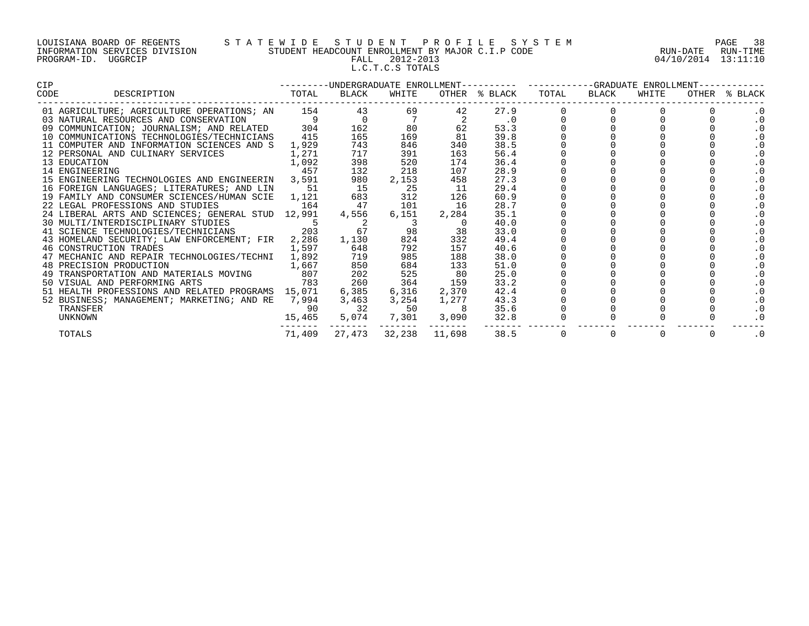#### LOUISIANA BOARD OF REGENTS S T A T E W I D E S T U D E N T P R O F I L E S Y S T E M PAGE 38 INFORMATION SERVICES DIVISION STUDENT HEADCOUNT ENROLLMENT BY MAJOR C.I.P CODE RUN-DATE RUN-TIME PROGRAM-ID. UGGRCIP FALL 2012-2013 04/10/2014 13:11:10 L.C.T.C.S TOTALS

| CIP  |                                                                                                                                                                                      |        |                                                         |                |               |               | ---------UNDERGRADUATE ENROLLMENT---------- ---------GRADUATE ENROLLMENT-- |                |             |   |               |  |
|------|--------------------------------------------------------------------------------------------------------------------------------------------------------------------------------------|--------|---------------------------------------------------------|----------------|---------------|---------------|----------------------------------------------------------------------------|----------------|-------------|---|---------------|--|
| CODE | DESCRIPTION TOTAL                                                                                                                                                                    |        | BLACK                                                   | WHITE          |               | OTHER % BLACK | TOTAL                                                                      | BLACK          | WHITE       |   | OTHER % BLACK |  |
|      | 01 AGRICULTURE; AGRICULTURE OPERATIONS; AN 154 43                                                                                                                                    |        |                                                         |                | 69 — 10<br>42 | 27.9          |                                                                            |                |             |   | $\cdot$ 0     |  |
|      | 03 NATURAL RESOURCES AND CONSERVATION 9<br>09 COMMUNICATION; JOURNALISM; AND RELATED 304                                                                                             |        | $\begin{array}{c} 0 \\ 162 \end{array}$                 | $\frac{7}{80}$ |               | $\cdot$ 0     |                                                                            |                |             |   | $\cdot$ 0     |  |
|      |                                                                                                                                                                                      |        | 162                                                     |                | 62            | 53.3          |                                                                            |                |             |   | . 0           |  |
|      | 10 COMMUNICATIONS TECHNOLOGIES/TECHNICIANS                                                                                                                                           | 415    | 165                                                     | 169            | 81            | 39.8          |                                                                            |                |             |   | . 0           |  |
|      | 11 COMPUTER AND INFORMATION SCIENCES AND S                                                                                                                                           | 1,929  | 743                                                     | 846            | 340           | 38.5          |                                                                            |                |             |   | . 0           |  |
|      | 12 PERSONAL AND CULINARY SERVICES                                                                                                                                                    | 1,271  | 717                                                     | 391            | 163           | 56.4          |                                                                            |                |             |   | . 0           |  |
|      | $\begin{array}{c} 1\text{, }092 \\ 457 \end{array}$<br>13 EDUCATION                                                                                                                  |        | 398                                                     | 520            | 174           | 36.4          |                                                                            |                |             |   | . 0           |  |
|      | 14 ENGINEERING                                                                                                                                                                       |        | 132                                                     | 218            | 107           | 28.9          |                                                                            |                |             |   | . 0           |  |
|      | 15 ENGINEERING TECHNOLOGIES AND ENGINEERIN 3,591                                                                                                                                     |        | 980                                                     | 2,153          | 458           | 27.3          |                                                                            |                |             |   | . 0           |  |
|      | 16 FOREIGN LANGUAGES; LITERATURES; AND LIN 51                                                                                                                                        |        | $\begin{array}{ccc}\n15 & 25 \\ 683 & 312\n\end{array}$ |                | 11            | 29.4          |                                                                            |                |             |   | . 0           |  |
|      | 19 FAMILY AND CONSUMER SCIENCES/HUMAN SCIE 1,121                                                                                                                                     |        |                                                         |                | 126           | 60.9          |                                                                            |                |             |   | . 0           |  |
|      | 22 LEGAL PROFESSIONS AND STUDIES 164                                                                                                                                                 |        | 47                                                      | 101            | 16            | 28.7          |                                                                            |                |             |   | . 0           |  |
|      | 24 LIBERAL ARTS AND SCIENCES; GENERAL STUD 12,991                                                                                                                                    |        | 4,556                                                   | 6,151          | 2,284         | 35.1          |                                                                            |                |             |   | . 0           |  |
|      | 30 MULTI/INTERDISCIPLINARY STUDIES<br>41 SCIENCE TECHNOLOGIES/TECHNICIANS 203 67 98                                                                                                  |        |                                                         |                |               | 40.0          |                                                                            |                |             |   | . 0           |  |
|      |                                                                                                                                                                                      |        |                                                         |                | 38            | 33.0          |                                                                            |                |             |   | . 0           |  |
|      | 43 HOMELAND SECURITY; LAW ENFORCEMENT; FIR                                                                                                                                           | 2,286  | 1,130                                                   | 824            | 332           | 49.4          |                                                                            |                |             |   | . 0           |  |
|      | 46 CONSTRUCTION TRADES                                                                                                                                                               | 1,597  | 648                                                     | 792            | 157           | 40.6          |                                                                            |                |             |   |               |  |
|      |                                                                                                                                                                                      |        |                                                         | 985            | 188           | 38.0          |                                                                            |                |             |   | $\cdot$ 0     |  |
|      |                                                                                                                                                                                      |        |                                                         | 684            | 133           | 51.0          |                                                                            |                |             |   | $\cdot$ 0     |  |
|      | 47 MECHANIC AND REPAIR TECHNOLOGIES/TECHNI 1,892 719<br>48 PRECISION PRODUCTION 1,667 850<br>49 TRANSPORTATION AND MATERIALS MOVING 807 202<br>50 VISUAL AND PERFORMING ARTS 783 260 |        |                                                         | 525            | 80            | 25.0          |                                                                            |                |             |   | . 0           |  |
|      |                                                                                                                                                                                      |        |                                                         | 364            | 159           | 33.2          |                                                                            |                |             |   | . 0           |  |
|      | 51 HEALTH PROFESSIONS AND RELATED PROGRAMS 15,071                                                                                                                                    |        | 6,385                                                   | 6,316          | 2,370         | 42.4          |                                                                            |                |             |   | . 0           |  |
|      | 52 BUSINESS; MANAGEMENT; MARKETING; AND RE 7,994 3,463                                                                                                                               |        |                                                         |                | 3, 254 1, 277 | 43.3          |                                                                            |                |             |   | $\cdot$ 0     |  |
|      | TRANSFER                                                                                                                                                                             |        | 32                                                      | 50             |               | 35.6          |                                                                            |                |             |   | . 0           |  |
|      | UNKNOWN                                                                                                                                                                              | 15,465 |                                                         | 5,074 7,301    | 3,090         | 32.8          |                                                                            |                |             |   |               |  |
|      | TOTALS                                                                                                                                                                               | 71,409 | 27,473                                                  |                | 32,238 11,698 | 38.5          | $\overline{0}$                                                             | $\overline{0}$ | $\mathbf 0$ | 0 | $\cdot$ 0     |  |